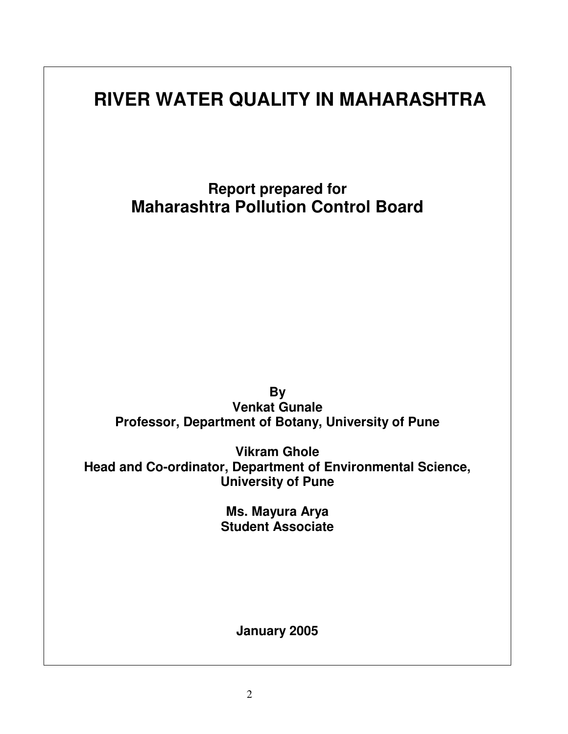# **RIVER WATER QUALITY IN MAHARASHTRA**

**Report prepared for Maharashtra Pollution Control Board**

**By Venkat Gunale Professor, Department of Botany, University of Pune**

**Vikram Ghole Head and Co-ordinator, Department of Environmental Science, University of Pune**

> **Ms. Mayura Arya Student Associate**

> > **January 2005**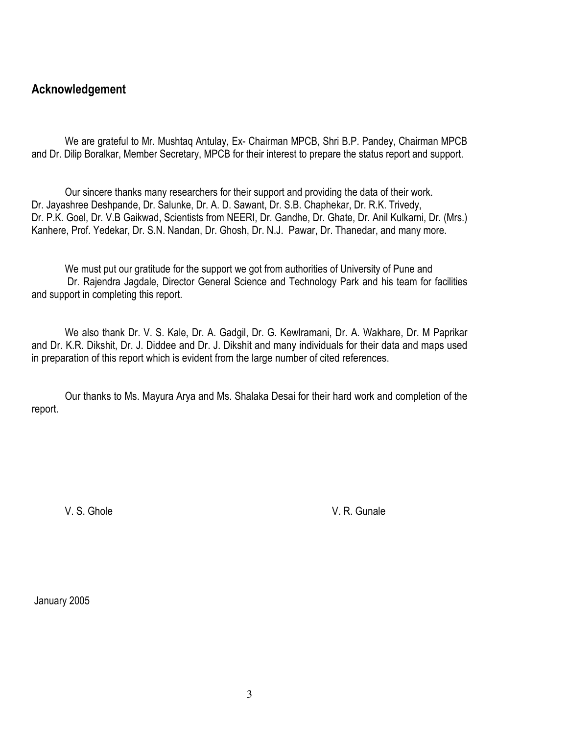### Acknowledgement

We are grateful to Mr. Mushtag Antulay, Ex- Chairman MPCB, Shri B.P. Pandey, Chairman MPCB and Dr. Dilip Boralkar, Member Secretary, MPCB for their interest to prepare the status report and support.

Our sincere thanks many researchers for their support and providing the data of their work. Dr. Jayashree Deshpande, Dr. Salunke, Dr. A. D. Sawant, Dr. S.B. Chaphekar, Dr. R.K. Trivedy, Dr. P.K. Goel, Dr. V.B Gaikwad, Scientists from NEERI, Dr. Gandhe, Dr. Ghate, Dr. Anil Kulkarni, Dr. (Mrs.) Kanhere, Prof. Yedekar, Dr. S.N. Nandan, Dr. Ghosh, Dr. N.J. Pawar, Dr. Thanedar, and many more.

We must put our gratitude for the support we got from authorities of University of Pune and Dr. Rajendra Jagdale, Director General Science and Technology Park and his team for facilities and support in completing this report.

We also thank Dr. V. S. Kale, Dr. A. Gadgil, Dr. G. Kewlramani, Dr. A. Wakhare, Dr. M Paprikar and Dr. K.R. Dikshit, Dr. J. Diddee and Dr. J. Dikshit and many individuals for their data and maps used in preparation of this report which is evident from the large number of cited references.

Our thanks to Ms. Mayura Arya and Ms. Shalaka Desai for their hard work and completion of the report.

V.S. Ghole

V. R. Gunale

January 2005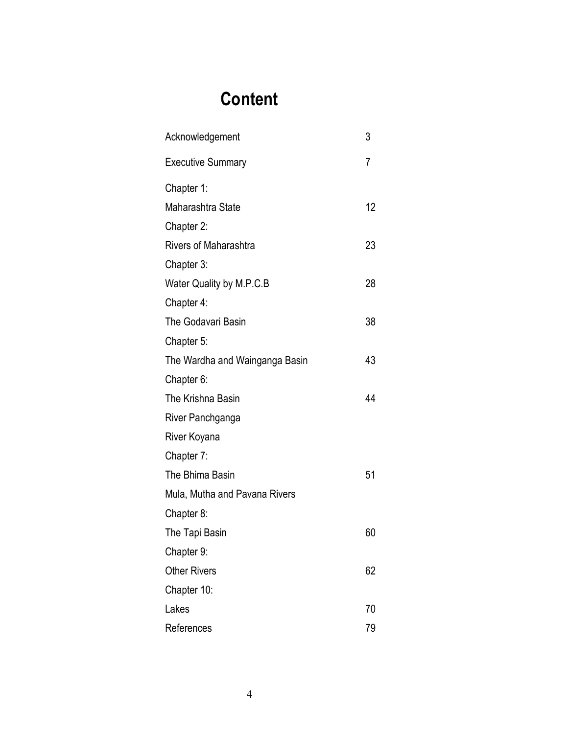# **Content**

| Acknowledgement                | 3  |
|--------------------------------|----|
| <b>Executive Summary</b>       | 7  |
| Chapter 1:                     |    |
| Maharashtra State              | 12 |
| Chapter 2:                     |    |
| <b>Rivers of Maharashtra</b>   | 23 |
| Chapter 3:                     |    |
| Water Quality by M.P.C.B       | 28 |
| Chapter 4:                     |    |
| The Godavari Basin             | 38 |
| Chapter 5:                     |    |
| The Wardha and Wainganga Basin | 43 |
| Chapter 6:                     |    |
| The Krishna Basin              | 44 |
| River Panchganga               |    |
| River Koyana                   |    |
| Chapter 7:                     |    |
| The Bhima Basin                | 51 |
| Mula, Mutha and Pavana Rivers  |    |
| Chapter 8:                     |    |
| The Tapi Basin                 | 60 |
| Chapter 9:                     |    |
| <b>Other Rivers</b>            | 62 |
| Chapter 10:                    |    |
| Lakes                          | 70 |
| References                     | 79 |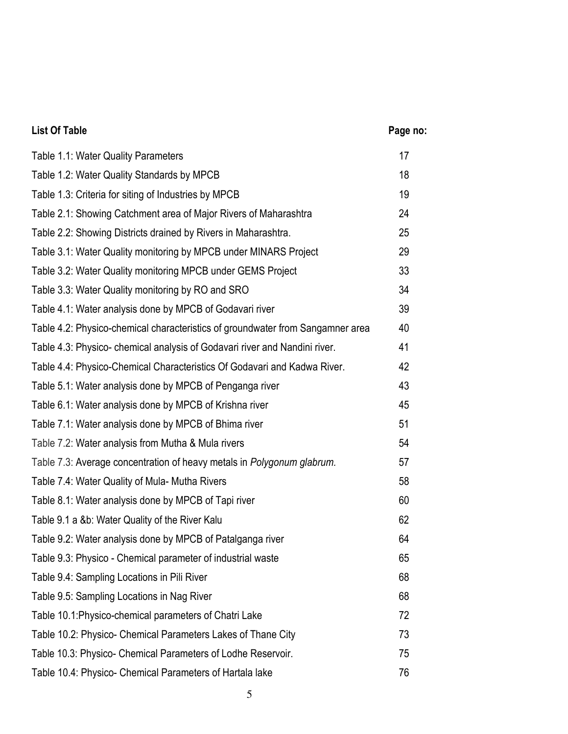#### $17$ Table 1.1: Water Quality Parameters 18 Table 1.2: Water Quality Standards by MPCB 19 Table 1.3: Criteria for siting of Industries by MPCB 24 Table 2.1: Showing Catchment area of Major Rivers of Maharashtra 25 Table 2.2: Showing Districts drained by Rivers in Maharashtra. 29 Table 3.1: Water Quality monitoring by MPCB under MINARS Project 33 Table 3.2: Water Quality monitoring MPCB under GEMS Project Table 3.3: Water Quality monitoring by RO and SRO 34 Table 4.1: Water analysis done by MPCB of Godavari river 39 Table 4.2: Physico-chemical characteristics of groundwater from Sangamner area 40 41 Table 4.3: Physico-chemical analysis of Godavari river and Nandini river. 42 Table 4.4: Physico-Chemical Characteristics Of Godavari and Kadwa River. 43 Table 5.1: Water analysis done by MPCB of Penganga river 45 Table 6.1: Water analysis done by MPCB of Krishna river Table 7.1: Water analysis done by MPCB of Bhima river 51 54 Table 7.2: Water analysis from Mutha & Mula rivers Table 7.3: Average concentration of heavy metals in Polygonum glabrum. 57 58 Table 7.4: Water Quality of Mula- Mutha Rivers Table 8.1: Water analysis done by MPCB of Tapi river 60 62 Table 9.1 a &b: Water Quality of the River Kalu Table 9.2: Water analysis done by MPCB of Patalganga river 64 65 Table 9.3: Physico - Chemical parameter of industrial waste Table 9.4: Sampling Locations in Pili River 68 68 Table 9.5: Sampling Locations in Nag River Table 10.1: Physico-chemical parameters of Chatri Lake 72 73 Table 10.2: Physico- Chemical Parameters Lakes of Thane City Table 10.3: Physico- Chemical Parameters of Lodhe Reservoir. 75 76 Table 10.4: Physico- Chemical Parameters of Hartala lake

Page no:

**List Of Table**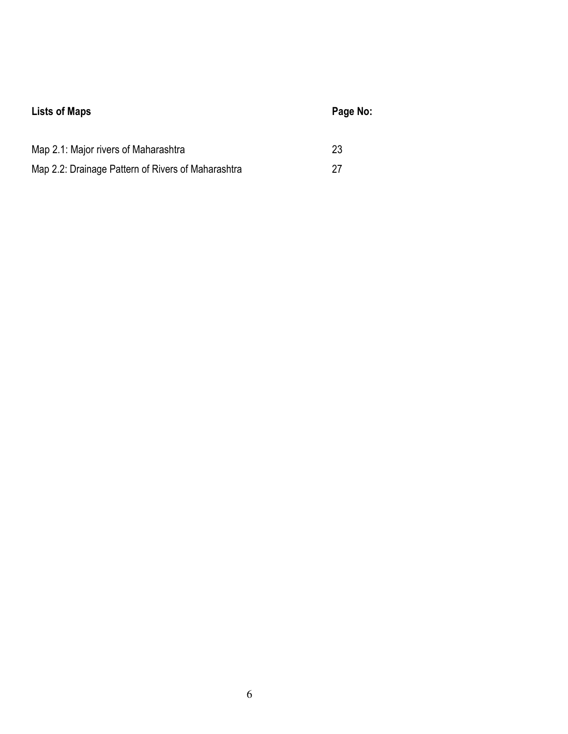| <b>Lists of Maps</b>                               | Page No: |
|----------------------------------------------------|----------|
| Map 2.1: Major rivers of Maharashtra               | 23       |
| Map 2.2: Drainage Pattern of Rivers of Maharashtra | 27       |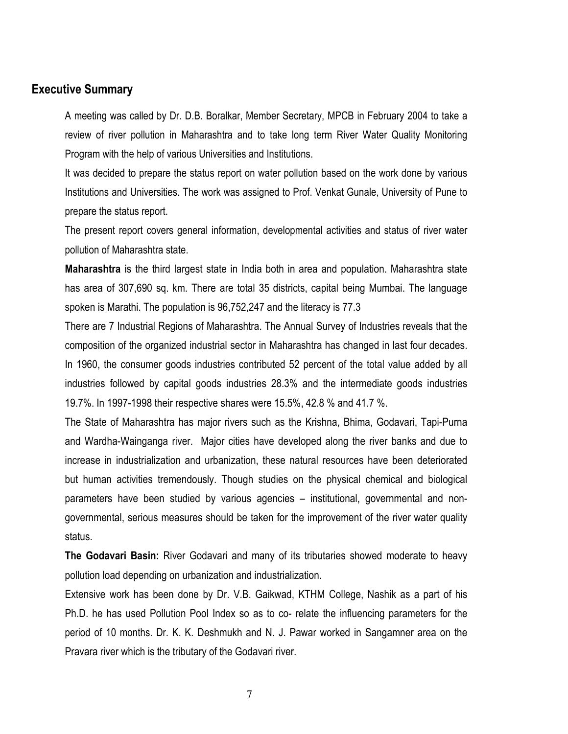### **Executive Summary**

A meeting was called by Dr. D.B. Boralkar, Member Secretary, MPCB in February 2004 to take a review of river pollution in Maharashtra and to take long term River Water Quality Monitoring Program with the help of various Universities and Institutions.

It was decided to prepare the status report on water pollution based on the work done by various Institutions and Universities. The work was assigned to Prof. Venkat Gunale, University of Pune to prepare the status report.

The present report covers general information, developmental activities and status of river water pollution of Maharashtra state.

**Maharashtra** is the third largest state in India both in area and population. Maharashtra state has area of 307,690 sq. km. There are total 35 districts, capital being Mumbai. The language spoken is Marathi. The population is 96,752,247 and the literacy is 77.3

There are 7 Industrial Regions of Maharashtra. The Annual Survey of Industries reveals that the composition of the organized industrial sector in Maharashtra has changed in last four decades. In 1960, the consumer goods industries contributed 52 percent of the total value added by all industries followed by capital goods industries 28.3% and the intermediate goods industries 19.7%. In 1997-1998 their respective shares were 15.5%, 42.8 % and 41.7 %.

The State of Maharashtra has major rivers such as the Krishna, Bhima, Godavari, Tapi-Purna and Wardha-Wainganga river. Major cities have developed along the river banks and due to increase in industrialization and urbanization, these natural resources have been deteriorated but human activities tremendously. Though studies on the physical chemical and biological parameters have been studied by various agencies – institutional, governmental and nongovernmental, serious measures should be taken for the improvement of the river water quality status.

The Godavari Basin: River Godavari and many of its tributaries showed moderate to heavy pollution load depending on urbanization and industrialization.

Extensive work has been done by Dr. V.B. Gaikwad, KTHM College, Nashik as a part of his Ph.D. he has used Pollution Pool Index so as to co- relate the influencing parameters for the period of 10 months. Dr. K. K. Deshmukh and N. J. Pawar worked in Sangamner area on the Pravara river which is the tributary of the Godavari river.

 $\overline{7}$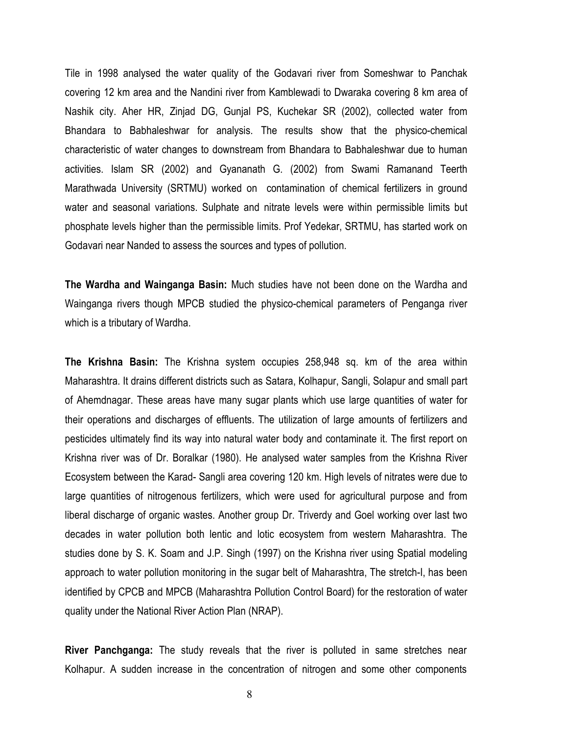Tile in 1998 analysed the water quality of the Godavari river from Someshwar to Panchak covering 12 km area and the Nandini river from Kamblewadi to Dwaraka covering 8 km area of Nashik city. Aher HR, Zinjad DG, Gunjal PS, Kuchekar SR (2002), collected water from Bhandara to Babhaleshwar for analysis. The results show that the physico-chemical characteristic of water changes to downstream from Bhandara to Babhaleshwar due to human activities. Islam SR (2002) and Gyananath G. (2002) from Swami Ramanand Teerth Marathwada University (SRTMU) worked on contamination of chemical fertilizers in ground water and seasonal variations. Sulphate and nitrate levels were within permissible limits but phosphate levels higher than the permissible limits. Prof Yedekar, SRTMU, has started work on Godavari near Nanded to assess the sources and types of pollution.

The Wardha and Wainganga Basin: Much studies have not been done on the Wardha and Wainganga rivers though MPCB studied the physico-chemical parameters of Penganga river which is a tributary of Wardha.

The Krishna Basin: The Krishna system occupies 258,948 sq. km of the area within Maharashtra. It drains different districts such as Satara, Kolhapur, Sangli, Solapur and small part of Ahemdnagar. These areas have many sugar plants which use large quantities of water for their operations and discharges of effluents. The utilization of large amounts of fertilizers and pesticides ultimately find its way into natural water body and contaminate it. The first report on Krishna river was of Dr. Boralkar (1980). He analysed water samples from the Krishna River Ecosystem between the Karad-Sangli area covering 120 km. High levels of nitrates were due to large quantities of nitrogenous fertilizers, which were used for agricultural purpose and from liberal discharge of organic wastes. Another group Dr. Triverdy and Goel working over last two decades in water pollution both lentic and lotic ecosystem from western Maharashtra. The studies done by S. K. Soam and J.P. Singh (1997) on the Krishna river using Spatial modeling approach to water pollution monitoring in the sugar belt of Maharashtra, The stretch-I, has been identified by CPCB and MPCB (Maharashtra Pollution Control Board) for the restoration of water quality under the National River Action Plan (NRAP).

River Panchganga: The study reveals that the river is polluted in same stretches near Kolhapur. A sudden increase in the concentration of nitrogen and some other components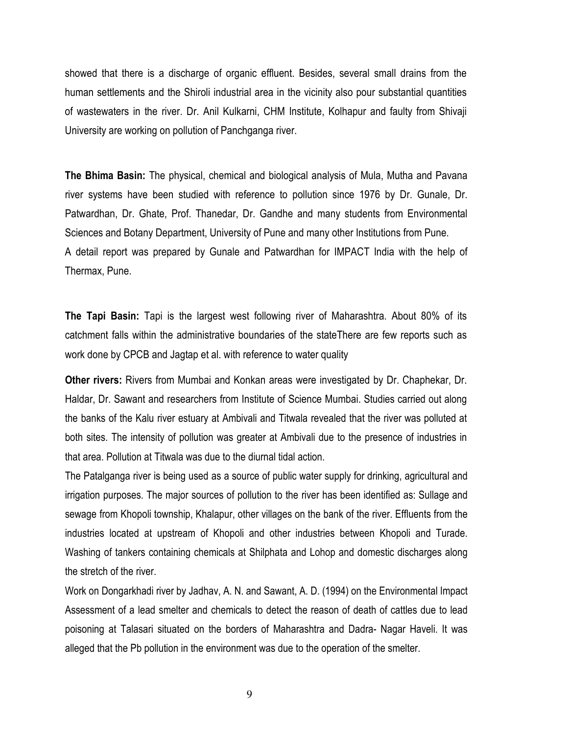showed that there is a discharge of organic effluent. Besides, several small drains from the human settlements and the Shiroli industrial area in the vicinity also pour substantial quantities of wastewaters in the river. Dr. Anil Kulkarni, CHM Institute, Kolhapur and faulty from Shivaji University are working on pollution of Panchganga river.

**The Bhima Basin:** The physical, chemical and biological analysis of Mula, Mutha and Pavana river systems have been studied with reference to pollution since 1976 by Dr. Gunale, Dr. Patwardhan, Dr. Ghate, Prof. Thanedar, Dr. Gandhe and many students from Environmental Sciences and Botany Department, University of Pune and many other Institutions from Pune. A detail report was prepared by Gunale and Patwardhan for IMPACT India with the help of Thermax, Pune.

The Tapi Basin: Tapi is the largest west following river of Maharashtra. About 80% of its catchment falls within the administrative boundaries of the state There are few reports such as work done by CPCB and Jagtap et al. with reference to water quality

**Other rivers:** Rivers from Mumbai and Konkan areas were investigated by Dr. Chaphekar, Dr. Haldar, Dr. Sawant and researchers from Institute of Science Mumbai. Studies carried out along the banks of the Kalu river estuary at Ambivali and Titwala revealed that the river was polluted at both sites. The intensity of pollution was greater at Ambivali due to the presence of industries in that area. Pollution at Titwala was due to the diurnal tidal action.

The Patalganga river is being used as a source of public water supply for drinking, agricultural and irrigation purposes. The major sources of pollution to the river has been identified as: Sullage and sewage from Khopoli township, Khalapur, other villages on the bank of the river. Effluents from the industries located at upstream of Khopoli and other industries between Khopoli and Turade. Washing of tankers containing chemicals at Shilphata and Lohop and domestic discharges along the stretch of the river.

Work on Dongarkhadi river by Jadhav, A. N. and Sawant, A. D. (1994) on the Environmental Impact Assessment of a lead smelter and chemicals to detect the reason of death of cattles due to lead poisoning at Talasari situated on the borders of Maharashtra and Dadra- Nagar Haveli. It was alleged that the Pb pollution in the environment was due to the operation of the smelter.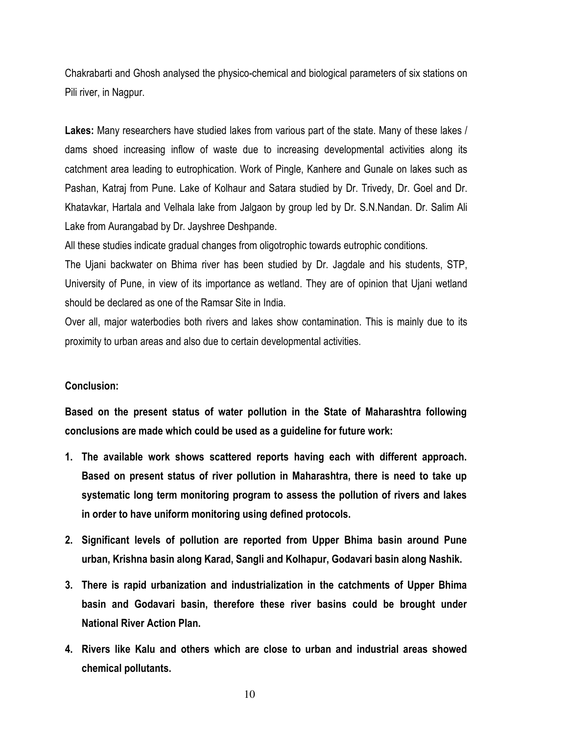Chakrabarti and Ghosh analysed the physico-chemical and biological parameters of six stations on Pili river, in Nagpur.

Lakes: Many researchers have studied lakes from various part of the state. Many of these lakes / dams shoed increasing inflow of waste due to increasing developmental activities along its catchment area leading to eutrophication. Work of Pingle, Kanhere and Gunale on lakes such as Pashan, Katraj from Pune. Lake of Kolhaur and Satara studied by Dr. Trivedy, Dr. Goel and Dr. Khatavkar, Hartala and Velhala lake from Jalgaon by group led by Dr. S.N.Nandan. Dr. Salim Ali Lake from Aurangabad by Dr. Jayshree Deshpande.

All these studies indicate gradual changes from oligotrophic towards eutrophic conditions.

The Ujani backwater on Bhima river has been studied by Dr. Jagdale and his students, STP, University of Pune, in view of its importance as wetland. They are of opinion that Ujani wetland should be declared as one of the Ramsar Site in India.

Over all, major waterbodies both rivers and lakes show contamination. This is mainly due to its proximity to urban areas and also due to certain developmental activities.

#### **Conclusion:**

Based on the present status of water pollution in the State of Maharashtra following conclusions are made which could be used as a guideline for future work:

- 1. The available work shows scattered reports having each with different approach. Based on present status of river pollution in Maharashtra, there is need to take up systematic long term monitoring program to assess the pollution of rivers and lakes in order to have uniform monitoring using defined protocols.
- 2. Significant levels of pollution are reported from Upper Bhima basin around Pune urban, Krishna basin along Karad, Sangli and Kolhapur, Godavari basin along Nashik.
- 3. There is rapid urbanization and industrialization in the catchments of Upper Bhima basin and Godavari basin, therefore these river basins could be brought under **National River Action Plan.**
- 4. Rivers like Kalu and others which are close to urban and industrial areas showed chemical pollutants.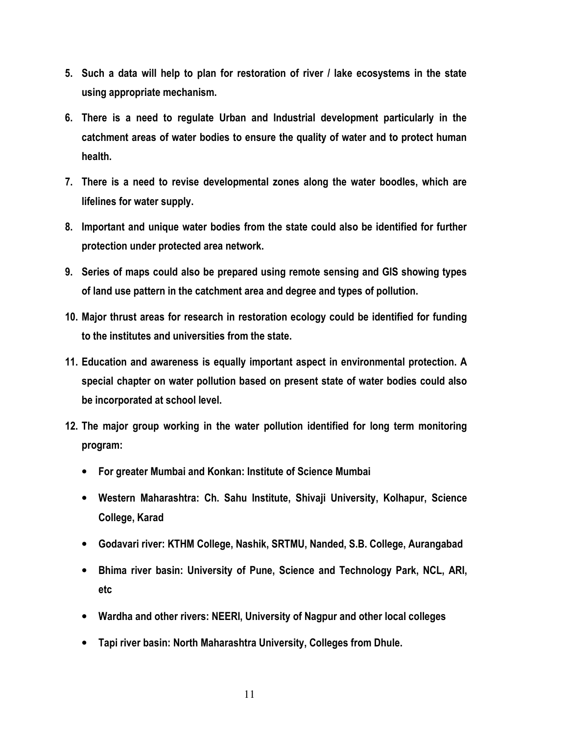- 5. Such a data will help to plan for restoration of river / lake ecosystems in the state using appropriate mechanism.
- 6. There is a need to regulate Urban and Industrial development particularly in the catchment areas of water bodies to ensure the quality of water and to protect human health.
- 7. There is a need to revise developmental zones along the water boodles, which are lifelines for water supply.
- 8. Important and unique water bodies from the state could also be identified for further protection under protected area network.
- 9. Series of maps could also be prepared using remote sensing and GIS showing types of land use pattern in the catchment area and degree and types of pollution.
- 10. Major thrust areas for research in restoration ecology could be identified for funding to the institutes and universities from the state.
- 11. Education and awareness is equally important aspect in environmental protection. A special chapter on water pollution based on present state of water bodies could also be incorporated at school level.
- 12. The major group working in the water pollution identified for long term monitoring program:
	- For greater Mumbai and Konkan: Institute of Science Mumbai
	- Western Maharashtra: Ch. Sahu Institute, Shivaji University, Kolhapur, Science College, Karad
	- Godavari river: KTHM College, Nashik, SRTMU, Nanded, S.B. College, Aurangabad
	- Bhima river basin: University of Pune, Science and Technology Park, NCL, ARI, etc
	- Wardha and other rivers: NEERI, University of Nagpur and other local colleges
	- Tapi river basin: North Maharashtra University, Colleges from Dhule.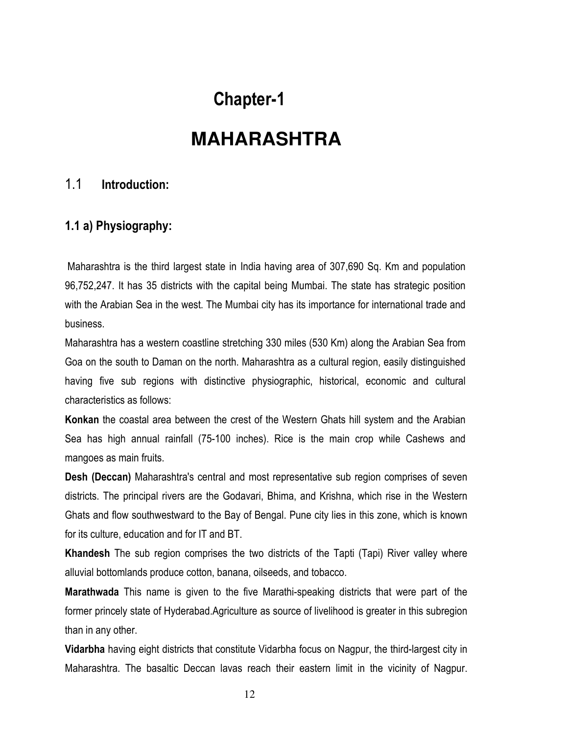## **Chapter-1**

## **MAHARASHTRA**

#### $1.1$ Introduction:

### 1.1 a) Physiography:

Maharashtra is the third largest state in India having area of 307,690 Sq. Km and population 96,752,247. It has 35 districts with the capital being Mumbai. The state has strategic position with the Arabian Sea in the west. The Mumbai city has its importance for international trade and **business** 

Maharashtra has a western coastline stretching 330 miles (530 Km) along the Arabian Sea from Goa on the south to Daman on the north. Maharashtra as a cultural region, easily distinguished having five sub regions with distinctive physiographic, historical, economic and cultural characteristics as follows:

Konkan the coastal area between the crest of the Western Ghats hill system and the Arabian Sea has high annual rainfall (75-100 inches). Rice is the main crop while Cashews and mangoes as main fruits.

**Desh (Deccan)** Maharashtra's central and most representative sub region comprises of seven districts. The principal rivers are the Godavari, Bhima, and Krishna, which rise in the Western Ghats and flow southwestward to the Bay of Bengal. Pune city lies in this zone, which is known for its culture, education and for IT and BT.

Khandesh The sub region comprises the two districts of the Tapti (Tapi) River valley where alluvial bottomlands produce cotton, banana, oilseeds, and tobacco.

**Marathwada** This name is given to the five Marathi-speaking districts that were part of the former princely state of Hyderabad Agriculture as source of livelihood is greater in this subregion than in any other.

Vidarbha having eight districts that constitute Vidarbha focus on Nagpur, the third-largest city in Maharashtra. The basaltic Deccan lavas reach their eastern limit in the vicinity of Nagpur.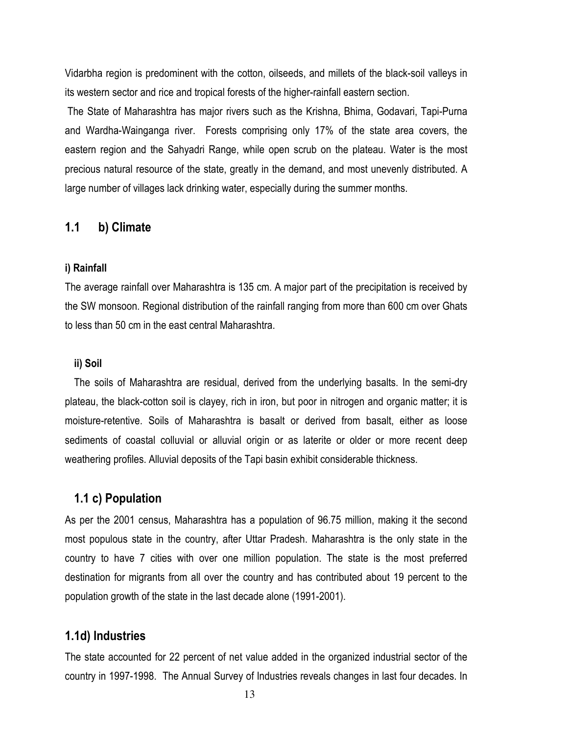Vidarbha region is predominent with the cotton, oilseeds, and millets of the black-soil valleys in its western sector and rice and tropical forests of the higher-rainfall eastern section.

The State of Maharashtra has major rivers such as the Krishna, Bhima, Godavari, Tapi-Purna and Wardha-Wainganga river. Forests comprising only 17% of the state area covers, the eastern region and the Sahyadri Range, while open scrub on the plateau. Water is the most precious natural resource of the state, greatly in the demand, and most unevenly distributed. A large number of villages lack drinking water, especially during the summer months.

#### $1.1$ b) Climate

#### i) Rainfall

The average rainfall over Maharashtra is 135 cm. A major part of the precipitation is received by the SW monsoon. Regional distribution of the rainfall ranging from more than 600 cm over Ghats to less than 50 cm in the east central Maharashtra.

#### ii) Soil

The soils of Maharashtra are residual, derived from the underlying basalts. In the semi-dry plateau, the black-cotton soil is clayey, rich in iron, but poor in nitrogen and organic matter; it is moisture-retentive. Soils of Maharashtra is basalt or derived from basalt, either as loose sediments of coastal colluvial or alluvial origin or as laterite or older or more recent deep weathering profiles. Alluvial deposits of the Tapi basin exhibit considerable thickness.

#### 1.1 c) Population

As per the 2001 census, Maharashtra has a population of 96.75 million, making it the second most populous state in the country, after Uttar Pradesh. Maharashtra is the only state in the country to have 7 cities with over one million population. The state is the most preferred destination for migrants from all over the country and has contributed about 19 percent to the population growth of the state in the last decade alone (1991-2001).

#### 1.1d) Industries

The state accounted for 22 percent of net value added in the organized industrial sector of the country in 1997-1998. The Annual Survey of Industries reveals changes in last four decades. In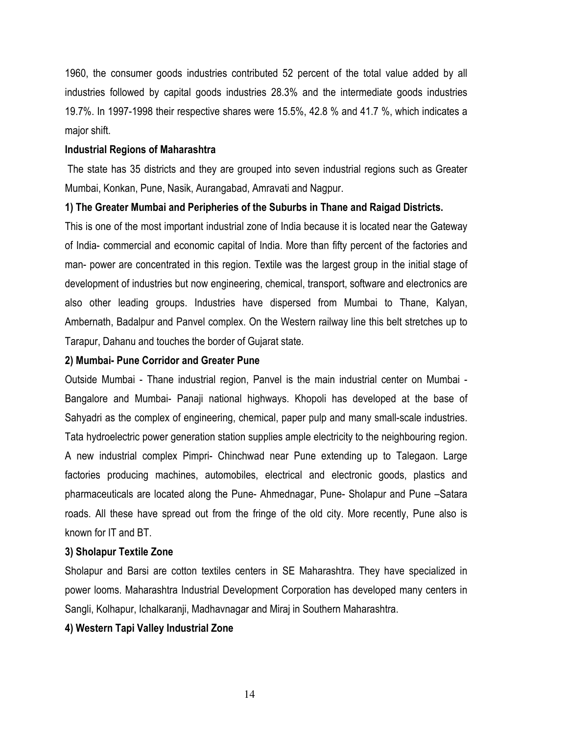1960, the consumer goods industries contributed 52 percent of the total value added by all industries followed by capital goods industries 28.3% and the intermediate goods industries 19.7%. In 1997-1998 their respective shares were 15.5%, 42.8 % and 41.7 %, which indicates a major shift.

#### **Industrial Regions of Maharashtra**

The state has 35 districts and they are grouped into seven industrial regions such as Greater Mumbai, Konkan, Pune, Nasik, Aurangabad, Amravati and Nagpur.

1) The Greater Mumbai and Peripheries of the Suburbs in Thane and Raigad Districts.

This is one of the most important industrial zone of India because it is located near the Gateway of India- commercial and economic capital of India. More than fifty percent of the factories and man- power are concentrated in this region. Textile was the largest group in the initial stage of development of industries but now engineering, chemical, transport, software and electronics are also other leading groups. Industries have dispersed from Mumbai to Thane, Kalyan, Ambernath, Badalpur and Panvel complex. On the Western railway line this belt stretches up to Tarapur, Dahanu and touches the border of Gujarat state.

#### 2) Mumbai- Pune Corridor and Greater Pune

Outside Mumbai - Thane industrial region, Panvel is the main industrial center on Mumbai -Bangalore and Mumbai- Panaji national highways. Khopoli has developed at the base of Sahyadri as the complex of engineering, chemical, paper pulp and many small-scale industries. Tata hydroelectric power generation station supplies ample electricity to the neighbouring region. A new industrial complex Pimpri- Chinchwad near Pune extending up to Talegaon. Large factories producing machines, automobiles, electrical and electronic goods, plastics and pharmaceuticals are located along the Pune-Ahmednagar, Pune-Sholapur and Pune -Satara roads. All these have spread out from the fringe of the old city. More recently, Pune also is known for IT and BT.

#### 3) Sholapur Textile Zone

Sholapur and Barsi are cotton textiles centers in SE Maharashtra. They have specialized in power looms. Maharashtra Industrial Development Corporation has developed many centers in Sangli, Kolhapur, Ichalkaranji, Madhavnagar and Miraj in Southern Maharashtra.

#### 4) Western Tapi Valley Industrial Zone

14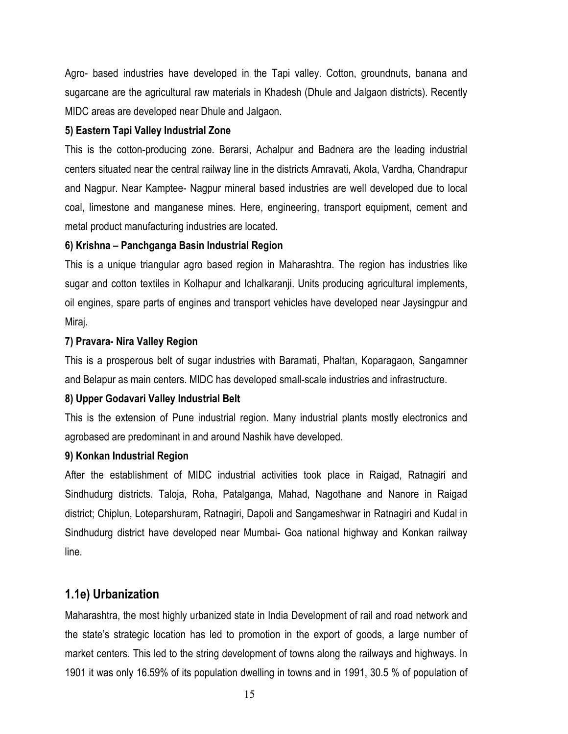Agro- based industries have developed in the Tapi valley. Cotton, groundnuts, banana and sugarcane are the agricultural raw materials in Khadesh (Dhule and Jalgaon districts). Recently MIDC areas are developed near Dhule and Jalgaon.

### 5) Eastern Tapi Valley Industrial Zone

This is the cotton-producing zone. Berarsi, Achalpur and Badnera are the leading industrial centers situated near the central railway line in the districts Amravati, Akola, Vardha, Chandrapur and Nagpur. Near Kamptee- Nagpur mineral based industries are well developed due to local coal, limestone and manganese mines. Here, engineering, transport equipment, cement and metal product manufacturing industries are located.

### 6) Krishna – Panchganga Basin Industrial Region

This is a unique triangular agro based region in Maharashtra. The region has industries like sugar and cotton textiles in Kolhapur and Ichalkaranji. Units producing agricultural implements, oil engines, spare parts of engines and transport vehicles have developed near Jaysingpur and Miraj.

### 7) Pravara- Nira Valley Region

This is a prosperous belt of sugar industries with Baramati, Phaltan, Koparagaon, Sangamner and Belapur as main centers. MIDC has developed small-scale industries and infrastructure.

#### 8) Upper Godavari Valley Industrial Belt

This is the extension of Pune industrial region. Many industrial plants mostly electronics and agrobased are predominant in and around Nashik have developed.

#### 9) Konkan Industrial Region

After the establishment of MIDC industrial activities took place in Raigad, Ratnagiri and Sindhudurg districts. Taloja, Roha, Patalganga, Mahad, Nagothane and Nanore in Raigad district; Chiplun, Loteparshuram, Ratnagiri, Dapoli and Sangameshwar in Ratnagiri and Kudal in Sindhudurg district have developed near Mumbai- Goa national highway and Konkan railway line.

### 1.1e) Urbanization

Maharashtra, the most highly urbanized state in India Development of rail and road network and the state's strategic location has led to promotion in the export of goods, a large number of market centers. This led to the string development of towns along the railways and highways. In 1901 it was only 16.59% of its population dwelling in towns and in 1991, 30.5 % of population of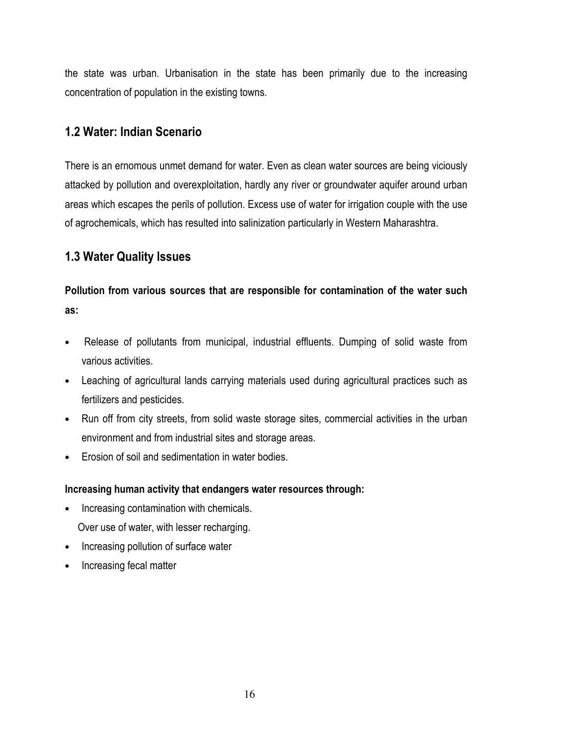the state was urban. Urbanisation in the state has been primarily due to the increasing concentration of population in the existing towns.

### 1.2 Water: Indian Scenario

There is an ernomous unmet demand for water. Even as clean water sources are being viciously attacked by pollution and overexploitation, hardly any river or groundwater aquifer around urban areas which escapes the perils of pollution. Excess use of water for irrigation couple with the use of agrochemicals, which has resulted into salinization particularly in Western Maharashtra.

## **1.3 Water Quality Issues**

## Pollution from various sources that are responsible for contamination of the water such as:

- Release of pollutants from municipal, industrial effluents. Dumping of solid waste from  $\bullet$ various activities.
- Leaching of agricultural lands carrying materials used during agricultural practices such as  $\bullet$ fertilizers and pesticides.
- Run off from city streets, from solid waste storage sites, commercial activities in the urban  $\bullet$ environment and from industrial sites and storage areas.
- Erosion of soil and sedimentation in water bodies.  $\bullet$

### Increasing human activity that endangers water resources through:

- Increasing contamination with chemicals.
	- Over use of water, with lesser recharging.
- Increasing pollution of surface water
- Increasing fecal matter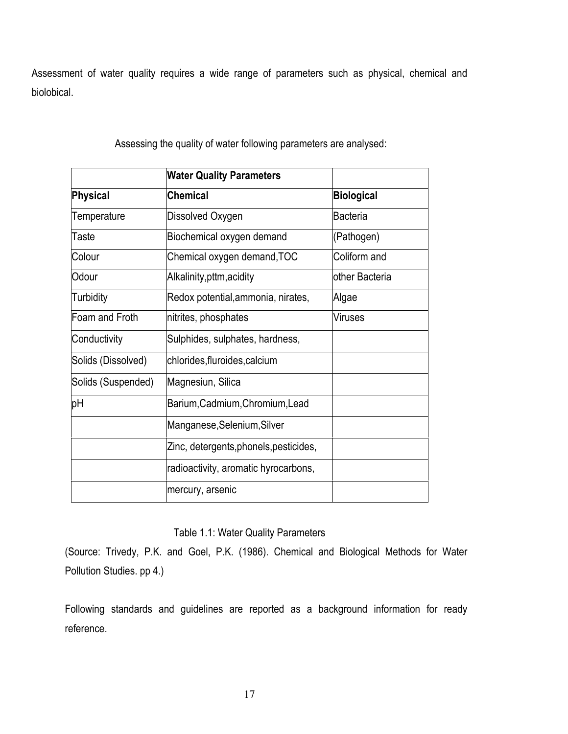Assessment of water quality requires a wide range of parameters such as physical, chemical and biolobical.

|                    | <b>Water Quality Parameters</b>        |                   |
|--------------------|----------------------------------------|-------------------|
| Physical           | <b>Chemical</b>                        | <b>Biological</b> |
| Temperature        | Dissolved Oxygen                       | <b>Bacteria</b>   |
| Taste              | Biochemical oxygen demand              | (Pathogen)        |
| Colour             | Chemical oxygen demand, TOC            | Coliform and      |
| Odour              | Alkalinity, pttm, acidity              | other Bacteria    |
| Turbidity          | Redox potential, ammonia, nirates,     | Algae             |
| Foam and Froth     | nitrites, phosphates                   | <b>Viruses</b>    |
| Conductivity       | Sulphides, sulphates, hardness,        |                   |
| Solids (Dissolved) | chlorides, fluroides, calcium          |                   |
| Solids (Suspended) | Magnesiun, Silica                      |                   |
| pH                 | Barium, Cadmium, Chromium, Lead        |                   |
|                    | Manganese, Selenium, Silver            |                   |
|                    | Zinc, detergents, phonels, pesticides, |                   |
|                    | radioactivity, aromatic hyrocarbons,   |                   |
|                    | mercury, arsenic                       |                   |

Assessing the quality of water following parameters are analysed:

### Table 1.1: Water Quality Parameters

(Source: Trivedy, P.K. and Goel, P.K. (1986). Chemical and Biological Methods for Water Pollution Studies. pp 4.)

Following standards and guidelines are reported as a background information for ready reference.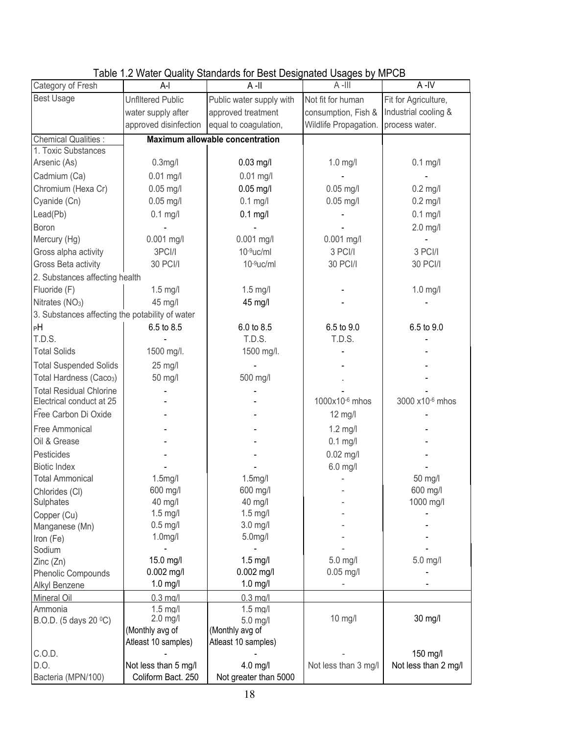|                                                 |                          | rapid n.e. match gaanty clanaardo for Boot Boolghatod Coagoo by infl OB |                       |                      |
|-------------------------------------------------|--------------------------|-------------------------------------------------------------------------|-----------------------|----------------------|
| Category of Fresh                               | A-l                      | $A$ -II                                                                 | $A$ -III              | A-IV                 |
| <b>Best Usage</b>                               | <b>Unflitered Public</b> | Public water supply with                                                | Not fit for human     | Fit for Agriculture, |
|                                                 | water supply after       | approved treatment                                                      | consumption, Fish &   | Industrial cooling & |
|                                                 | approved disinfection    | equal to coagulation,                                                   | Wildlife Propagation. | process water.       |
| <b>Chemical Qualities:</b>                      |                          | <b>Maximum allowable concentration</b>                                  |                       |                      |
| 1. Toxic Substances                             |                          |                                                                         |                       |                      |
| Arsenic (As)                                    | $0.3$ mg/l               | $0.03$ mg/l                                                             | $1.0$ mg/l            | $0.1$ mg/l           |
| Cadmium (Ca)                                    | $0.01$ mg/l              | $0.01$ mg/l                                                             |                       |                      |
| Chromium (Hexa Cr)                              | $0.05$ mg/l              | $0.05$ mg/l                                                             | $0.05$ mg/l           | $0.2$ mg/l           |
| Cyanide (Cn)                                    | $0.05$ mg/l              | $0.1$ mg/l                                                              | $0.05$ mg/l           | $0.2$ mg/l           |
| Lead(Pb)                                        | $0.1$ mg/l               | $0.1$ mg/l                                                              |                       | $0.1$ mg/l           |
| Boron                                           |                          |                                                                         |                       | $2.0$ mg/l           |
| Mercury (Hg)                                    | 0.001 mg/l               | 0.001 mg/l                                                              | 0.001 mg/l            |                      |
| Gross alpha activity                            | 3PCI/I                   | $10-9$ uc/ml                                                            | 3 PCI/I               | 3 PCI/I              |
| Gross Beta activity                             | 30 PCI/I                 | $10-9$ uc/ml                                                            | 30 PCI/I              | 30 PCI/I             |
| 2. Substances affecting health                  |                          |                                                                         |                       |                      |
| Fluoride (F)                                    | $1.5$ mg/l               | $1.5$ mg/l                                                              |                       | $1.0$ mg/l           |
| Nitrates (NO <sub>3</sub> )                     | 45 mg/l                  | 45 mg/l                                                                 |                       |                      |
| 3. Substances affecting the potability of water |                          |                                                                         |                       |                      |
| PН                                              | 6.5 to 8.5               | 6.0 to 8.5                                                              | 6.5 to 9.0            | 6.5 to 9.0           |
| T.D.S.                                          |                          | T.D.S.                                                                  | T.D.S.                |                      |
| <b>Total Solids</b>                             | 1500 mg/l.               | 1500 mg/l.                                                              |                       |                      |
| <b>Total Suspended Solids</b>                   | 25 mg/l                  |                                                                         |                       |                      |
| Total Hardness (Caco <sub>3</sub> )             | 50 mg/l                  | 500 mg/l                                                                |                       |                      |
| <b>Total Residual Chlorine</b>                  |                          |                                                                         |                       |                      |
| Electrical conduct at 25                        |                          |                                                                         | 1000x10-6 mhos        | 3000 x10-6 mhos      |
| Free Carbon Di Oxide                            |                          |                                                                         | 12 mg/l               |                      |
| Free Ammonical                                  |                          |                                                                         | $1.2$ mg/l            |                      |
| Oil & Grease                                    |                          |                                                                         | $0.1$ mg/l            |                      |
| Pesticides                                      |                          |                                                                         | $0.02$ mg/l           |                      |
| <b>Biotic Index</b>                             |                          |                                                                         | $6.0$ mg/l            |                      |
| <b>Total Ammonical</b>                          | 1.5mg/l                  | $1.5$ mg/l                                                              |                       | 50 mg/l              |
| Chlorides (CI)                                  | 600 mg/l                 | 600 mg/l                                                                |                       | 600 mg/l             |
| Sulphates                                       | 40 mg/l                  | 40 mg/l                                                                 |                       | 1000 mg/l            |
| Copper (Cu)                                     | $1.5$ mg/l               | $1.5$ mg/l                                                              |                       |                      |
| Manganese (Mn)                                  | $0.5$ mg/l               | $3.0$ mg/l                                                              |                       |                      |
| Iron (Fe)                                       | 1.0 <sub>m</sub> g/l     | 5.0 <sub>m</sub> g/l                                                    |                       |                      |
| Sodium                                          |                          |                                                                         |                       |                      |
| Zinc (Zn)                                       | 15.0 mg/l                | $1.5$ mg/l                                                              | $5.0$ mg/l            | 5.0 mg/l             |
| Phenolic Compounds                              | 0.002 mg/l               | $0.002$ mg/l                                                            | $0.05$ mg/l           |                      |
| Alkyl Benzene                                   | $1.0$ mg/l               | $1.0$ mg/l                                                              |                       |                      |
| Mineral Oil                                     | $0.3$ mg/l               | $0.3$ mg/l                                                              |                       |                      |
| Ammonia                                         | $1.5$ mg/l<br>$2.0$ mg/l | $1.5$ mg/l                                                              | $10$ mg/l             | 30 mg/l              |
| B.O.D. (5 days 20 °C)                           | (Monthly avg of          | $5.0$ mg/l<br>(Monthly avg of                                           |                       |                      |
|                                                 | Atleast 10 samples)      | Atleast 10 samples)                                                     |                       |                      |
| C.O.D.                                          |                          |                                                                         |                       | 150 mg/l             |
| D.O.                                            | Not less than 5 mg/l     | 4.0 mg/l                                                                | Not less than 3 mg/l  | Not less than 2 mg/l |
| Bacteria (MPN/100)                              | Coliform Bact. 250       | Not greater than 5000                                                   |                       |                      |

### Table 1.2 Water Quality Standards for Best Designated Usages by MPCB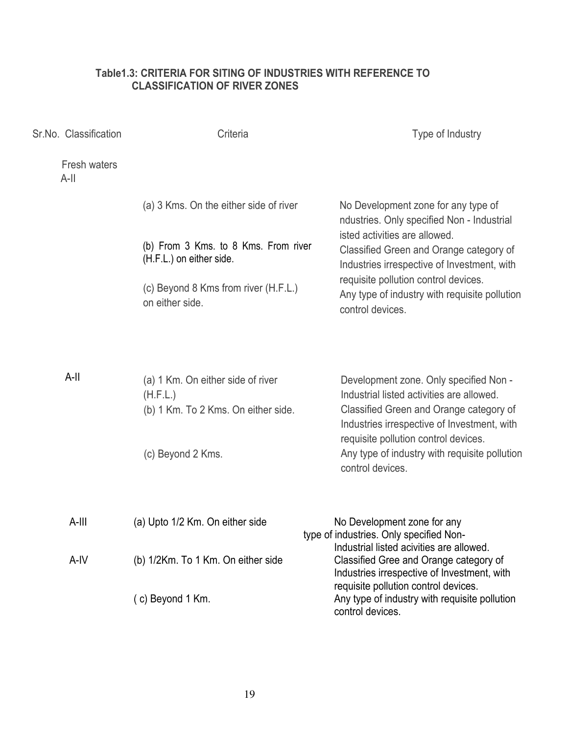### Table1.3: CRITERIA FOR SITING OF INDUSTRIES WITH REFERENCE TO **CLASSIFICATION OF RIVER ZONES**

| Sr.No. Classification |                         | Criteria                                                                             | Type of Industry                                                                                                                                                              |
|-----------------------|-------------------------|--------------------------------------------------------------------------------------|-------------------------------------------------------------------------------------------------------------------------------------------------------------------------------|
|                       | Fresh waters<br>$A$ -II |                                                                                      |                                                                                                                                                                               |
|                       |                         | (a) 3 Kms. On the either side of river                                               | No Development zone for any type of<br>ndustries. Only specified Non - Industrial                                                                                             |
|                       |                         | (b) From 3 Kms. to 8 Kms. From river<br>(H.F.L.) on either side.                     | isted activities are allowed.<br>Classified Green and Orange category of<br>Industries irrespective of Investment, with                                                       |
|                       |                         | (c) Beyond 8 Kms from river (H.F.L.)<br>on either side.                              | requisite pollution control devices.<br>Any type of industry with requisite pollution<br>control devices.                                                                     |
|                       |                         |                                                                                      |                                                                                                                                                                               |
|                       | $A-II$                  | (a) 1 Km. On either side of river<br>(H.F.L.)<br>(b) 1 Km. To 2 Kms. On either side. | Development zone. Only specified Non -<br>Industrial listed activities are allowed.<br>Classified Green and Orange category of<br>Industries irrespective of Investment, with |
|                       |                         | (c) Beyond 2 Kms.                                                                    | requisite pollution control devices.<br>Any type of industry with requisite pollution<br>control devices.                                                                     |
|                       | $A$ -III                | (a) Upto 1/2 Km. On either side                                                      | No Development zone for any<br>type of industries. Only specified Non-                                                                                                        |
|                       | A-IV                    | (b) 1/2Km. To 1 Km. On either side                                                   | Industrial listed acivities are allowed.<br>Classified Gree and Orange category of<br>Industries irrespective of Investment, with                                             |
|                       |                         | (c) Beyond 1 Km.                                                                     | requisite pollution control devices.<br>Any type of industry with requisite pollution<br>control devices.                                                                     |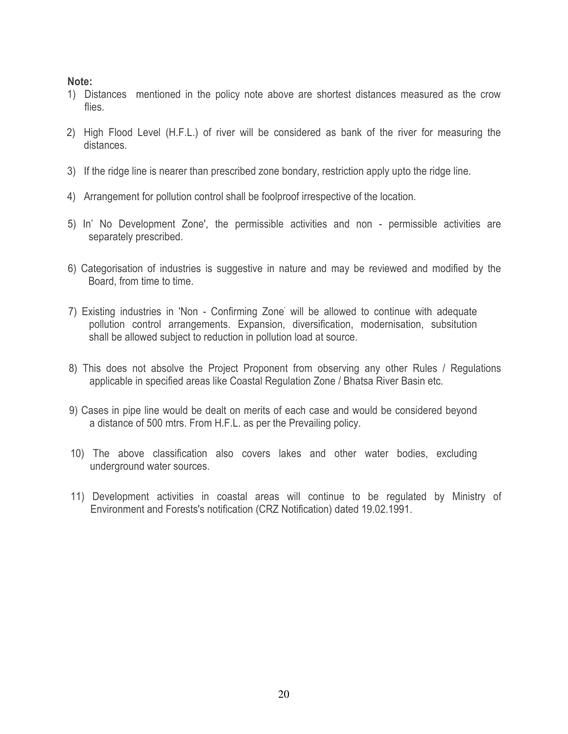### Note:

- 1) Distances mentioned in the policy note above are shortest distances measured as the crow flies.
- 2) High Flood Level (H.F.L.) of river will be considered as bank of the river for measuring the distances.
- 3) If the ridge line is nearer than prescribed zone bondary, restriction apply upto the ridge line.
- 4) Arrangement for pollution control shall be foolproof irrespective of the location.
- 5) In' No Development Zone', the permissible activities and non permissible activities are separately prescribed.
- 6) Categorisation of industries is suggestive in nature and may be reviewed and modified by the Board, from time to time.
- 7) Existing industries in 'Non Confirming Zone' will be allowed to continue with adequate pollution control arrangements. Expansion, diversification, modernisation, subsitution shall be allowed subject to reduction in pollution load at source.
- 8) This does not absolve the Project Proponent from observing any other Rules / Regulations applicable in specified areas like Coastal Regulation Zone / Bhatsa River Basin etc.
- 9) Cases in pipe line would be dealt on merits of each case and would be considered beyond a distance of 500 mtrs. From H.F.L. as per the Prevailing policy.
- 10) The above classification also covers lakes and other water bodies, excluding underground water sources.
- 11) Development activities in coastal areas will continue to be regulated by Ministry of Environment and Forests's notification (CRZ Notification) dated 19.02.1991.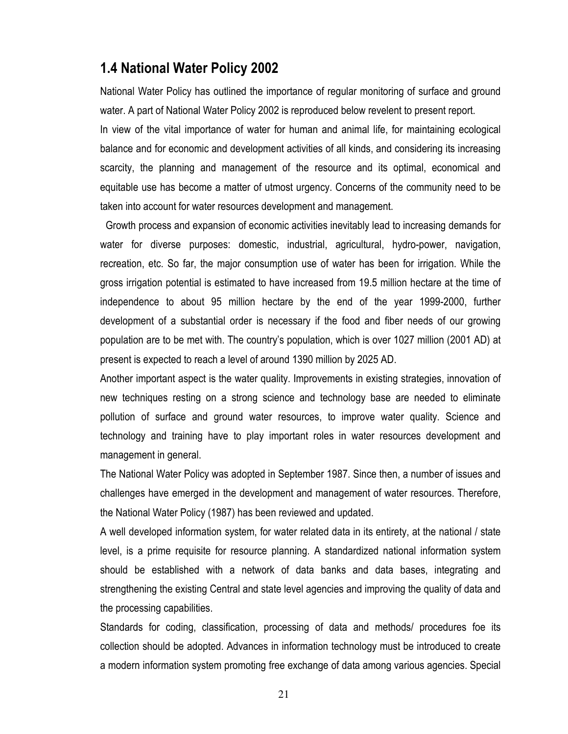### 1.4 National Water Policy 2002

National Water Policy has outlined the importance of regular monitoring of surface and ground water. A part of National Water Policy 2002 is reproduced below revelent to present report.

In view of the vital importance of water for human and animal life, for maintaining ecological balance and for economic and development activities of all kinds, and considering its increasing scarcity, the planning and management of the resource and its optimal, economical and equitable use has become a matter of utmost urgency. Concerns of the community need to be taken into account for water resources development and management.

Growth process and expansion of economic activities inevitably lead to increasing demands for water for diverse purposes: domestic, industrial, agricultural, hydro-power, navigation, recreation, etc. So far, the major consumption use of water has been for irrigation. While the gross irrigation potential is estimated to have increased from 19.5 million hectare at the time of independence to about 95 million hectare by the end of the year 1999-2000, further development of a substantial order is necessary if the food and fiber needs of our growing population are to be met with. The country's population, which is over 1027 million (2001 AD) at present is expected to reach a level of around 1390 million by 2025 AD.

Another important aspect is the water quality. Improvements in existing strategies, innovation of new techniques resting on a strong science and technology base are needed to eliminate pollution of surface and ground water resources, to improve water quality. Science and technology and training have to play important roles in water resources development and management in general.

The National Water Policy was adopted in September 1987. Since then, a number of issues and challenges have emerged in the development and management of water resources. Therefore, the National Water Policy (1987) has been reviewed and updated.

A well developed information system, for water related data in its entirety, at the national / state level, is a prime requisite for resource planning. A standardized national information system should be established with a network of data banks and data bases, integrating and strengthening the existing Central and state level agencies and improving the quality of data and the processing capabilities.

Standards for coding, classification, processing of data and methods/ procedures foe its collection should be adopted. Advances in information technology must be introduced to create a modern information system promoting free exchange of data among various agencies. Special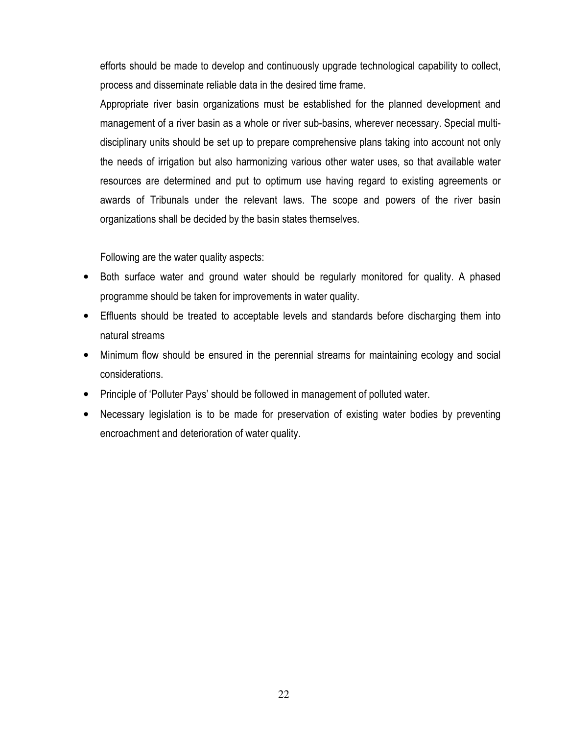efforts should be made to develop and continuously upgrade technological capability to collect, process and disseminate reliable data in the desired time frame.

Appropriate river basin organizations must be established for the planned development and management of a river basin as a whole or river sub-basins, wherever necessary. Special multidisciplinary units should be set up to prepare comprehensive plans taking into account not only the needs of irrigation but also harmonizing various other water uses, so that available water resources are determined and put to optimum use having regard to existing agreements or awards of Tribunals under the relevant laws. The scope and powers of the river basin organizations shall be decided by the basin states themselves.

Following are the water quality aspects:

- Both surface water and ground water should be regularly monitored for quality. A phased  $\bullet$ programme should be taken for improvements in water quality.
- Effluents should be treated to acceptable levels and standards before discharging them into natural streams
- $\bullet$ Minimum flow should be ensured in the perennial streams for maintaining ecology and social considerations.
- Principle of 'Polluter Pays' should be followed in management of polluted water.
- Necessary legislation is to be made for preservation of existing water bodies by preventing encroachment and deterioration of water quality.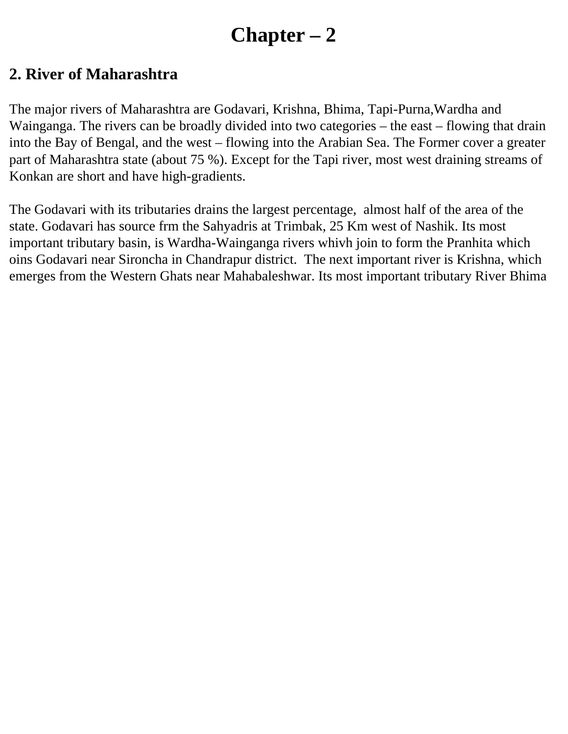# **Chapter – 2**

## **2. River of Maharashtra**

The major rivers of Maharashtra are Godavari, Krishna, Bhima, Tapi-Purna,Wardha and Wainganga. The rivers can be broadly divided into two categories – the east – flowing that drain into the Bay of Bengal, and the west – flowing into the Arabian Sea. The Former cover a greater part of Maharashtra state (about 75 %). Except for the Tapi river, most west draining streams of Konkan are short and have high-gradients.

The Godavari with its tributaries drains the largest percentage, almost half of the area of the state. Godavari has source frm the Sahyadris at Trimbak, 25 Km west of Nashik. Its most important tributary basin, is Wardha-Wainganga rivers whivh join to form the Pranhita which oins Godavari near Sironcha in Chandrapur district. The next important river is Krishna, which emerges from the Western Ghats near Mahabaleshwar. Its most important tributary River Bhima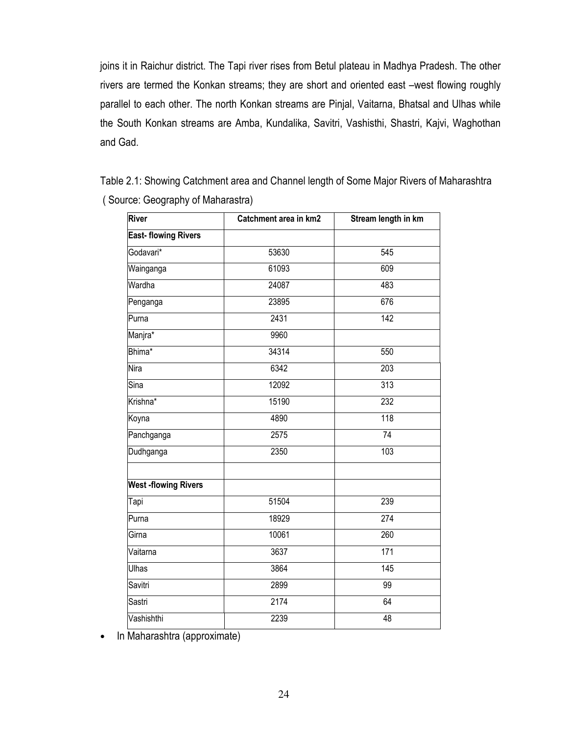joins it in Raichur district. The Tapi river rises from Betul plateau in Madhya Pradesh. The other rivers are termed the Konkan streams; they are short and oriented east -west flowing roughly parallel to each other. The north Konkan streams are Pinjal, Vaitarna, Bhatsal and Ulhas while the South Konkan streams are Amba, Kundalika, Savitri, Vashisthi, Shastri, Kajvi, Waghothan and Gad.

Table 2.1: Showing Catchment area and Channel length of Some Major Rivers of Maharashtra (Source: Geography of Maharastra)

| River                      | Catchment area in km2 | Stream length in km |  |
|----------------------------|-----------------------|---------------------|--|
| <b>East-flowing Rivers</b> |                       |                     |  |
| Godavari*                  | 53630                 | 545                 |  |
| Wainganga                  | 61093                 | 609                 |  |
| Wardha                     | 24087                 | 483                 |  |
| Penganga                   | 23895                 | 676                 |  |
| Purna                      | 2431                  | $\overline{142}$    |  |
| Manjra*                    | 9960                  |                     |  |
| Bhima*                     | 34314                 | 550                 |  |
| <b>Nira</b>                | 6342                  | $\overline{203}$    |  |
| Sina                       | 12092                 | 313                 |  |
| Krishna*                   | 15190                 | 232                 |  |
| Koyna                      | 4890                  | 118                 |  |
| Panchganga                 | 2575                  | $\overline{74}$     |  |
| Dudhganga                  | 2350                  | 103                 |  |
| <b>West-flowing Rivers</b> |                       |                     |  |
| Tapi                       | 51504                 | 239                 |  |
| Purna                      | 18929                 | 274                 |  |
| Girna                      | 10061                 | 260                 |  |
| Vaitarna                   | 3637                  | 171                 |  |
| Ulhas                      | 3864                  | 145                 |  |
| Savitri                    | 2899                  | 99                  |  |
| Sastri                     | 2174                  | 64                  |  |
| Vashishthi                 | 2239                  | 48                  |  |

In Maharashtra (approximate)  $\bullet$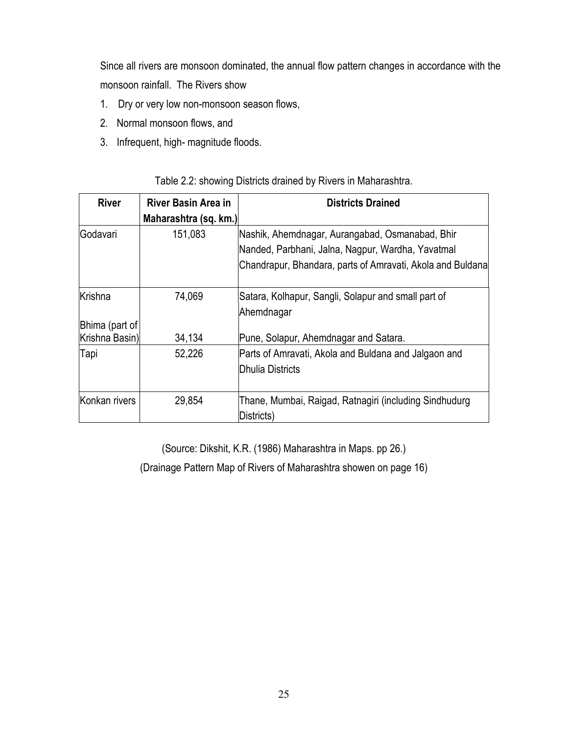Since all rivers are monsoon dominated, the annual flow pattern changes in accordance with the monsoon rainfall. The Rivers show

- 1. Dry or very low non-monsoon season flows,
- 2. Normal monsoon flows, and
- 3. Infrequent, high-magnitude floods.

| <b>River</b>   | River Basin Area in<br>Maharashtra (sq. km.) | <b>Districts Drained</b>                                                                             |
|----------------|----------------------------------------------|------------------------------------------------------------------------------------------------------|
| Godavari       | 151,083                                      | Nashik, Ahemdnagar, Aurangabad, Osmanabad, Bhir<br>Nanded, Parbhani, Jalna, Nagpur, Wardha, Yavatmal |
|                |                                              | Chandrapur, Bhandara, parts of Amravati, Akola and Buldana                                           |
| Krishna        | 74,069                                       | Satara, Kolhapur, Sangli, Solapur and small part of<br>Ahemdnagar                                    |
| Bhima (part of |                                              |                                                                                                      |
| Krishna Basin) | 34,134                                       | Pune, Solapur, Ahemdnagar and Satara.                                                                |
| Tapi           | 52,226                                       | Parts of Amravati, Akola and Buldana and Jalgaon and<br>lDhulia Districts                            |
| Konkan rivers  | 29,854                                       | Thane, Mumbai, Raigad, Ratnagiri (including Sindhudurg<br>Districts)                                 |

### Table 2.2: showing Districts drained by Rivers in Maharashtra.

(Source: Dikshit, K.R. (1986) Maharashtra in Maps. pp 26.)

(Drainage Pattern Map of Rivers of Maharashtra showen on page 16)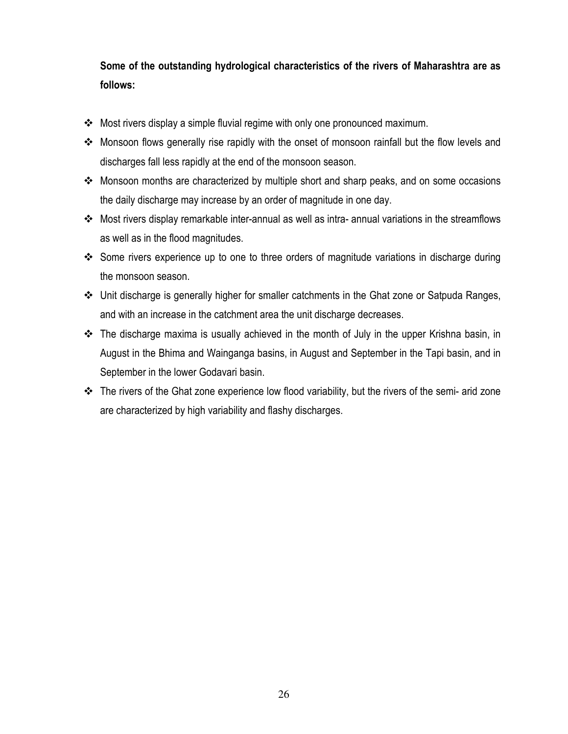## Some of the outstanding hydrological characteristics of the rivers of Maharashtra are as follows:

- Most rivers display a simple fluvial regime with only one pronounced maximum.
- \* Monsoon flows generally rise rapidly with the onset of monsoon rainfall but the flow levels and discharges fall less rapidly at the end of the monsoon season.
- \* Monsoon months are characterized by multiple short and sharp peaks, and on some occasions the daily discharge may increase by an order of magnitude in one day.
- Most rivers display remarkable inter-annual as well as intra- annual variations in the streamflows as well as in the flood magnitudes.
- ❖ Some rivers experience up to one to three orders of magnitude variations in discharge during the monsoon season.
- ❖ Unit discharge is generally higher for smaller catchments in the Ghat zone or Satpuda Ranges, and with an increase in the catchment area the unit discharge decreases.
- **\*** The discharge maxima is usually achieved in the month of July in the upper Krishna basin, in August in the Bhima and Wainganga basins, in August and September in the Tapi basin, and in September in the lower Godavari basin.
- The rivers of the Ghat zone experience low flood variability, but the rivers of the semi- arid zone are characterized by high variability and flashy discharges.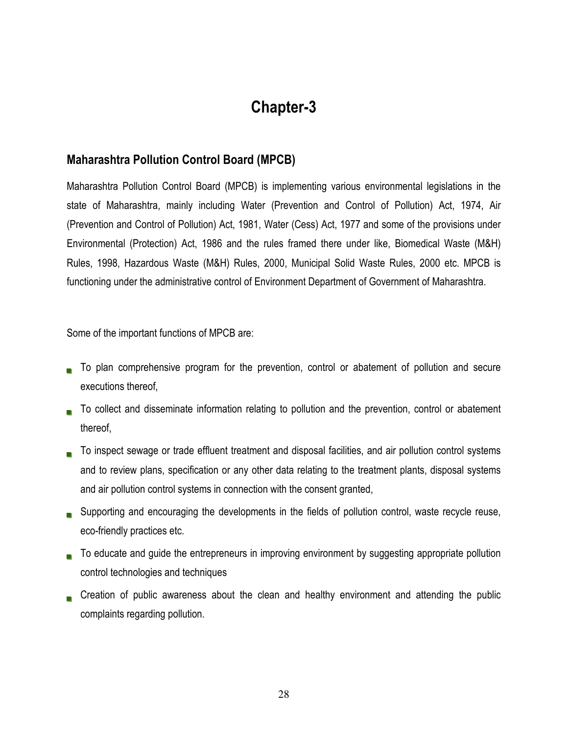## **Chapter-3**

### **Maharashtra Pollution Control Board (MPCB)**

Maharashtra Pollution Control Board (MPCB) is implementing various environmental legislations in the state of Maharashtra, mainly including Water (Prevention and Control of Pollution) Act, 1974, Air (Prevention and Control of Pollution) Act, 1981, Water (Cess) Act, 1977 and some of the provisions under Environmental (Protection) Act, 1986 and the rules framed there under like, Biomedical Waste (M&H) Rules, 1998, Hazardous Waste (M&H) Rules, 2000, Municipal Solid Waste Rules, 2000 etc. MPCB is functioning under the administrative control of Environment Department of Government of Maharashtra.

Some of the important functions of MPCB are:

- To plan comprehensive program for the prevention, control or abatement of pollution and secure executions thereof,
- To collect and disseminate information relating to pollution and the prevention, control or abatement thereof.
- To inspect sewage or trade effluent treatment and disposal facilities, and air pollution control systems and to review plans, specification or any other data relating to the treatment plants, disposal systems and air pollution control systems in connection with the consent granted,
- Supporting and encouraging the developments in the fields of pollution control, waste recycle reuse, eco-friendly practices etc.
- To educate and guide the entrepreneurs in improving environment by suggesting appropriate pollution control technologies and techniques
- Creation of public awareness about the clean and healthy environment and attending the public complaints regarding pollution.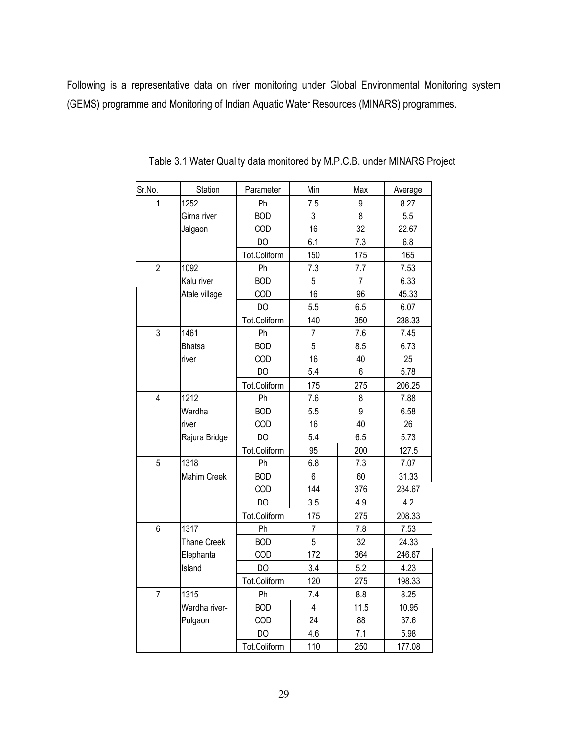Following is a representative data on river monitoring under Global Environmental Monitoring system (GEMS) programme and Monitoring of Indian Aquatic Water Resources (MINARS) programmes.

| Sr.No.         | Station            | Parameter      | Min            | Max            | Average |
|----------------|--------------------|----------------|----------------|----------------|---------|
| 1              | 1252               | Ph             | 7.5            | 9              | 8.27    |
|                | Girna river        | <b>BOD</b>     | 3              | 8              | 5.5     |
|                | Jalgaon            | COD            | 16             | 32             | 22.67   |
|                |                    | DO             | 6.1            | 7.3            | 6.8     |
|                |                    | Tot.Coliform   | 150            | 175            | 165     |
| $\overline{2}$ | 1092               | Ph             | 7.3            | 7.7            | 7.53    |
|                | Kalu river         | <b>BOD</b>     | 5              | $\overline{7}$ | 6.33    |
|                | Atale village      | COD            | 16             | 96             | 45.33   |
|                |                    | DO             | 5.5            | 6.5            | 6.07    |
|                |                    | Tot.Coliform   | 140            | 350            | 238.33  |
| 3              | 1461               | Ph             | $\overline{7}$ | 7.6            | 7.45    |
|                | <b>Bhatsa</b>      | <b>BOD</b>     | 5              | 8.5            | 6.73    |
|                | river              | COD            | 16             | 40             | 25      |
|                |                    | DO             | 5.4            | 6              | 5.78    |
|                |                    | Tot.Coliform   | 175            | 275            | 206.25  |
| $\overline{4}$ | 1212               | Ph             | 7.6            | 8              | 7.88    |
|                | Wardha             | <b>BOD</b>     | 5.5            | 9              | 6.58    |
|                | river              | COD            | 16             | 40             | 26      |
|                | Rajura Bridge      | <b>DO</b>      | 5.4            | 6.5            | 5.73    |
|                |                    | Tot.Coliform   | 95             | 200            | 127.5   |
| 5              | 1318               | Ph             | 6.8            | 7.3            | 7.07    |
|                | <b>Mahim Creek</b> | <b>BOD</b>     | 6              | 60             | 31.33   |
|                |                    | COD            | 144            | 376            | 234.67  |
|                |                    | DO             | 3.5            | 4.9            | 4.2     |
|                |                    | Tot.Coliform   | 175            | 275            | 208.33  |
| 6              | 1317               | Ph             | $\overline{7}$ | 7.8            | 7.53    |
|                | <b>Thane Creek</b> | <b>BOD</b>     | 5              | 32             | 24.33   |
|                | Elephanta          | COD            | 172            | 364            | 246.67  |
|                | Island             | DO             | 3.4            | 5.2            | 4.23    |
|                |                    | Tot.Coliform   | 120            | 275            | 198.33  |
| $\overline{7}$ | 1315               | Ph             | 7.4            | 8.8            | 8.25    |
|                | Wardha river-      | <b>BOD</b>     | $\overline{4}$ | 11.5           | 10.95   |
|                | Pulgaon            | COD            | 24             | 88             | 37.6    |
|                |                    | D <sub>O</sub> | 4.6            | 7.1            | 5.98    |
|                |                    | Tot.Coliform   | 110            | 250            | 177.08  |

Table 3.1 Water Quality data monitored by M.P.C.B. under MINARS Project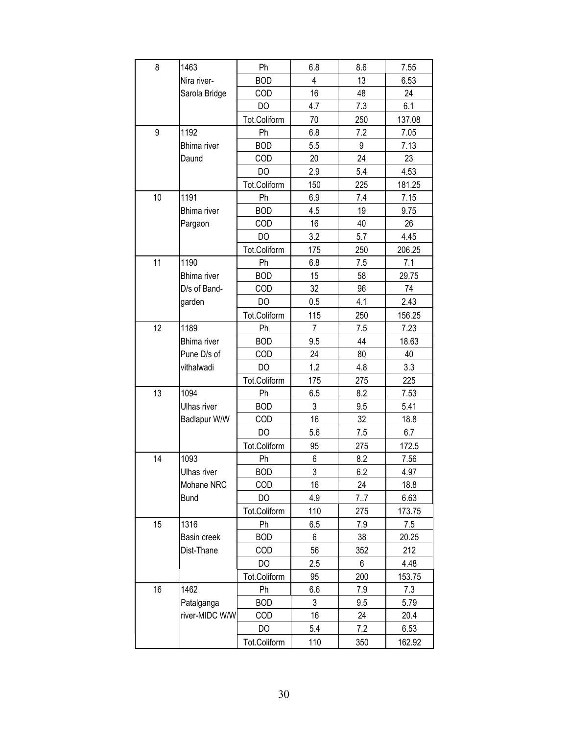| 8  | 1463               | Ph             | 6.8            | 8.6 | 7.55   |
|----|--------------------|----------------|----------------|-----|--------|
|    | Nira river-        | <b>BOD</b>     | 4              | 13  | 6.53   |
|    | Sarola Bridge      | COD            | 16             | 48  | 24     |
|    |                    | D <sub>O</sub> | 4.7            | 7.3 | 6.1    |
|    |                    | Tot.Coliform   | 70             | 250 | 137.08 |
| 9  | 1192               | Ph             | 6.8            | 7.2 | 7.05   |
|    | <b>Bhima</b> river | <b>BOD</b>     | 5.5            | 9   | 7.13   |
|    | Daund              | COD            | 20             | 24  | 23     |
|    |                    | DO             | 2.9            | 5.4 | 4.53   |
|    |                    | Tot.Coliform   | 150            | 225 | 181.25 |
| 10 | 1191               | Ph             | 6.9            | 7.4 | 7.15   |
|    | <b>Bhima</b> river | <b>BOD</b>     | 4.5            | 19  | 9.75   |
|    | Pargaon            | COD            | 16             | 40  | 26     |
|    |                    | DO             | 3.2            | 5.7 | 4.45   |
|    |                    | Tot.Coliform   | 175            | 250 | 206.25 |
| 11 | 1190               | Ph             | 6.8            | 7.5 | 7.1    |
|    | <b>Bhima</b> river | <b>BOD</b>     | 15             | 58  | 29.75  |
|    | D/s of Band-       | COD            | 32             | 96  | 74     |
|    | garden             | DO             | 0.5            | 4.1 | 2.43   |
|    |                    | Tot.Coliform   | 115            | 250 | 156.25 |
| 12 | 1189               | Ph             | $\overline{7}$ | 7.5 | 7.23   |
|    | <b>Bhima</b> river | <b>BOD</b>     | 9.5            | 44  | 18.63  |
|    | Pune D/s of        | COD            | 24             | 80  | 40     |
|    | vithalwadi         | DO             | 1.2            | 4.8 | 3.3    |
|    |                    | Tot.Coliform   | 175            | 275 | 225    |
| 13 | 1094               | Ph             | 6.5            | 8.2 | 7.53   |
|    | <b>Ulhas river</b> | <b>BOD</b>     | $\mathfrak{Z}$ | 9.5 | 5.41   |
|    | Badlapur W/W       | COD            | 16             | 32  | 18.8   |
|    |                    | DO             | 5.6            | 7.5 | 6.7    |
|    |                    | Tot.Coliform   | 95             | 275 | 172.5  |
| 14 | 1093               | Ph             | 6              | 8.2 | 7.56   |
|    | Ulhas river        | ROD.           | 3              | 6.2 | 4.97   |
|    | Mohane NRC         | COD            | 16             | 24  | 18.8   |
|    | <b>Bund</b>        | DO             | 4.9            | 7.7 | 6.63   |
|    |                    | Tot.Coliform   | 110            | 275 | 173.75 |
| 15 | 1316               | Ph             | 6.5            | 7.9 | 7.5    |
|    | Basin creek        | <b>BOD</b>     | 6              | 38  | 20.25  |
|    | Dist-Thane         | <b>COD</b>     | 56             | 352 | 212    |
|    |                    | DO             | 2.5            | 6   | 4.48   |
|    |                    | Tot.Coliform   | 95             | 200 | 153.75 |
| 16 | 1462               | Ph             | 6.6            | 7.9 | 7.3    |
|    | Patalganga         | <b>BOD</b>     | 3              | 9.5 | 5.79   |
|    | river-MIDC W/W     | COD            | 16             | 24  | 20.4   |
|    |                    | DO             | 5.4            | 7.2 | 6.53   |
|    |                    | Tot.Coliform   | 110            | 350 | 162.92 |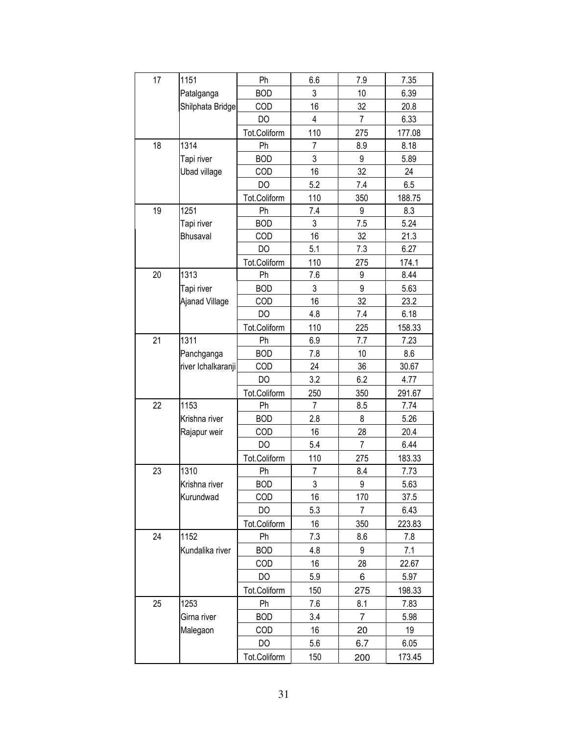| 17 | 1151                | Ph           | 6.6            | 7.9            | 7.35   |
|----|---------------------|--------------|----------------|----------------|--------|
|    | Patalganga          | <b>BOD</b>   | 3              | 10             | 6.39   |
|    | Shilphata Bridge    | COD          | 16             | 32             | 20.8   |
|    |                     | DO           | 4              | $\overline{7}$ | 6.33   |
|    |                     | Tot.Coliform | 110            | 275            | 177.08 |
| 18 | 1314                | Ph           | $\overline{7}$ | 8.9            | 8.18   |
|    | Tapi river          | <b>BOD</b>   | 3              | 9              | 5.89   |
|    | <b>Ubad village</b> | COD          | 16             | 32             | 24     |
|    |                     | DO           | 5.2            | 7.4            | 6.5    |
|    |                     | Tot.Coliform | 110            | 350            | 188.75 |
| 19 | 1251                | Ph           | 7.4            | 9              | 8.3    |
|    | Tapi river          | <b>BOD</b>   | 3              | 7.5            | 5.24   |
|    | <b>Bhusaval</b>     | COD          | 16             | 32             | 21.3   |
|    |                     | DO           | 5.1            | 7.3            | 6.27   |
|    |                     | Tot.Coliform | 110            | 275            | 174.1  |
| 20 | 1313                | Ph           | 7.6            | 9              | 8.44   |
|    | Tapi river          | <b>BOD</b>   | 3              | 9              | 5.63   |
|    | Ajanad Village      | COD          | 16             | 32             | 23.2   |
|    |                     | DO           | 4.8            | 7.4            | 6.18   |
|    |                     | Tot.Coliform | 110            | 225            | 158.33 |
| 21 | 1311                | Ph           | 6.9            | 7.7            | 7.23   |
|    | Panchganga          | <b>BOD</b>   | 7.8            | 10             | 8.6    |
|    | river Ichalkaranji  | COD          | 24             | 36             | 30.67  |
|    |                     | DO           | 3.2            | 6.2            | 4.77   |
|    |                     | Tot.Coliform | 250            | 350            | 291.67 |
| 22 | 1153                | Ph           | 7              | 8.5            | 7.74   |
|    | Krishna river       | <b>BOD</b>   | 2.8            | 8              | 5.26   |
|    | Rajapur weir        | COD          | 16             | 28             | 20.4   |
|    |                     | DO           | 5.4            | 7              | 6.44   |
|    |                     | Tot.Coliform | 110            | 275            | 183.33 |
| 23 | 1310                | Ph           | $\overline{7}$ | 8.4            | 7.73   |
|    | Krishna river       | <b>BOD</b>   | 3              | 9              | 5.63   |
|    | Kurundwad           | COD          | 16             | 170            | 37.5   |
|    |                     | DO           | 5.3            | 7              | 6.43   |
|    |                     | Tot.Coliform | 16             | 350            | 223.83 |
| 24 | 1152                | Ph           | 7.3            | 8.6            | 7.8    |
|    | Kundalika river     | <b>BOD</b>   | 4.8            | 9              | 7.1    |
|    |                     | <b>COD</b>   | 16             | 28             | 22.67  |
|    |                     | DO           | 5.9            | 6              | 5.97   |
|    |                     | Tot.Coliform | 150            | 275            | 198.33 |
| 25 | 1253                | Ph           | 7.6            | 8.1            | 7.83   |
|    | Girna river         | <b>BOD</b>   | 3.4            | 7              | 5.98   |
|    | Malegaon            | <b>COD</b>   | 16             | 20             | 19     |
|    |                     | DO           | 5.6            | 6.7            | 6.05   |
|    |                     | Tot.Coliform | 150            | 200            | 173.45 |
|    |                     |              |                |                |        |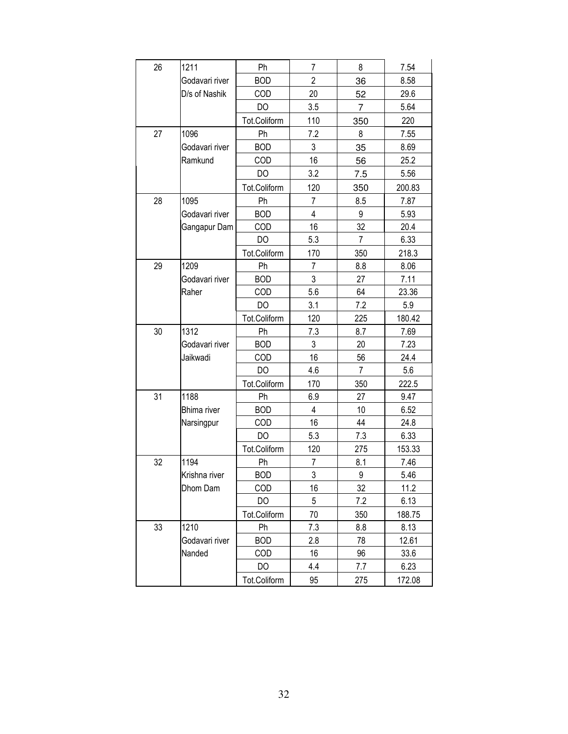| 26 | 1211               | Ph           | 7              | 8              | 7.54   |
|----|--------------------|--------------|----------------|----------------|--------|
|    | Godavari river     | <b>BOD</b>   | $\overline{2}$ | 36             | 8.58   |
|    | D/s of Nashik      | COD          | 20             | 52             | 29.6   |
|    |                    | DO           | 3.5            | $\overline{7}$ | 5.64   |
|    |                    | Tot.Coliform | 110            | 350            | 220    |
| 27 | 1096               | Ph           | 7.2            | 8              | 7.55   |
|    | Godavari river     | <b>BOD</b>   | 3              | 35             | 8.69   |
|    | Ramkund            | COD          | 16             | 56             | 25.2   |
|    |                    | DO           | 3.2            | 7.5            | 5.56   |
|    |                    | Tot.Coliform | 120            | 350            | 200.83 |
| 28 | 1095               | Ph           | $\overline{7}$ | 8.5            | 7.87   |
|    | Godavari river     | <b>BOD</b>   | 4              | 9              | 5.93   |
|    | Gangapur Dam       | COD          | 16             | 32             | 20.4   |
|    |                    | DO           | 5.3            | $\overline{7}$ | 6.33   |
|    |                    | Tot.Coliform | 170            | 350            | 218.3  |
| 29 | 1209               | Ph           | $\overline{7}$ | 8.8            | 8.06   |
|    | Godavari river     | <b>BOD</b>   | 3              | 27             | 7.11   |
|    | Raher              | COD          | 5.6            | 64             | 23.36  |
|    |                    | DO           | 3.1            | 7.2            | 5.9    |
|    |                    | Tot.Coliform | 120            | 225            | 180.42 |
| 30 | 1312               | Ph           | 7.3            | 8.7            | 7.69   |
|    | Godavari river     | <b>BOD</b>   | 3              | 20             | 7.23   |
|    | Jaikwadi           | COD          | 16             | 56             | 24.4   |
|    |                    | DO           | 4.6            | 7              | 5.6    |
|    |                    | Tot.Coliform | 170            | 350            | 222.5  |
| 31 | 1188               | Ph           | 6.9            | 27             | 9.47   |
|    | <b>Bhima</b> river | <b>BOD</b>   | 4              | 10             | 6.52   |
|    | Narsingpur         | COD          | 16             | 44             | 24.8   |
|    |                    | DO           | 5.3            | 7.3            | 6.33   |
|    |                    | Tot.Coliform | 120            | 275            | 153.33 |
| 32 | 1194               | Ph           | $\overline{7}$ | 8.1            | 7.46   |
|    | Krishna river      | <b>BOD</b>   | 3              | 9              | 5.46   |
|    | Dhom Dam           | COD          | 16             | 32             | 11.2   |
|    |                    | DO           | 5              | 7.2            | 6.13   |
|    |                    | Tot.Coliform | 70             | 350            | 188.75 |
| 33 | 1210               | Ph           | 7.3            | 8.8            | 8.13   |
|    | Godavari river     | <b>BOD</b>   | 2.8            | 78             | 12.61  |
|    | Nanded             | <b>COD</b>   | 16             | 96             | 33.6   |
|    |                    | DO           | 4.4            | 7.7            | 6.23   |
|    |                    | Tot.Coliform | 95             | 275            | 172.08 |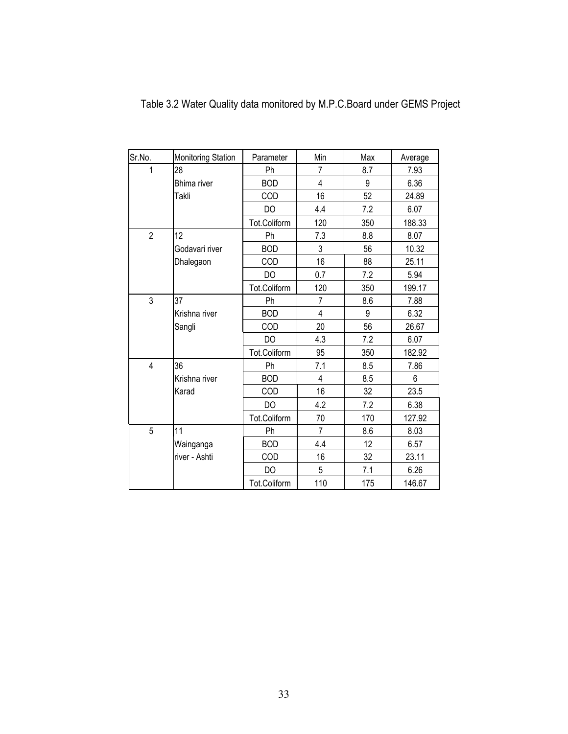| Sr.No.                  | <b>Monitoring Station</b> | Parameter    | Min            | Max | Average |
|-------------------------|---------------------------|--------------|----------------|-----|---------|
| 1                       | 28                        | Ph           | 7              | 8.7 | 7.93    |
|                         | <b>Bhima</b> river        | <b>BOD</b>   | 4              | 9   | 6.36    |
|                         | Takli                     | COD          | 16             | 52  | 24.89   |
|                         |                           | DO           | 4.4            | 7.2 | 6.07    |
|                         |                           | Tot.Coliform | 120            | 350 | 188.33  |
| $\overline{2}$          | 12                        | Ph           | 7.3            | 8.8 | 8.07    |
|                         | Godavari river            | <b>BOD</b>   | 3              | 56  | 10.32   |
|                         | Dhalegaon                 | COD          | 16             | 88  | 25.11   |
|                         |                           | DO           | 0.7            | 7.2 | 5.94    |
|                         |                           | Tot.Coliform | 120            | 350 | 199.17  |
| $\mathfrak{Z}$          | 37                        | Ph           | $\overline{7}$ | 8.6 | 7.88    |
|                         | Krishna river             | <b>BOD</b>   | $\overline{4}$ | 9   | 6.32    |
|                         | Sangli                    | COD          | 20             | 56  | 26.67   |
|                         |                           | DO           | 4.3            | 7.2 | 6.07    |
|                         |                           | Tot.Coliform | 95             | 350 | 182.92  |
| $\overline{\mathbf{4}}$ | 36                        | Ph           | 7.1            | 8.5 | 7.86    |
|                         | Krishna river             | <b>BOD</b>   | $\overline{4}$ | 8.5 | 6       |
|                         | Karad                     | COD          | 16             | 32  | 23.5    |
|                         |                           | DO           | 4.2            | 7.2 | 6.38    |
|                         |                           | Tot.Coliform | 70             | 170 | 127.92  |
| 5                       | 11                        | Ph           | $\overline{7}$ | 8.6 | 8.03    |
|                         | Wainganga                 | <b>BOD</b>   | 4.4            | 12  | 6.57    |
|                         | river - Ashti             | COD          | 16             | 32  | 23.11   |
|                         |                           | DO           | 5              | 7.1 | 6.26    |
|                         |                           | Tot.Coliform | 110            | 175 | 146.67  |

Table 3.2 Water Quality data monitored by M.P.C.Board under GEMS Project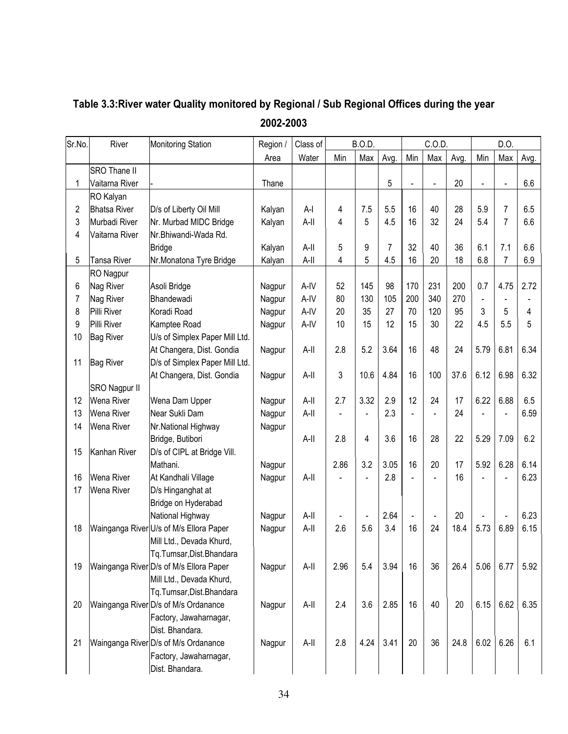| Sr.No.         | River               | <b>Monitoring Station</b>               | Region / | Class of | <b>B.O.D.</b> |      |      | C.O.D.         |                |      |                | D.O.           |      |  |
|----------------|---------------------|-----------------------------------------|----------|----------|---------------|------|------|----------------|----------------|------|----------------|----------------|------|--|
|                |                     |                                         | Area     | Water    | Min           | Max  | Avg. | Min            | Max            | Avg. | Min            | Max            | Avg. |  |
|                | SRO Thane II        |                                         |          |          |               |      |      |                |                |      |                |                |      |  |
| 1              | Vaitarna River      |                                         | Thane    |          |               |      | 5    | ÷,             | $\blacksquare$ | 20   |                |                | 6.6  |  |
|                | RO Kalyan           |                                         |          |          |               |      |      |                |                |      |                |                |      |  |
| 2              | <b>Bhatsa River</b> | D/s of Liberty Oil Mill                 | Kalyan   | $A-I$    | 4             | 7.5  | 5.5  | 16             | 40             | 28   | 5.9            | $\overline{7}$ | 6.5  |  |
| 3              | Murbadi River       | Nr. Murbad MIDC Bridge                  | Kalyan   | A-II     | 4             | 5    | 4.5  | 16             | 32             | 24   | 5.4            | $\overline{7}$ | 6.6  |  |
| $\overline{4}$ | Vaitarna River      | Nr.Bhiwandi-Wada Rd.                    |          |          |               |      |      |                |                |      |                |                |      |  |
|                |                     | <b>Bridge</b>                           | Kalyan   | A-II     | 5             | 9    | 7    | 32             | 40             | 36   | 6.1            | 7.1            | 6.6  |  |
| 5              | <b>Tansa River</b>  | Nr.Monatona Tyre Bridge                 | Kalyan   | A-II     | 4             | 5    | 4.5  | 16             | 20             | 18   | 6.8            | $\overline{7}$ | 6.9  |  |
|                | RO Nagpur           |                                         |          |          |               |      |      |                |                |      |                |                |      |  |
| 6              | Nag River           | Asoli Bridge                            | Nagpur   | A-IV     | 52            | 145  | 98   | 170            | 231            | 200  | 0.7            | 4.75           | 2.72 |  |
| 7              | Nag River           | Bhandewadi                              | Nagpur   | A-IV     | 80            | 130  | 105  | 200            | 340            | 270  | $\blacksquare$ |                |      |  |
| 8              | Pilli River         | Koradi Road                             | Nagpur   | A-IV     | 20            | 35   | 27   | 70             | 120            | 95   | 3              | 5              | 4    |  |
| 9              | Pilli River         | Kamptee Road                            | Nagpur   | A-IV     | 10            | 15   | 12   | 15             | 30             | 22   | 4.5            | 5.5            | 5    |  |
| 10             | <b>Bag River</b>    | U/s of Simplex Paper Mill Ltd.          |          |          |               |      |      |                |                |      |                |                |      |  |
|                |                     | At Changera, Dist. Gondia               | Nagpur   | A-II     | 2.8           | 5.2  | 3.64 | 16             | 48             | 24   | 5.79           | 6.81           | 6.34 |  |
| 11             | <b>Bag River</b>    | D/s of Simplex Paper Mill Ltd.          |          |          |               |      |      |                |                |      |                |                |      |  |
|                |                     | At Changera, Dist. Gondia               | Nagpur   | A-II     | 3             | 10.6 | 4.84 | 16             | 100            | 37.6 | 6.12           | 6.98           | 6.32 |  |
|                | SRO Nagpur II       |                                         |          |          |               |      |      |                |                |      |                |                |      |  |
| 12             | Wena River          | Wena Dam Upper                          | Nagpur   | A-II     | 2.7           | 3.32 | 2.9  | 12             | 24             | 17   | 6.22           | 6.88           | 6.5  |  |
| 13             | Wena River          | Near Sukli Dam                          | Nagpur   | A-II     |               |      | 2.3  |                | $\blacksquare$ | 24   |                |                | 6.59 |  |
| 14             | Wena River          | Nr.National Highway                     | Nagpur   |          |               |      |      |                |                |      |                |                |      |  |
|                |                     | Bridge, Butibori                        |          | $A-II$   | 2.8           | 4    | 3.6  | 16             | 28             | 22   | 5.29           | 7.09           | 6.2  |  |
| 15             | Kanhan River        | D/s of CIPL at Bridge Vill.             |          |          |               |      |      |                |                |      |                |                |      |  |
|                |                     | Mathani.                                | Nagpur   |          | 2.86          | 3.2  | 3.05 | 16             | 20             | 17   | 5.92           | 6.28           | 6.14 |  |
| 16             | Wena River          | At Kandhali Village                     | Nagpur   | A-II     |               |      | 2.8  |                |                | 16   |                |                | 6.23 |  |
| 17             | Wena River          | D/s Hinganghat at                       |          |          |               |      |      |                |                |      |                |                |      |  |
|                |                     | Bridge on Hyderabad                     |          |          |               |      |      |                |                |      |                |                |      |  |
|                |                     | National Highway                        | Nagpur   | A-II     |               |      | 2.64 | $\blacksquare$ | $\blacksquare$ | 20   |                |                | 6.23 |  |
| 18             |                     | Wainganga River U/s of M/s Ellora Paper | Nagpur   | A-II     | 2.6           | 5.6  | 3.4  | 16             | 24             | 18.4 | 5.73           | 6.89           | 6.15 |  |
|                |                     | Mill Ltd., Devada Khurd,                |          |          |               |      |      |                |                |      |                |                |      |  |
|                |                     | Tq.Tumsar, Dist.Bhandara                |          |          |               |      |      |                |                |      |                |                |      |  |
| 19             |                     | Wainganga River D/s of M/s Ellora Paper | Nagpur   | A-II     | 2.96          | 5.4  | 3.94 | 16             | 36             | 26.4 | 5.06           | 6.77           | 5.92 |  |
|                |                     | Mill Ltd., Devada Khurd,                |          |          |               |      |      |                |                |      |                |                |      |  |
|                |                     | Tq.Tumsar,Dist.Bhandara                 |          |          |               |      |      |                |                |      |                |                |      |  |
| 20             |                     | Wainganga River D/s of M/s Ordanance    | Nagpur   | A-II     | 2.4           | 3.6  | 2.85 | 16             | 40             | 20   | 6.15           | 6.62           | 6.35 |  |
|                |                     | Factory, Jawaharnagar,                  |          |          |               |      |      |                |                |      |                |                |      |  |
|                |                     | Dist. Bhandara.                         |          |          |               |      |      |                |                |      |                |                |      |  |
| 21             |                     | Wainganga River D/s of M/s Ordanance    | Nagpur   | A-II     | 2.8           | 4.24 | 3.41 | 20             | 36             | 24.8 | 6.02           | 6.26           | 6.1  |  |
|                |                     | Factory, Jawaharnagar,                  |          |          |               |      |      |                |                |      |                |                |      |  |
|                |                     | Dist. Bhandara.                         |          |          |               |      |      |                |                |      |                |                |      |  |

## Table 3.3: River water Quality monitored by Regional / Sub Regional Offices during the year 2002-2003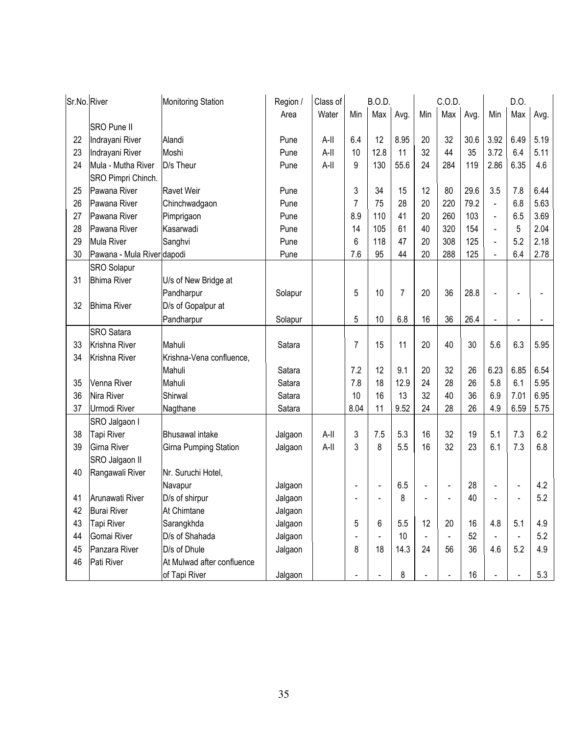| Sr.No. River |                            | <b>Monitoring Station</b>  | Region / | Class of | <b>B.O.D.</b>  |                |      | C.O.D.         |     |      | D.O.           |      |      |
|--------------|----------------------------|----------------------------|----------|----------|----------------|----------------|------|----------------|-----|------|----------------|------|------|
|              |                            |                            | Area     | Water    | Min            | Max            | Avg. | Min            | Max | Avg. | Min            | Max  | Avg. |
|              | <b>SRO Pune II</b>         |                            |          |          |                |                |      |                |     |      |                |      |      |
| 22           | Indrayani River            | Alandi                     | Pune     | A-II     | 6.4            | 12             | 8.95 | 20             | 32  | 30.6 | 3.92           | 6.49 | 5.19 |
| 23           | Indrayani River            | Moshi                      | Pune     | A-II     | 10             | 12.8           | 11   | 32             | 44  | 35   | 3.72           | 6.4  | 5.11 |
| 24           | Mula - Mutha River         | D/s Theur                  | Pune     | A-II     | 9              | 130            | 55.6 | 24             | 284 | 119  | 2.86           | 6.35 | 4.6  |
|              | SRO Pimpri Chinch.         |                            |          |          |                |                |      |                |     |      |                |      |      |
| 25           | Pawana River               | <b>Ravet Weir</b>          | Pune     |          | 3              | 34             | 15   | 12             | 80  | 29.6 | 3.5            | 7.8  | 6.44 |
| 26           | Pawana River               | Chinchwadgaon              | Pune     |          | $\overline{7}$ | 75             | 28   | 20             | 220 | 79.2 | $\blacksquare$ | 6.8  | 5.63 |
| 27           | Pawana River               | Pimprigaon                 | Pune     |          | 8.9            | 110            | 41   | 20             | 260 | 103  | $\blacksquare$ | 6.5  | 3.69 |
| 28           | Pawana River               | Kasarwadi                  | Pune     |          | 14             | 105            | 61   | 40             | 320 | 154  | $\blacksquare$ | 5    | 2.04 |
| 29           | <b>Mula River</b>          | Sanghvi                    | Pune     |          | 6              | 118            | 47   | 20             | 308 | 125  | $\Box$         | 5.2  | 2.18 |
| 30           | Pawana - Mula River dapodi |                            | Pune     |          | 7.6            | 95             | 44   | 20             | 288 | 125  | ä,             | 6.4  | 2.78 |
|              | <b>SRO</b> Solapur         |                            |          |          |                |                |      |                |     |      |                |      |      |
| 31           | <b>Bhima River</b>         | U/s of New Bridge at       |          |          |                |                |      |                |     |      |                |      |      |
|              |                            | Pandharpur                 | Solapur  |          | 5              | 10             | 7    | 20             | 36  | 28.8 |                |      |      |
| 32           | <b>Bhima River</b>         | D/s of Gopalpur at         |          |          |                |                |      |                |     |      |                |      |      |
|              |                            | Pandharpur                 | Solapur  |          | 5              | 10             | 6.8  | 16             | 36  | 26.4 |                |      |      |
|              | <b>SRO</b> Satara          |                            |          |          |                |                |      |                |     |      |                |      |      |
| 33           | Krishna River              | Mahuli                     | Satara   |          | $\overline{7}$ | 15             | 11   | 20             | 40  | 30   | 5.6            | 6.3  | 5.95 |
| 34           | Krishna River              | Krishna-Vena confluence,   |          |          |                |                |      |                |     |      |                |      |      |
|              |                            | Mahuli                     | Satara   |          | 7.2            | 12             | 9.1  | 20             | 32  | 26   | 6.23           | 6.85 | 6.54 |
| 35           | Venna River                | Mahuli                     | Satara   |          | 7.8            | 18             | 12.9 | 24             | 28  | 26   | 5.8            | 6.1  | 5.95 |
| 36           | Nira River                 | Shirwal                    | Satara   |          | 10             | 16             | 13   | 32             | 40  | 36   | 6.9            | 7.01 | 6.95 |
| 37           | Urmodi River               | Nagthane                   | Satara   |          | 8.04           | 11             | 9.52 | 24             | 28  | 26   | 4.9            | 6.59 | 5.75 |
|              | SRO Jalgaon I              |                            |          |          |                |                |      |                |     |      |                |      |      |
| 38           | Tapi River                 | <b>Bhusawal</b> intake     | Jalgaon  | A-II     | 3              | 7.5            | 5.3  | 16             | 32  | 19   | 5.1            | 7.3  | 6.2  |
| 39           | Girna River                | Girna Pumping Station      | Jalgaon  | A-II     | 3              | 8              | 5.5  | 16             | 32  | 23   | 6.1            | 7.3  | 6.8  |
|              | SRO Jalgaon II             |                            |          |          |                |                |      |                |     |      |                |      |      |
| 40           | Rangawali River            | Nr. Suruchi Hotel,         |          |          |                |                |      |                |     |      |                |      |      |
|              |                            | Navapur                    | Jalgaon  |          |                | $\blacksquare$ | 6.5  | $\blacksquare$ |     | 28   | $\blacksquare$ |      | 4.2  |
| 41           | Arunawati River            | D/s of shirpur             | Jalgaon  |          |                |                | 8    |                |     | 40   | ÷,             |      | 5.2  |
| 42           | <b>Burai River</b>         | At Chimtane                | Jalgaon  |          |                |                |      |                |     |      |                |      |      |
| 43           | Tapi River                 | Sarangkhda                 | Jalgaon  |          | 5              | 6              | 5.5  | 12             | 20  | 16   | 4.8            | 5.1  | 4.9  |
| 44           | Gomai River                | D/s of Shahada             | Jalgaon  |          |                |                | 10   |                |     | 52   |                |      | 5.2  |
| 45           | Panzara River              | D/s of Dhule               | Jalgaon  |          | 8              | 18             | 14.3 | 24             | 56  | 36   | 4.6            | 5.2  | 4.9  |
| 46           | Pati River                 | At Mulwad after confluence |          |          |                |                |      |                |     |      |                |      |      |
|              |                            | of Tapi River              | Jalgaon  |          |                |                | 8    |                |     | 16   |                |      | 5.3  |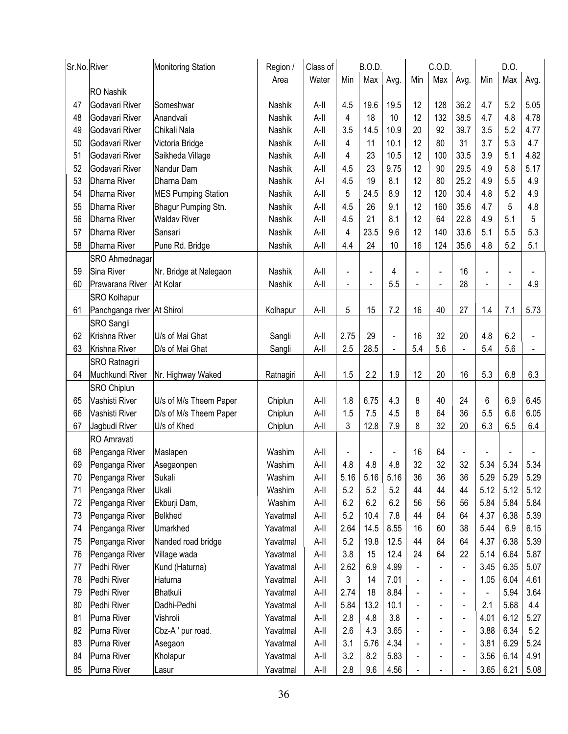| Max<br>Water<br>Max<br>Min<br>Area<br>Min<br>Avg.<br>Avg.<br><b>RO</b> Nashik<br>36.2<br>Godavari River<br>19.6                     | Min<br>4.7               | Max            | Avg. |
|-------------------------------------------------------------------------------------------------------------------------------------|--------------------------|----------------|------|
|                                                                                                                                     |                          |                |      |
|                                                                                                                                     |                          |                |      |
| 4.5<br>19.5<br>128<br>47<br>Someshwar<br>Nashik<br>A-II<br>12                                                                       |                          | 5.2            | 5.05 |
| 132<br>38.5<br>48<br>Godavari River<br>Anandvali<br>$A-II$<br>4<br>18<br>10<br>12<br><b>Nashik</b>                                  | 4.7                      | 4.8            | 4.78 |
| 3.5<br>39.7<br>Chikali Nala<br>$A-II$<br>14.5<br>10.9<br>92<br>49<br>Godavari River<br>Nashik<br>20                                 | 3.5                      | 5.2            | 4.77 |
| 4<br>11<br>10.1<br>12<br>80<br>31<br>50<br>Godavari River<br>Victoria Bridge<br>Nashik<br>$A-II$                                    | 3.7                      | 5.3            | 4.7  |
| 33.5<br>23<br>12<br>51<br>Godavari River<br>Saikheda Village<br>Nashik<br>$A-II$<br>4<br>10.5<br>100                                | 3.9                      | 5.1            | 4.82 |
| 29.5<br>52<br>Nandur Dam<br>$A-II$<br>4.5<br>23<br>9.75<br>12<br>90<br>Godavari River<br>Nashik                                     | 4.9                      | 5.8            | 5.17 |
| 25.2<br>53<br>4.5<br>19<br>8.1<br>12<br>80<br>Dharna River<br>Dharna Dam<br>Nashik<br>$A-I$                                         | 4.9                      | 5.5            | 4.9  |
| 54<br>Nashik<br>5<br>24.5<br>8.9<br>12<br>120<br>30.4<br><b>Dharna River</b><br><b>MES Pumping Station</b><br>A-II                  | 4.8                      | 5.2            | 4.9  |
| 4.5<br>35.6<br>55<br>$A-II$<br>26<br>9.1<br>12<br>160<br>Dharna River<br>Bhagur Pumping Stn.<br>Nashik                              | 4.7                      | 5              | 4.8  |
| 21<br>22.8<br>56<br><b>Waldav River</b><br>$A-II$<br>4.5<br>8.1<br>12<br>64<br>Dharna River<br>Nashik                               | 4.9                      | 5.1            | 5    |
| 4<br>23.5<br>140<br>33.6<br>57<br>Dharna River<br>Nashik<br>A-II<br>9.6<br>12<br>Sansari                                            | 5.1                      | 5.5            | 5.3  |
| $A-II$<br>16<br>124<br>35.6<br>58<br>Dharna River<br>Pune Rd. Bridge<br>Nashik<br>4.4<br>24<br>10                                   | 4.8                      | 5.2            | 5.1  |
| SRO Ahmednagar                                                                                                                      |                          |                |      |
| Sina River<br>16<br>59<br>Nr. Bridge at Nalegaon<br>Nashik<br>A-II<br>4<br>$\overline{a}$<br>$\blacksquare$                         | $\overline{\phantom{0}}$ |                |      |
| 28<br>$A-II$<br>5.5<br>60<br>Prawarana River<br>At Kolar<br>Nashik<br>$\blacksquare$<br>÷,<br>$\overline{\phantom{a}}$              | $\blacksquare$           | $\blacksquare$ | 4.9  |
| <b>SRO Kolhapur</b>                                                                                                                 |                          |                |      |
| 5<br>15<br>7.2<br>16<br>40<br>27<br>61<br>Panchganga river At Shirol<br>Kolhapur<br>A-II                                            | 1.4                      | 7.1            | 5.73 |
| <b>SRO Sangli</b>                                                                                                                   |                          |                |      |
| 2.75<br>32<br>62<br>29<br>16<br>20<br>Krishna River<br>U/s of Mai Ghat<br>Sangli<br>A-II<br>$\overline{a}$                          | 4.8                      | 6.2            |      |
| 5.6<br>28.5<br>5.4<br>63<br>Krishna River<br>D/s of Mai Ghat<br>A-II<br>2.5<br>Sangli                                               | 5.4                      | 5.6            |      |
| SRO Ratnagiri                                                                                                                       |                          |                |      |
| 2.2<br>1.5<br>1.9<br>12<br>20<br>16<br>Muchkundi River<br>$A-II$<br>64<br>Nr. Highway Waked<br>Ratnagiri                            | 5.3                      | 6.8            | 6.3  |
| <b>SRO Chiplun</b>                                                                                                                  |                          |                |      |
| Vashisti River<br>1.8<br>4.3<br>40<br>24<br>65<br>U/s of M/s Theem Paper<br>Chiplun<br>A-II<br>6.75<br>8                            | 6                        | 6.9            | 6.45 |
| 1.5<br>4.5<br>36<br>66<br>D/s of M/s Theem Paper<br>A-II<br>7.5<br>8<br>64<br>Vashisti River<br>Chiplun                             | 5.5                      | 6.6            | 6.05 |
| 3<br>8<br>32<br>20<br>12.8<br>7.9<br>67<br>Jagbudi River<br>U/s of Khed<br>A-II<br>Chiplun                                          | 6.3                      | 6.5            | 6.4  |
| RO Amravati                                                                                                                         |                          |                |      |
| 68<br>16<br>64<br>Penganga River<br>Washim<br>A-II<br>Maslapen<br>$\overline{a}$<br>$\overline{a}$<br>L,                            |                          |                |      |
| $A-II$<br>4.8<br>4.8<br>4.8<br>32<br>32<br>32<br>69<br>Penganga River<br>Washim<br>Asegaonpen                                       | 5.34                     | 5.34           | 5.34 |
| 70<br>Penganga River<br>Sukali<br>Washim<br>A-II<br>5.16<br>5.16<br>5.16<br>36<br>36<br>36                                          | 5.29                     | 5.29           | 5.29 |
| 5.2<br>5.2<br>5.2<br>44<br>44<br>71<br>A-II<br>44<br>Penganga River<br>Ukali<br>Washim                                              | 5.12                     | 5.12           | 5.12 |
| 6.2<br>6.2<br>6.2<br>72<br>56<br>56<br>Penganga River<br>Ekburji Dam,<br>Washim<br>A-II<br>56                                       | 5.84                     | 5.84           | 5.84 |
| 73<br>5.2<br>Penganga River<br>Belkhed<br>A-II<br>10.4<br>7.8<br>44<br>84<br>64<br>Yavatmal                                         | 4.37                     | 6.38           | 5.39 |
| 74<br>Umarkhed<br>A-II<br>2.64<br>14.5<br>8.55<br>38<br>Penganga River<br>Yavatmal<br>16<br>60                                      | 5.44                     | 6.9            | 6.15 |
| 5.2<br>12.5<br>75<br>Penganga River<br>Nanded road bridge<br>A-II<br>19.8<br>44<br>84<br>64<br>Yavatmal                             | 4.37                     | 6.38           | 5.39 |
| 3.8<br>12.4<br>22<br>Penganga River<br>Village wada<br>A-II<br>15<br>24<br>64<br>76<br>Yavatmal                                     | 5.14                     | 6.64           | 5.87 |
| 2.62<br>77<br>Pedhi River<br>Kund (Haturna)<br>Yavatmal<br>A-II<br>6.9<br>4.99<br>$\blacksquare$                                    | 3.45                     | 6.35           | 5.07 |
| 3<br>78<br>Pedhi River<br>Haturna<br>$A-II$<br>14<br>7.01<br>Yavatmal<br>$\blacksquare$<br>$\blacksquare$                           | 1.05                     | 6.04           | 4.61 |
| 18<br>8.84<br>79<br>Pedhi River<br>Bhatkuli<br>A-II<br>2.74<br>Yavatmal<br>$\overline{\phantom{a}}$<br>$\qquad \qquad \blacksquare$ | $\overline{\phantom{0}}$ | 5.94           | 3.64 |
| 5.84<br>13.2<br>80<br>Pedhi River<br>Dadhi-Pedhi<br>Yavatmal<br>A-II<br>10.1<br>$\blacksquare$<br>$\blacksquare$                    | 2.1                      | 5.68           | 4.4  |
| 81<br>Purna River<br>Vishroli<br>A-II<br>2.8<br>4.8<br>3.8<br>Yavatmal<br>$\blacksquare$                                            | 4.01                     | 6.12           | 5.27 |
| 2.6<br>3.65<br>82<br>Cbz-A' pur road.<br>A-II<br>4.3<br>Purna River<br>Yavatmal<br>$\blacksquare$<br>$\blacksquare$                 | 3.88                     | 6.34           | 5.2  |
| 83<br>Purna River<br>A-II<br>3.1<br>5.76<br>4.34<br>Asegaon<br>Yavatmal<br>$\blacksquare$                                           | 3.81                     | 6.29           | 5.24 |
| 84<br>3.2<br>8.2<br>Purna River<br>5.83<br>Kholapur<br>Yavatmal<br>A-II<br>$\qquad \qquad \blacksquare$                             | 3.56                     | 6.14           | 4.91 |
| 2.8<br>9.6<br>4.56<br>85<br>Purna River<br>Yavatmal<br>A-II<br>Lasur<br>$\blacksquare$                                              | 3.65                     | 6.21           | 5.08 |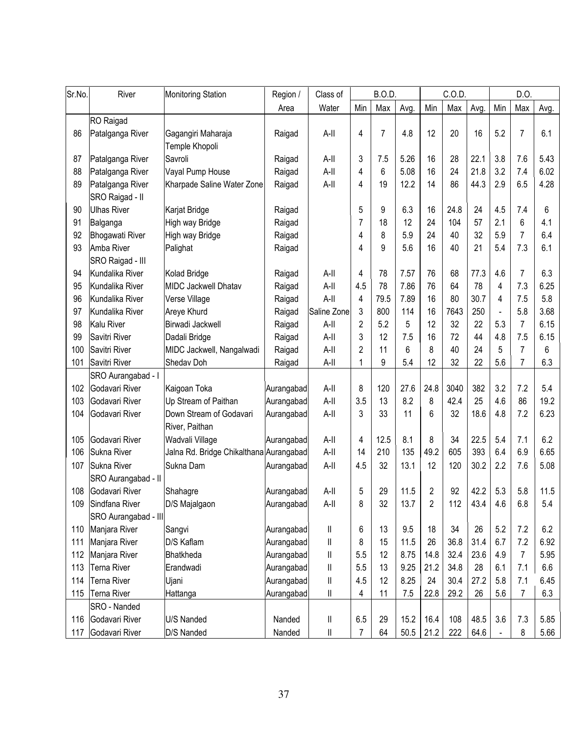| Sr.No. | River                               | <b>Monitoring Station</b>                 | Region /   | Class of               | <b>B.O.D.</b>  |                |      | C.O.D.         |      | D.O. |     |                |      |
|--------|-------------------------------------|-------------------------------------------|------------|------------------------|----------------|----------------|------|----------------|------|------|-----|----------------|------|
|        |                                     |                                           | Area       | Water                  | Min            | Max            | Avg. | Min            | Max  | Avg. | Min | Max            | Avg. |
|        | RO Raigad                           |                                           |            |                        |                |                |      |                |      |      |     |                |      |
| 86     | Patalganga River                    | Gagangiri Maharaja<br>Temple Khopoli      | Raigad     | A-II                   | 4              | $\overline{7}$ | 4.8  | 12             | 20   | 16   | 5.2 | $\overline{7}$ | 6.1  |
| 87     | Patalganga River                    | Savroli                                   | Raigad     | A-II                   | 3              | 7.5            | 5.26 | 16             | 28   | 22.1 | 3.8 | 7.6            | 5.43 |
| 88     | Patalganga River                    | Vayal Pump House                          | Raigad     | $A-II$                 | 4              | 6              | 5.08 | 16             | 24   | 21.8 | 3.2 | 7.4            | 6.02 |
| 89     | Patalganga River<br>SRO Raigad - II | Kharpade Saline Water Zone                | Raigad     | A-II                   | 4              | 19             | 12.2 | 14             | 86   | 44.3 | 2.9 | 6.5            | 4.28 |
| 90     | <b>Ulhas River</b>                  | Karjat Bridge                             | Raigad     |                        | 5              | 9              | 6.3  | 16             | 24.8 | 24   | 4.5 | 7.4            | 6    |
| 91     | Balganga                            | High way Bridge                           | Raigad     |                        | 7              | 18             | 12   | 24             | 104  | 57   | 2.1 | 6              | 4.1  |
| 92     | <b>Bhogawati River</b>              | High way Bridge                           | Raigad     |                        | 4              | 8              | 5.9  | 24             | 40   | 32   | 5.9 | $\overline{7}$ | 6.4  |
| 93     | Amba River<br>SRO Raigad - III      | Palighat                                  | Raigad     |                        | 4              | 9              | 5.6  | 16             | 40   | 21   | 5.4 | 7.3            | 6.1  |
| 94     | Kundalika River                     | Kolad Bridge                              | Raigad     | A-II                   | 4              | 78             | 7.57 | 76             | 68   | 77.3 | 4.6 | 7              | 6.3  |
| 95     | Kundalika River                     | MIDC Jackwell Dhatav                      | Raigad     | A-II                   | 4.5            | 78             | 7.86 | 76             | 64   | 78   | 4   | 7.3            | 6.25 |
| 96     | Kundalika River                     | Verse Village                             | Raigad     | $A-II$                 | 4              | 79.5           | 7.89 | 16             | 80   | 30.7 | 4   | 7.5            | 5.8  |
| 97     | Kundalika River                     | Areye Khurd                               | Raigad     | Saline Zone            | 3              | 800            | 114  | 16             | 7643 | 250  | ä,  | 5.8            | 3.68 |
| 98     | Kalu River                          | Birwadi Jackwell                          | Raigad     | A-II                   | 2              | 5.2            | 5    | 12             | 32   | 22   | 5.3 | $\overline{7}$ | 6.15 |
| 99     | Savitri River                       | Dadali Bridge                             | Raigad     | A-II                   | 3              | 12             | 7.5  | 16             | 72   | 44   | 4.8 | 7.5            | 6.15 |
| 100    | Savitri River                       | MIDC Jackwell, Nangalwadi                 | Raigad     | A-II                   | $\overline{2}$ | 11             | 6    | 8              | 40   | 24   | 5   | $\overline{7}$ | 6    |
| 101    | Savitri River                       | Shedav Doh                                | Raigad     | A-II                   | 1              | 9              | 5.4  | 12             | 32   | 22   | 5.6 | 7              | 6.3  |
|        | SRO Aurangabad - I                  |                                           |            |                        |                |                |      |                |      |      |     |                |      |
| 102    | Godavari River                      | Kaigoan Toka                              | Aurangabad | $A-II$                 | 8              | 120            | 27.6 | 24.8           | 3040 | 382  | 3.2 | 7.2            | 5.4  |
| 103    | Godavari River                      | Up Stream of Paithan                      | Aurangabad | $A-II$                 | 3.5            | 13             | 8.2  | 8              | 42.4 | 25   | 4.6 | 86             | 19.2 |
| 104    | Godavari River                      | Down Stream of Godavari<br>River, Paithan | Aurangabad | A-II                   | 3              | 33             | 11   | 6              | 32   | 18.6 | 4.8 | 7.2            | 6.23 |
| 105    | Godavari River                      | Wadvali Village                           | Aurangabad | $A-II$                 | 4              | 12.5           | 8.1  | 8              | 34   | 22.5 | 5.4 | 7.1            | 6.2  |
| 106    | Sukna River                         | Jalna Rd. Bridge Chikalthana Aurangabad   |            | $A-II$                 | 14             | 210            | 135  | 49.2           | 605  | 393  | 6.4 | 6.9            | 6.65 |
| 107    | Sukna River                         | Sukna Dam                                 | Aurangabad | A-II                   | 4.5            | 32             | 13.1 | 12             | 120  | 30.2 | 2.2 | 7.6            | 5.08 |
|        | SRO Aurangabad - II                 |                                           |            |                        |                |                |      |                |      |      |     |                |      |
| 108    | Godavari River                      | Shahagre                                  | Aurangabad | A-II                   | 5              | 29             | 11.5 | $\overline{2}$ | 92   | 42.2 | 5.3 | 5.8            | 11.5 |
| 109    | Sindfana River                      | D/S Majalgaon                             | Aurangabad | A-II                   | 8              | 32             | 13.7 | 2              | 112  | 43.4 | 4.6 | 6.8            | 5.4  |
|        | SRO Aurangabad - III                |                                           |            |                        |                |                |      |                |      |      |     |                |      |
| 110    | Manjara River                       | Sangvi                                    | Aurangabad | $\mathbf{I}$           | 6              | 13             | 9.5  | 18             | 34   | 26   | 5.2 | 7.2            | 6.2  |
| 111    | Manjara River                       | D/S Kaflam                                | Aurangabad | $\mathbf{I}$           | 8              | 15             | 11.5 | 26             | 36.8 | 31.4 | 6.7 | 7.2            | 6.92 |
| 112    | Manjara River                       | Bhatkheda                                 | Aurangabad | $\mathbf{I}$           | 5.5            | 12             | 8.75 | 14.8           | 32.4 | 23.6 | 4.9 | 7              | 5.95 |
| 113    | <b>Terna River</b>                  | Erandwadi                                 | Aurangabad | $\mathsf{I}\mathsf{I}$ | 5.5            | 13             | 9.25 | 21.2           | 34.8 | 28   | 6.1 | 7.1            | 6.6  |
| 114    | Terna River                         | Ujani                                     | Aurangabad | $\mathsf{I}\mathsf{I}$ | 4.5            | 12             | 8.25 | 24             | 30.4 | 27.2 | 5.8 | 7.1            | 6.45 |
| 115    | Terna River                         | Hattanga                                  | Aurangabad | $\mathsf{I}\mathsf{I}$ | 4              | 11             | 7.5  | 22.8           | 29.2 | 26   | 5.6 | 7              | 6.3  |
|        | SRO - Nanded                        |                                           |            |                        |                |                |      |                |      |      |     |                |      |
| 116    | Godavari River                      | U/S Nanded                                | Nanded     | $\mathop{  }$          | 6.5            | 29             | 15.2 | 16.4           | 108  | 48.5 | 3.6 | 7.3            | 5.85 |
| 117    | Godavari River                      | D/S Nanded                                | Nanded     | $\sf II$               | $\overline{7}$ | 64             | 50.5 | 21.2           | 222  | 64.6 |     | 8              | 5.66 |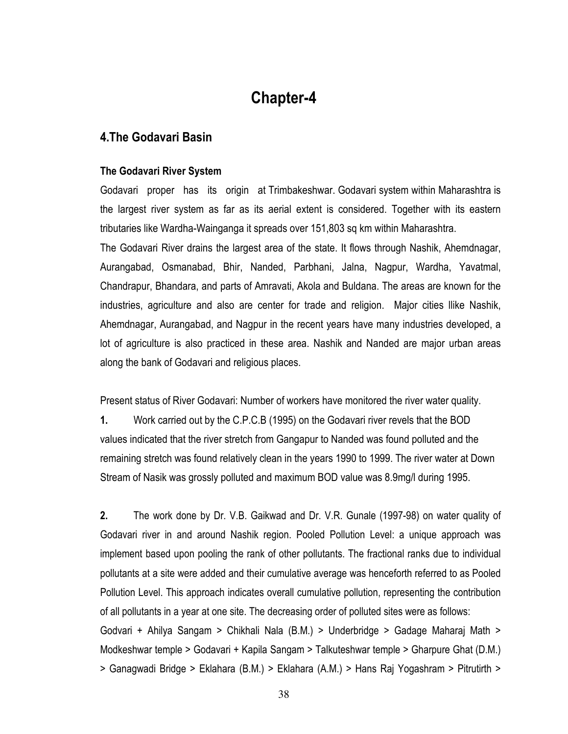## **Chapter-4**

### 4. The Godavari Basin

#### The Godavari River System

Godavari proper has its origin at Trimbakeshwar. Godavari system within Maharashtra is the largest river system as far as its aerial extent is considered. Together with its eastern tributaries like Wardha-Wainganga it spreads over 151,803 sq km within Maharashtra.

The Godavari River drains the largest area of the state. It flows through Nashik, Ahemdnagar, Aurangabad, Osmanabad, Bhir, Nanded, Parbhani, Jalna, Nagpur, Wardha, Yavatmal, Chandrapur, Bhandara, and parts of Amravati, Akola and Buldana. The areas are known for the industries, agriculture and also are center for trade and religion. Major cities llike Nashik, Ahemdnagar, Aurangabad, and Nagpur in the recent years have many industries developed, a lot of agriculture is also practiced in these area. Nashik and Nanded are major urban areas along the bank of Godavari and religious places.

Present status of River Godavari: Number of workers have monitored the river water quality.

1. Work carried out by the C.P.C.B (1995) on the Godavari river revels that the BOD values indicated that the river stretch from Gangapur to Nanded was found polluted and the remaining stretch was found relatively clean in the years 1990 to 1999. The river water at Down Stream of Nasik was grossly polluted and maximum BOD value was 8.9mg/l during 1995.

 $2.$ The work done by Dr. V.B. Gaikwad and Dr. V.R. Gunale (1997-98) on water quality of Godavari river in and around Nashik region. Pooled Pollution Level: a unique approach was implement based upon pooling the rank of other pollutants. The fractional ranks due to individual pollutants at a site were added and their cumulative average was henceforth referred to as Pooled Pollution Level. This approach indicates overall cumulative pollution, representing the contribution of all pollutants in a year at one site. The decreasing order of polluted sites were as follows: Godvari + Ahilya Sangam > Chikhali Nala (B.M.) > Underbridge > Gadage Maharaj Math > Modkeshwar temple > Godavari + Kapila Sangam > Talkuteshwar temple > Gharpure Ghat (D.M.) > Ganagwadi Bridge > Eklahara (B.M.) > Eklahara (A.M.) > Hans Raj Yogashram > Pitrutirth >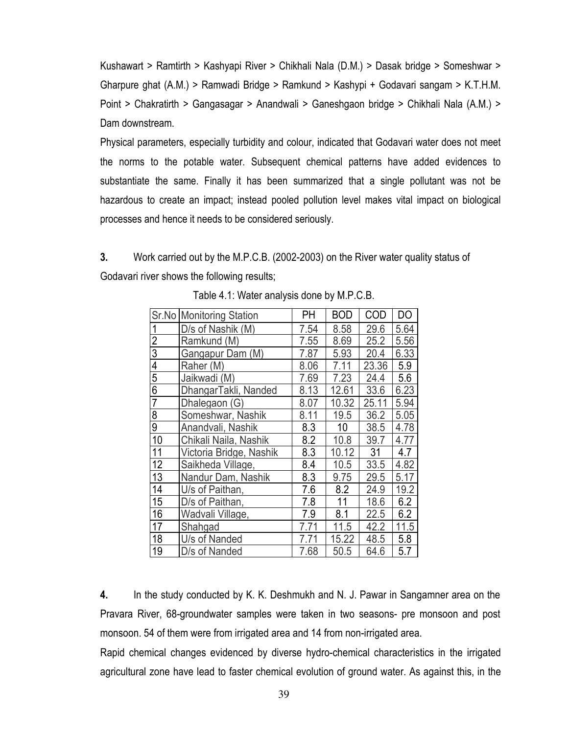Kushawart > Ramtirth > Kashyapi River > Chikhali Nala (D.M.) > Dasak bridge > Someshwar > Gharpure ghat (A.M.) > Ramwadi Bridge > Ramkund > Kashypi + Godavari sangam > K.T.H.M. Point > Chakratirth > Gangasagar > Anandwali > Ganeshgaon bridge > Chikhali Nala (A.M.) > Dam downstream.

Physical parameters, especially turbidity and colour, indicated that Godavari water does not meet the norms to the potable water. Subsequent chemical patterns have added evidences to substantiate the same. Finally it has been summarized that a single pollutant was not be hazardous to create an impact; instead pooled pollution level makes vital impact on biological processes and hence it needs to be considered seriously.

3. Work carried out by the M.P.C.B. (2002-2003) on the River water quality status of Godavari river shows the following results;

|                | Sr.No Monitoring Station | PΗ   | <b>BOD</b> | COD   | DO   |
|----------------|--------------------------|------|------------|-------|------|
| 1              | D/s of Nashik (M)        | 7.54 | 8.58       | 29.6  | 5.64 |
| $\overline{2}$ | Ramkund (M)              | 7.55 | 8.69       | 25.2  | 5.56 |
| $\overline{3}$ | Gangapur Dam (M)         | 7.87 | 5.93       | 20.4  | 6.33 |
| $\overline{4}$ | Raher (M)                | 8.06 | 7.11       | 23.36 | 5.9  |
| $\overline{5}$ | Jaikwadi (M)             | 7.69 | 7.23       | 24.4  | 5.6  |
| $\overline{6}$ | DhangarTakli, Nanded     | 8.13 | 12.61      | 33.6  | 6.23 |
| $\overline{7}$ | Dhalegaon (G)            | 8.07 | 10.32      | 25.11 | 5.94 |
| 8              | Someshwar, Nashik        | 8.11 | 19.5       | 36.2  | 5.05 |
| $\overline{9}$ | Anandvali, Nashik        | 8.3  | 10         | 38.5  | 4.78 |
| 10             | Chikali Naila, Nashik    | 8.2  | 10.8       | 39.7  | 4.77 |
| 11             | Victoria Bridge, Nashik  | 8.3  | 10.12      | 31    | 4.7  |
| 12             | Saikheda Village,        | 8.4  | 10.5       | 33.5  | 4.82 |
| 13             | Nandur Dam, Nashik       | 8.3  | 9.75       | 29.5  | 5.17 |
| 14             | U/s of Paithan,          | 7.6  | 8.2        | 24.9  | 19.2 |
| 15             | D/s of Paithan,          | 7.8  | 11         | 18.6  | 6.2  |
| 16             | Wadvali Village,         | 7.9  | 8.1        | 22.5  | 6.2  |
| 17             | Shahgad                  | 7.71 | 11.5       | 42.2  | 11.5 |
| 18             | U/s of Nanded            | 7.71 | 15.22      | 48.5  | 5.8  |
| 19             | D/s of Nanded            | 7.68 | 50.5       | 64.6  | 5.7  |

Table 4.1: Water analysis done by M.P.C.B.

4. In the study conducted by K. K. Deshmukh and N. J. Pawar in Sangamner area on the Pravara River, 68-groundwater samples were taken in two seasons- pre monsoon and post monsoon. 54 of them were from irrigated area and 14 from non-irrigated area.

Rapid chemical changes evidenced by diverse hydro-chemical characteristics in the irrigated agricultural zone have lead to faster chemical evolution of ground water. As against this, in the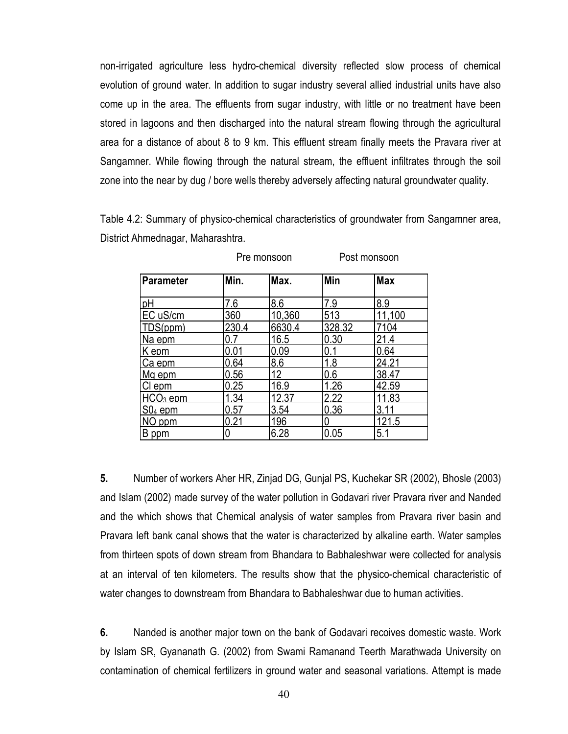non-irrigated agriculture less hydro-chemical diversity reflected slow process of chemical evolution of ground water. In addition to sugar industry several allied industrial units have also come up in the area. The effluents from sugar industry, with little or no treatment have been stored in lagoons and then discharged into the natural stream flowing through the agricultural area for a distance of about 8 to 9 km. This effluent stream finally meets the Pravara river at Sangamner. While flowing through the natural stream, the effluent infiltrates through the soil zone into the near by dug / bore wells thereby adversely affecting natural groundwater quality.

Table 4.2: Summary of physico-chemical characteristics of groundwater from Sangamner area, District Ahmednagar, Maharashtra.

| <b>Parameter</b>     | Min.  | Max.   | Min    | <b>Max</b> |
|----------------------|-------|--------|--------|------------|
| pН                   | 7.6   | 8.6    | 7.9    | 8.9        |
| EC uS/cm             | 360   | 10,360 | 513    | 11,100     |
| TDS(ppm)             | 230.4 | 6630.4 | 328.32 | 7104       |
| Na epm               |       | 16.5   | 0.30   | 21.4       |
| K epm                | 0.01  | 0.09   | 0.1    | 0.64       |
| Ca epm               | 0.64  | 8.6    | 1.8    | 24.21      |
| Ma epm               | 0.56  | 12     | 0.6    | 38.47      |
| $Cl$ epm             | 0.25  | 16.9   | 1.26   | 42.59      |
| HCO <sub>3</sub> epm | 1.34  | 12.37  | 2.22   | 11.83      |
| $SO4$ epm            | 0.57  | 3.54   | 0.36   | 3.11       |
| NO ppm               | 0.21  | 196    | 0      | 121.5      |
| B ppm                |       | 6.28   | 0.05   | 5.1        |

Pre monsoon Post monsoon

5. Number of workers Aher HR, Zinjad DG, Gunjal PS, Kuchekar SR (2002), Bhosle (2003) and Islam (2002) made survey of the water pollution in Godavari river Pravara river and Nanded and the which shows that Chemical analysis of water samples from Pravara river basin and Pravara left bank canal shows that the water is characterized by alkaline earth. Water samples from thirteen spots of down stream from Bhandara to Babhaleshwar were collected for analysis at an interval of ten kilometers. The results show that the physico-chemical characteristic of water changes to downstream from Bhandara to Babhaleshwar due to human activities.

6. Nanded is another major town on the bank of Godavari recoives domestic waste. Work by Islam SR, Gyananath G. (2002) from Swami Ramanand Teerth Marathwada University on contamination of chemical fertilizers in ground water and seasonal variations. Attempt is made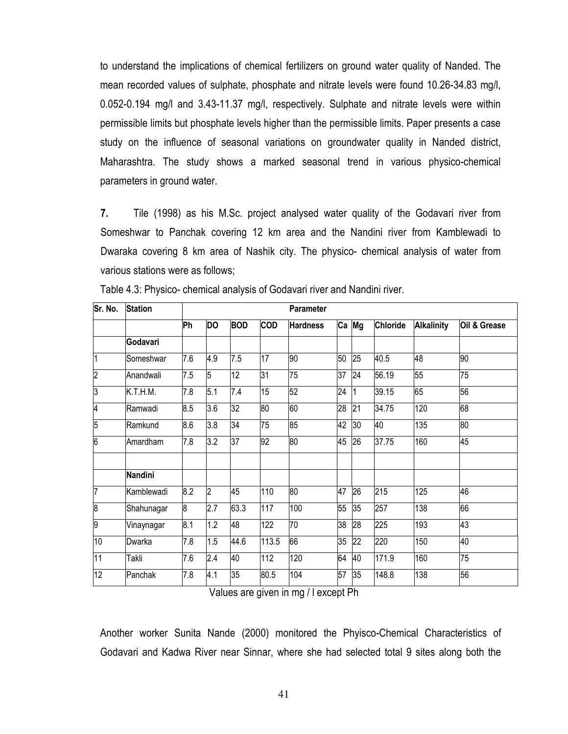to understand the implications of chemical fertilizers on ground water quality of Nanded. The mean recorded values of sulphate, phosphate and nitrate levels were found 10.26-34.83 mg/l, 0.052-0.194 mg/l and 3.43-11.37 mg/l, respectively. Sulphate and nitrate levels were within permissible limits but phosphate levels higher than the permissible limits. Paper presents a case study on the influence of seasonal variations on groundwater quality in Nanded district, Maharashtra. The study shows a marked seasonal trend in various physico-chemical parameters in ground water.

 $7.$ Tile (1998) as his M.Sc. project analysed water quality of the Godavari river from Someshwar to Panchak covering 12 km area and the Nandini river from Kamblewadi to Dwaraka covering 8 km area of Nashik city. The physico- chemical analysis of water from various stations were as follows;

| Sr. No.        | <b>Station</b> |     |           |                 |                  | <b>Parameter</b> |    |    |                 |                   |                 |
|----------------|----------------|-----|-----------|-----------------|------------------|------------------|----|----|-----------------|-------------------|-----------------|
|                |                | Ph  | <b>DO</b> | <b>BOD</b>      | <b>COD</b>       | <b>Hardness</b>  | Ca | Mg | <b>Chloride</b> | <b>Alkalinity</b> | Oil & Grease    |
|                | Godavari       |     |           |                 |                  |                  |    |    |                 |                   |                 |
| $\overline{1}$ | Someshwar      | 7.6 | 4.9       | 7.5             | 17               | 90               | 50 | 25 | 40.5            | 48                | $\overline{90}$ |
| $\overline{2}$ | Anandwali      | 7.5 | 5         | $\overline{12}$ | 31               | 75               | 37 | 24 | 56.19           | 55                | 75              |
| 3              | K.T.H.M.       | 7.8 | 5.1       | 7.4             | 15               | 52               | 24 |    | 39.15           | 65                | 56              |
| 4              | Ramwadi        | 8.5 | 3.6       | 32              | 80               | 60               | 28 | 21 | 34.75           | 120               | $\frac{8}{2}$   |
| 5              | Ramkund        | 8.6 | 3.8       | 34              | 75               | 85               | 42 | 30 | 40              | 135               | 80              |
| 6              | Amardham       | 7.8 | 3.2       | 37              | 92               | 80               | 45 | 26 | 37.75           | 160               | 45              |
|                | Nandini        |     |           |                 |                  |                  |    |    |                 |                   |                 |
| 7              | Kamblewadi     | 8.2 | 2         | 45              | 110              | 80               | 47 | 26 | 215             | 125               | 46              |
| $\overline{8}$ | Shahunagar     | 8   | 2.7       | 63.3            | 117              | 100              | 55 | 35 | 257             | $\overline{138}$  | 66              |
| 9              | Vinaynagar     | 8.1 | 1.2       | 48              | $\overline{122}$ | 70               | 38 | 28 | 225             | 193               | 43              |
| 10             | Dwarka         | 7.8 | 1.5       | 44.6            | 113.5            | 66               | 35 | 22 | 220             | 150               | 40              |
| 11             | Takli          | 7.6 | 2.4       | 40              | 112              | 120              | 64 | 40 | 171.9           | 160               | 75              |
| 12             | Panchak        | 7.8 | 4.1       | 35              | 80.5             | 104              | 57 | 35 | 148.8           | 138               | 56              |

Table 4.3: Physico-chemical analysis of Godavari river and Nandini river.

Values are given in mg / I except Ph

Another worker Sunita Nande (2000) monitored the Phyisco-Chemical Characteristics of Godavari and Kadwa River near Sinnar, where she had selected total 9 sites along both the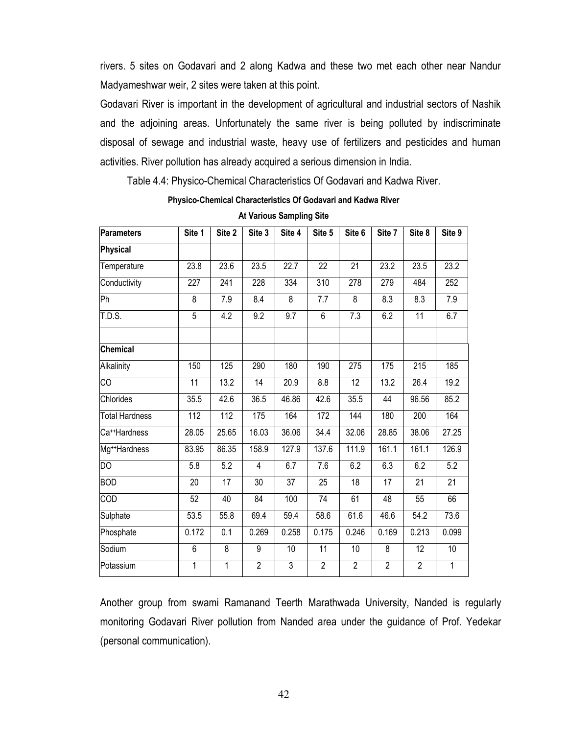rivers. 5 sites on Godavari and 2 along Kadwa and these two met each other near Nandur Madyameshwar weir, 2 sites were taken at this point.

Godavari River is important in the development of agricultural and industrial sectors of Nashik and the adjoining areas. Unfortunately the same river is being polluted by indiscriminate disposal of sewage and industrial waste, heavy use of fertilizers and pesticides and human activities. River pollution has already acquired a serious dimension in India.

Table 4.4: Physico-Chemical Characteristics Of Godavari and Kadwa River.

Physico-Chemical Characteristics Of Godavari and Kadwa River

| <b>Parameters</b>         | Site 1          | Site 2           | Site 3         | Site 4         | Site 5          | Site 6          | Site 7         | Site 8         | Site 9       |
|---------------------------|-----------------|------------------|----------------|----------------|-----------------|-----------------|----------------|----------------|--------------|
| Physical                  |                 |                  |                |                |                 |                 |                |                |              |
| Temperature               | 23.8            | 23.6             | 23.5           | 22.7           | $\overline{22}$ | $\overline{21}$ | 23.2           | 23.5           | 23.2         |
| Conductivity              | 227             | 241              | 228            | 334            | 310             | 278             | 279            | 484            | 252          |
| Ph                        | 8               | 7.9              | 8.4            | 8              | 7.7             | 8               | 8.3            | 8.3            | $7.9$        |
| T.D.S.                    | 5               | 4.2              | 9.2            | 9.7            | 6               | 7.3             | 6.2            | 11             | 6.7          |
| Chemical                  |                 |                  |                |                |                 |                 |                |                |              |
| Alkalinity                | 150             | 125              | 290            | 180            | 190             | 275             | 175            | 215            | 185          |
| СO                        | $\overline{11}$ | 13.2             | 14             | 20.9           | 8.8             | $\overline{12}$ | 13.2           | 26.4           | 19.2         |
| Chlorides                 | 35.5            | 42.6             | 36.5           | 46.86          | 42.6            | 35.5            | 44             | 96.56          | 85.2         |
| <b>Total Hardness</b>     | 112             | 112              | 175            | 164            | 172             | 144             | 180            | 200            | 164          |
| Ca <sup>++</sup> Hardness | 28.05           | 25.65            | 16.03          | 36.06          | 34.4            | 32.06           | 28.85          | 38.06          | 27.25        |
| Mg <sup>++</sup> Hardness | 83.95           | 86.35            | 158.9          | 127.9          | 137.6           | 111.9           | 161.1          | 161.1          | 126.9        |
| $\overline{DO}$           | 5.8             | 5.2              | 4              | 6.7            | 7.6             | 6.2             | 6.3            | 6.2            | 5.2          |
| <b>BOD</b>                | 20              | 17               | 30             | 37             | 25              | 18              | 17             | 21             | 21           |
| COD                       | 52              | 40               | 84             | 100            | $\overline{74}$ | 61              | 48             | 55             | 66           |
| Sulphate                  | 53.5            | 55.8             | 69.4           | 59.4           | 58.6            | 61.6            | 46.6           | 54.2           | 73.6         |
| Phosphate                 | 0.172           | $\overline{0.1}$ | 0.269          | 0.258          | 0.175           | 0.246           | 0.169          | 0.213          | 0.099        |
| Sodium                    | 6               | 8                | 9              | 10             | 11              | 10              | 8              | 12             | 10           |
| Potassium                 | 1               | 1                | $\overline{2}$ | $\overline{3}$ | $\overline{2}$  | $\overline{2}$  | $\overline{2}$ | $\overline{2}$ | $\mathbf{1}$ |

**At Various Sampling Site** 

Another group from swami Ramanand Teerth Marathwada University, Nanded is regularly monitoring Godavari River pollution from Nanded area under the guidance of Prof. Yedekar (personal communication).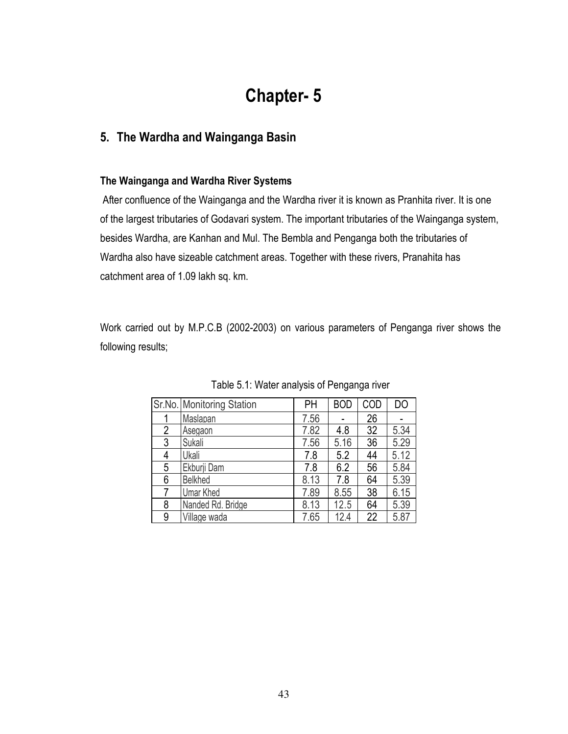# **Chapter-5**

### 5. The Wardha and Wainganga Basin

### The Wainganga and Wardha River Systems

After confluence of the Wainganga and the Wardha river it is known as Pranhita river. It is one of the largest tributaries of Godavari system. The important tributaries of the Wainganga system, besides Wardha, are Kanhan and Mul. The Bembla and Penganga both the tributaries of Wardha also have sizeable catchment areas. Together with these rivers, Pranahita has catchment area of 1.09 lakh sq. km.

Work carried out by M.P.C.B (2002-2003) on various parameters of Penganga river shows the following results;

|   | Sr.No. Monitoring Station | PH   | <b>BOD</b> | COD | DO   |
|---|---------------------------|------|------------|-----|------|
|   | Maslapan                  | 7.56 |            | 26  |      |
| 2 | Asegaon                   | 7.82 | 4.8        | 32  | 5.34 |
| 3 | Sukali                    | 7.56 | 5.16       | 36  | 5.29 |
| 4 | Ukali                     | 7.8  | 5.2        | 44  | 5.12 |
| 5 | Ekburji Dam               | 7.8  | 6.2        | 56  | 5.84 |
| 6 | <b>Belkhed</b>            | 8.13 | 7.8        | 64  | 5.39 |
|   | <b>Umar Khed</b>          | 7.89 | 8.55       | 38  | 6.15 |
| 8 | Nanded Rd. Bridge         | 8.13 | 12.5       | 64  | 5.39 |
| 9 | Village wada              | 7.65 | 12.4       | 22  | 5.87 |

Table 5.1: Water analysis of Penganga river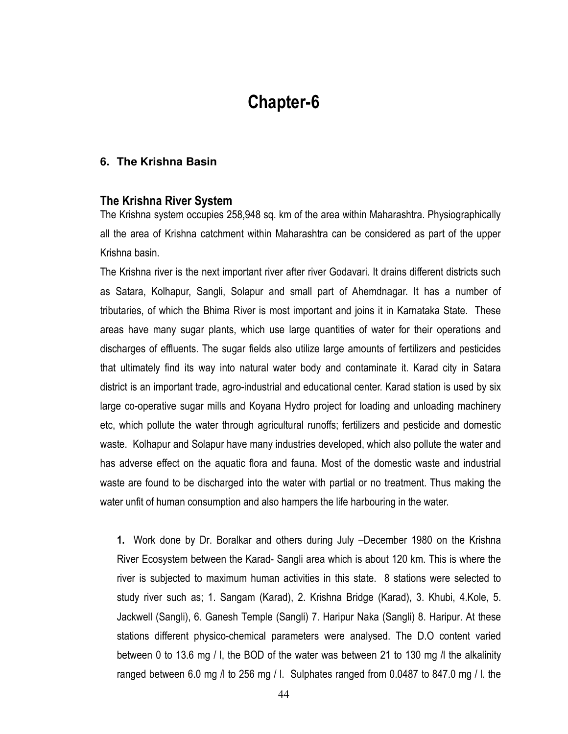# **Chapter-6**

#### 6. The Krishna Basin

#### The Krishna River System

The Krishna system occupies 258,948 sq. km of the area within Maharashtra. Physiographically all the area of Krishna catchment within Maharashtra can be considered as part of the upper Krishna basin.

The Krishna river is the next important river after river Godavari. It drains different districts such as Satara, Kolhapur, Sangli, Solapur and small part of Ahemdnagar. It has a number of tributaries, of which the Bhima River is most important and joins it in Karnataka State. These areas have many sugar plants, which use large quantities of water for their operations and discharges of effluents. The sugar fields also utilize large amounts of fertilizers and pesticides that ultimately find its way into natural water body and contaminate it. Karad city in Satara district is an important trade, agro-industrial and educational center. Karad station is used by six large co-operative sugar mills and Koyana Hydro project for loading and unloading machinery etc, which pollute the water through agricultural runoffs; fertilizers and pesticide and domestic waste. Kolhapur and Solapur have many industries developed, which also pollute the water and has adverse effect on the aquatic flora and fauna. Most of the domestic waste and industrial waste are found to be discharged into the water with partial or no treatment. Thus making the water unfit of human consumption and also hampers the life harbouring in the water.

1. Work done by Dr. Boralkar and others during July -December 1980 on the Krishna River Ecosystem between the Karad- Sangli area which is about 120 km. This is where the river is subjected to maximum human activities in this state. 8 stations were selected to study river such as; 1. Sangam (Karad), 2. Krishna Bridge (Karad), 3. Khubi, 4.Kole, 5. Jackwell (Sangli), 6. Ganesh Temple (Sangli) 7. Haripur Naka (Sangli) 8. Haripur. At these stations different physico-chemical parameters were analysed. The D.O content varied between 0 to 13.6 mg / l, the BOD of the water was between 21 to 130 mg / the alkalinity ranged between 6.0 mg /l to 256 mg / l. Sulphates ranged from 0.0487 to 847.0 mg / l. the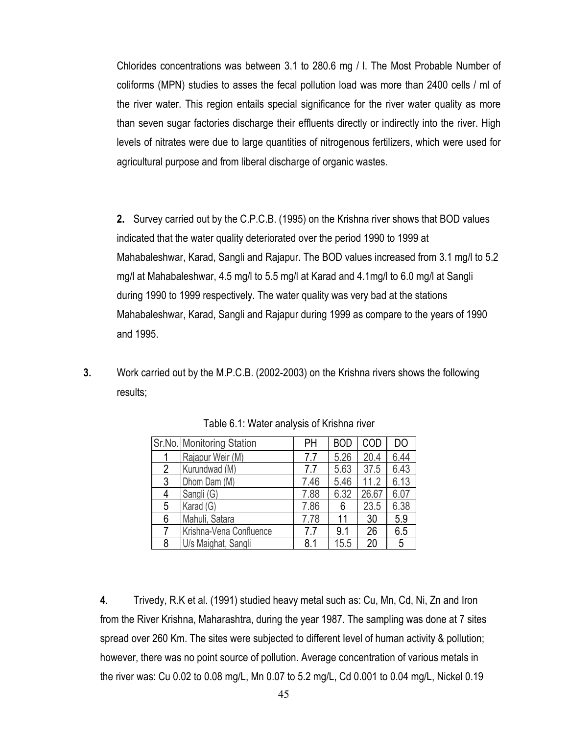Chlorides concentrations was between 3.1 to 280.6 mg / I. The Most Probable Number of coliforms (MPN) studies to asses the fecal pollution load was more than 2400 cells / ml of the river water. This region entails special significance for the river water quality as more than seven sugar factories discharge their effluents directly or indirectly into the river. High levels of nitrates were due to large quantities of nitrogenous fertilizers, which were used for agricultural purpose and from liberal discharge of organic wastes.

2. Survey carried out by the C.P.C.B. (1995) on the Krishna river shows that BOD values indicated that the water quality deteriorated over the period 1990 to 1999 at Mahabaleshwar, Karad, Sangli and Rajapur. The BOD values increased from 3.1 mg/l to 5.2 mg/l at Mahabaleshwar, 4.5 mg/l to 5.5 mg/l at Karad and 4.1mg/l to 6.0 mg/l at Sangli during 1990 to 1999 respectively. The water quality was very bad at the stations Mahabaleshwar, Karad, Sangli and Rajapur during 1999 as compare to the years of 1990 and 1995.

 $3<sub>1</sub>$ Work carried out by the M.P.C.B. (2002-2003) on the Krishna rivers shows the following results;

|                | Sr.No. Monitoring Station | PH   | <b>BOD</b> | COD   | DO   |
|----------------|---------------------------|------|------------|-------|------|
|                | Rajapur Weir (M)          | 7.7  | 5.26       | 20.4  | 6.44 |
| $\overline{2}$ | Kurundwad (M)             | 7.7  | 5.63       | 37.5  | 6.43 |
| 3              | Dhom Dam (M)              | 7.46 | 5.46       | 11.2  | 6.13 |
| 4              | Sangli (G)                | 7.88 | 6.32       | 26.67 | 6.07 |
| 5              | Karad (G)                 | 7.86 | 6          | 23.5  | 6.38 |
| 6              | Mahuli, Satara            | 7.78 | 11         | 30    | 5.9  |
| 7              | Krishna-Vena Confluence   | 77   | 9.1        | 26    | 6.5  |
| 8              | U/s Maighat, Sangli       | 8.1  | 15.5       | 20    | 5    |

Table 6.1: Water analysis of Krishna river

 $\overline{4}$ . Trivedy, R.K et al. (1991) studied heavy metal such as: Cu, Mn, Cd, Ni, Zn and Iron from the River Krishna, Maharashtra, during the year 1987. The sampling was done at 7 sites spread over 260 Km. The sites were subjected to different level of human activity & pollution; however, there was no point source of pollution. Average concentration of various metals in the river was: Cu 0.02 to 0.08 mg/L, Mn 0.07 to 5.2 mg/L, Cd 0.001 to 0.04 mg/L, Nickel 0.19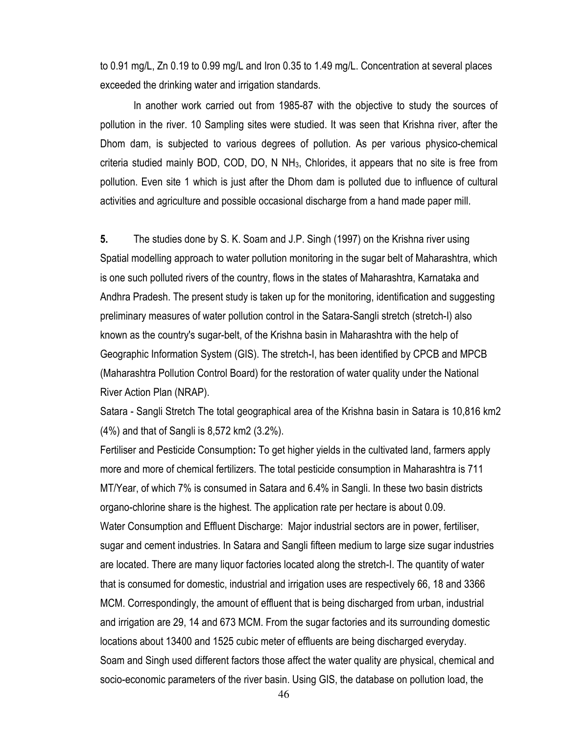to 0.91 mg/L, Zn 0.19 to 0.99 mg/L and Iron 0.35 to 1.49 mg/L. Concentration at several places exceeded the drinking water and irrigation standards.

In another work carried out from 1985-87 with the objective to study the sources of pollution in the river. 10 Sampling sites were studied. It was seen that Krishna river, after the Dhom dam, is subjected to various degrees of pollution. As per various physico-chemical criteria studied mainly BOD, COD, DO, N NH<sub>3</sub>, Chlorides, it appears that no site is free from pollution. Even site 1 which is just after the Dhom dam is polluted due to influence of cultural activities and agriculture and possible occasional discharge from a hand made paper mill.

5. The studies done by S. K. Soam and J.P. Singh (1997) on the Krishna river using Spatial modelling approach to water pollution monitoring in the sugar belt of Maharashtra, which is one such polluted rivers of the country, flows in the states of Maharashtra, Karnataka and Andhra Pradesh. The present study is taken up for the monitoring, identification and suggesting preliminary measures of water pollution control in the Satara-Sangli stretch (stretch-I) also known as the country's sugar-belt, of the Krishna basin in Maharashtra with the help of Geographic Information System (GIS). The stretch-I, has been identified by CPCB and MPCB (Maharashtra Pollution Control Board) for the restoration of water quality under the National River Action Plan (NRAP).

Satara - Sangli Stretch The total geographical area of the Krishna basin in Satara is 10,816 km2 (4%) and that of Sangli is 8,572 km2 (3.2%).

Fertiliser and Pesticide Consumption: To get higher yields in the cultivated land, farmers apply more and more of chemical fertilizers. The total pesticide consumption in Maharashtra is 711 MT/Year, of which 7% is consumed in Satara and 6.4% in Sangli. In these two basin districts organo-chlorine share is the highest. The application rate per hectare is about 0.09. Water Consumption and Effluent Discharge: Major industrial sectors are in power, fertiliser, sugar and cement industries. In Satara and Sangli fifteen medium to large size sugar industries are located. There are many liquor factories located along the stretch-I. The quantity of water that is consumed for domestic, industrial and irrigation uses are respectively 66, 18 and 3366 MCM. Correspondingly, the amount of effluent that is being discharged from urban, industrial and irrigation are 29, 14 and 673 MCM. From the sugar factories and its surrounding domestic locations about 13400 and 1525 cubic meter of effluents are being discharged everyday. Soam and Singh used different factors those affect the water quality are physical, chemical and socio-economic parameters of the river basin. Using GIS, the database on pollution load, the

46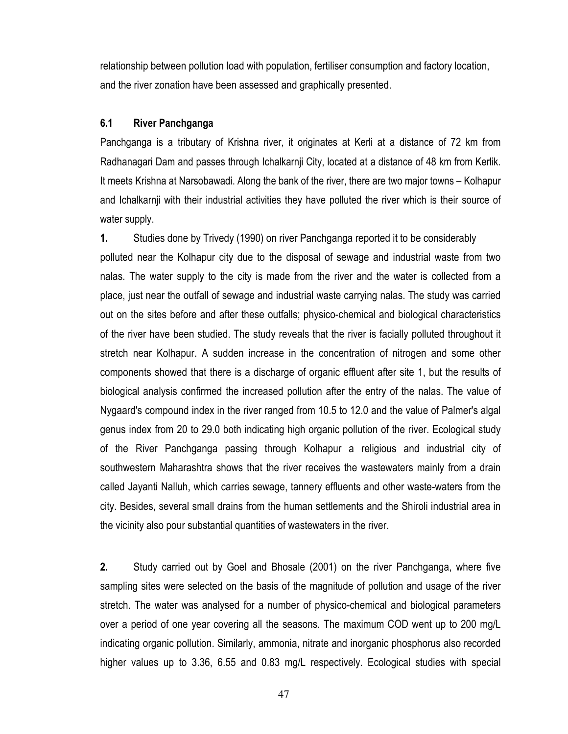relationship between pollution load with population, fertiliser consumption and factory location, and the river zonation have been assessed and graphically presented.

#### $6.1$ River Panchganga

Panchganga is a tributary of Krishna river, it originates at Kerli at a distance of 72 km from Radhanagari Dam and passes through Ichalkarnji City, located at a distance of 48 km from Kerlik. It meets Krishna at Narsobawadi. Along the bank of the river, there are two major towns – Kolhapur and Ichalkarnji with their industrial activities they have polluted the river which is their source of water supply.

 $1.$ Studies done by Trivedy (1990) on river Panchganga reported it to be considerably polluted near the Kolhapur city due to the disposal of sewage and industrial waste from two nalas. The water supply to the city is made from the river and the water is collected from a place, just near the outfall of sewage and industrial waste carrying nalas. The study was carried out on the sites before and after these outfalls; physico-chemical and biological characteristics of the river have been studied. The study reveals that the river is facially polluted throughout it stretch near Kolhapur. A sudden increase in the concentration of nitrogen and some other components showed that there is a discharge of organic effluent after site 1, but the results of biological analysis confirmed the increased pollution after the entry of the nalas. The value of Nygaard's compound index in the river ranged from 10.5 to 12.0 and the value of Palmer's algal genus index from 20 to 29.0 both indicating high organic pollution of the river. Ecological study of the River Panchganga passing through Kolhapur a religious and industrial city of southwestern Maharashtra shows that the river receives the wastewaters mainly from a drain called Jayanti Nalluh, which carries sewage, tannery effluents and other waste-waters from the city. Besides, several small drains from the human settlements and the Shiroli industrial area in the vicinity also pour substantial quantities of wastewaters in the river.

 $2.$ Study carried out by Goel and Bhosale (2001) on the river Panchganga, where five sampling sites were selected on the basis of the magnitude of pollution and usage of the river stretch. The water was analysed for a number of physico-chemical and biological parameters over a period of one year covering all the seasons. The maximum COD went up to 200 mg/L indicating organic pollution. Similarly, ammonia, nitrate and inorganic phosphorus also recorded higher values up to 3.36, 6.55 and 0.83 mg/L respectively. Ecological studies with special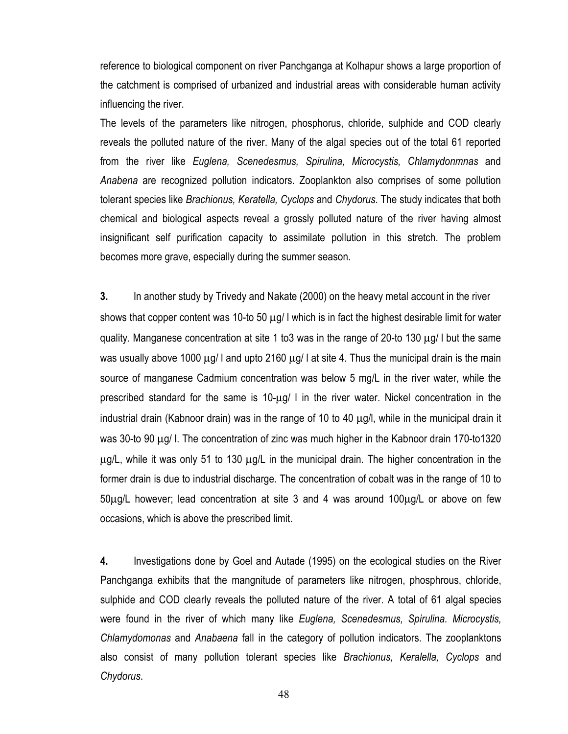reference to biological component on river Panchganga at Kolhapur shows a large proportion of the catchment is comprised of urbanized and industrial areas with considerable human activity influencing the river.

The levels of the parameters like nitrogen, phosphorus, chloride, sulphide and COD clearly reveals the polluted nature of the river. Many of the algal species out of the total 61 reported from the river like Euglena, Scenedesmus, Spirulina, Microcystis, Chlamydonmnas and Anabena are recognized pollution indicators. Zooplankton also comprises of some pollution tolerant species like Brachionus, Keratella, Cyclops and Chydorus. The study indicates that both chemical and biological aspects reveal a grossly polluted nature of the river having almost insignificant self purification capacity to assimilate pollution in this stretch. The problem becomes more grave, especially during the summer season.

3. In another study by Trivedy and Nakate (2000) on the heavy metal account in the river shows that copper content was 10-to 50 µg/ I which is in fact the highest desirable limit for water quality. Manganese concentration at site 1 to3 was in the range of 20-to 130 μg/ I but the same was usually above 1000  $\mu$ g/ I and upto 2160  $\mu$ g/ I at site 4. Thus the municipal drain is the main source of manganese Cadmium concentration was below 5 mg/L in the river water, while the prescribed standard for the same is 10-ug/ I in the river water. Nickel concentration in the industrial drain (Kabnoor drain) was in the range of 10 to 40 µg/l, while in the municipal drain it was 30-to 90  $\mu$ g/ I. The concentration of zinc was much higher in the Kabnoor drain 170-to1320  $\mu$ g/L, while it was only 51 to 130  $\mu$ g/L in the municipal drain. The higher concentration in the former drain is due to industrial discharge. The concentration of cobalt was in the range of 10 to 50µg/L however; lead concentration at site 3 and 4 was around 100µg/L or above on few occasions, which is above the prescribed limit.

4. Investigations done by Goel and Autade (1995) on the ecological studies on the River Panchganga exhibits that the mangnitude of parameters like nitrogen, phosphrous, chloride, sulphide and COD clearly reveals the polluted nature of the river. A total of 61 algal species were found in the river of which many like *Euglena*, Scenedesmus, Spirulina. Microcystis, Chlamydomonas and Anabaena fall in the category of pollution indicators. The zooplanktons also consist of many pollution tolerant species like Brachionus, Keralella, Cyclops and Chydorus.

48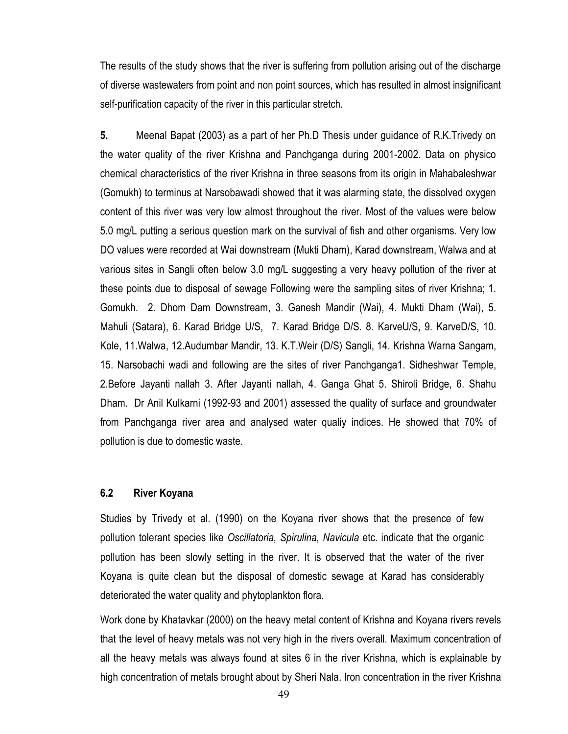The results of the study shows that the river is suffering from pollution arising out of the discharge of diverse wastewaters from point and non point sources, which has resulted in almost insignificant self-purification capacity of the river in this particular stretch.

5. Meenal Bapat (2003) as a part of her Ph.D Thesis under guidance of R.K.Trivedy on the water quality of the river Krishna and Panchganga during 2001-2002. Data on physico chemical characteristics of the river Krishna in three seasons from its origin in Mahabaleshwar (Gomukh) to terminus at Narsobawadi showed that it was alarming state, the dissolved oxygen content of this river was very low almost throughout the river. Most of the values were below 5.0 mg/L putting a serious question mark on the survival of fish and other organisms. Very low DO values were recorded at Wai downstream (Mukti Dham), Karad downstream, Walwa and at various sites in Sangli often below 3.0 mg/L suggesting a very heavy pollution of the river at these points due to disposal of sewage Following were the sampling sites of river Krishna; 1. Gomukh. 2. Dhom Dam Downstream, 3. Ganesh Mandir (Wai), 4. Mukti Dham (Wai), 5. Mahuli (Satara), 6. Karad Bridge U/S, 7. Karad Bridge D/S. 8. KarveU/S, 9. KarveD/S, 10. Kole, 11. Walwa, 12. Audumbar Mandir, 13. K. T. Weir (D/S) Sangli, 14. Krishna Warna Sangam, 15. Narsobachi wadi and following are the sites of river Panchganga1. Sidheshwar Temple, 2.Before Jayanti nallah 3. After Jayanti nallah, 4. Ganga Ghat 5. Shiroli Bridge, 6. Shahu Dham. Dr Anil Kulkarni (1992-93 and 2001) assessed the quality of surface and groundwater from Panchganga river area and analysed water qualiy indices. He showed that 70% of pollution is due to domestic waste.

#### $6.2$ River Koyana

Studies by Trivedy et al. (1990) on the Koyana river shows that the presence of few pollution tolerant species like Oscillatoria, Spirulina, Navicula etc. indicate that the organic pollution has been slowly setting in the river. It is observed that the water of the river Koyana is quite clean but the disposal of domestic sewage at Karad has considerably deteriorated the water quality and phytoplankton flora.

Work done by Khatavkar (2000) on the heavy metal content of Krishna and Koyana rivers revels that the level of heavy metals was not very high in the rivers overall. Maximum concentration of all the heavy metals was always found at sites 6 in the river Krishna, which is explainable by high concentration of metals brought about by Sheri Nala. Iron concentration in the river Krishna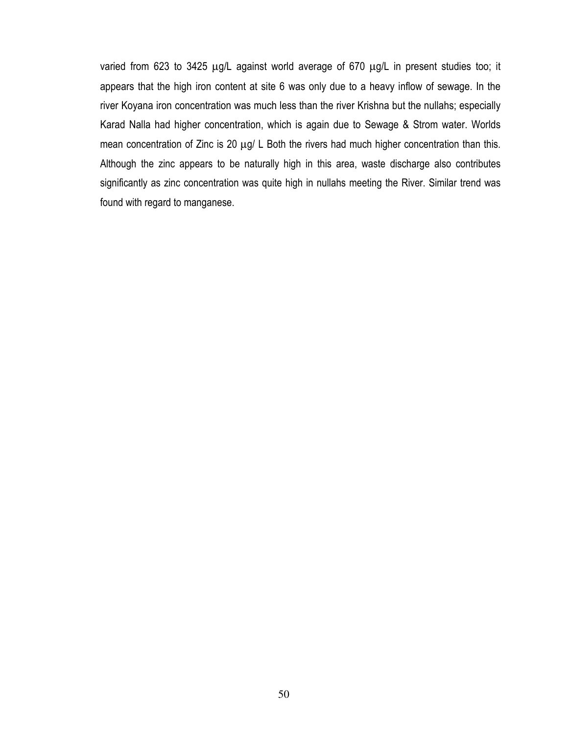varied from 623 to 3425 µg/L against world average of 670 µg/L in present studies too; it appears that the high iron content at site 6 was only due to a heavy inflow of sewage. In the river Koyana iron concentration was much less than the river Krishna but the nullahs; especially Karad Nalla had higher concentration, which is again due to Sewage & Strom water. Worlds mean concentration of Zinc is 20 µg/ L Both the rivers had much higher concentration than this. Although the zinc appears to be naturally high in this area, waste discharge also contributes significantly as zinc concentration was quite high in nullahs meeting the River. Similar trend was found with regard to manganese.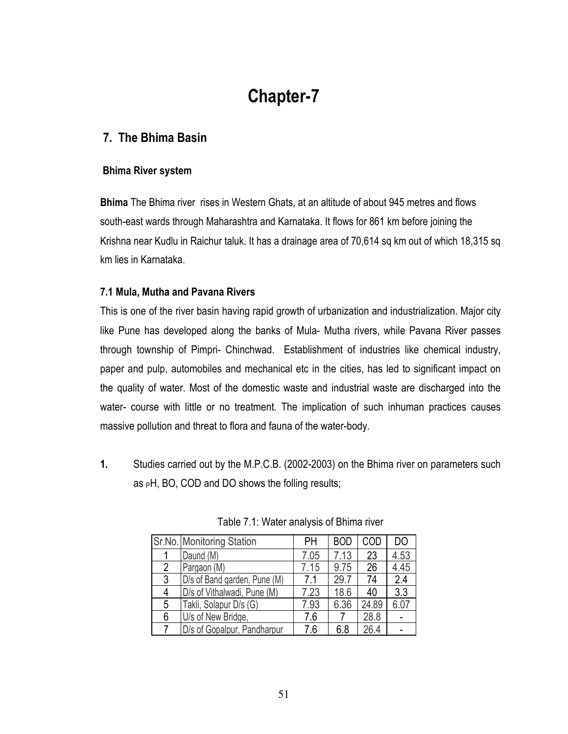# **Chapter-7**

### 7. The Bhima Basin

#### **Bhima River system**

**Bhima** The Bhima river rises in Western Ghats, at an altitude of about 945 metres and flows south-east wards through Maharashtra and Karnataka. It flows for 861 km before joining the Krishna near Kudlu in Raichur taluk. It has a drainage area of 70,614 sq km out of which 18,315 sq km lies in Karnataka

### 7.1 Mula, Mutha and Pavana Rivers

This is one of the river basin having rapid growth of urbanization and industrialization. Major city like Pune has developed along the banks of Mula- Mutha rivers, while Pavana River passes through township of Pimpri- Chinchwad. Establishment of industries like chemical industry, paper and pulp, automobiles and mechanical etc in the cities, has led to significant impact on the quality of water. Most of the domestic waste and industrial waste are discharged into the water- course with little or no treatment. The implication of such inhuman practices causes massive pollution and threat to flora and fauna of the water-body.

 $1.$ Studies carried out by the M.P.C.B. (2002-2003) on the Bhima river on parameters such as  $pH$ , BO, COD and DO shows the folling results;

|   | Sr.No. Monitoring Station    | <b>PH</b> | <b>BOD</b> | COD   | DO   |
|---|------------------------------|-----------|------------|-------|------|
|   | Daund (M)                    | 7.05      | 7.13       | 23    | 4.53 |
| 2 | Pargaon (M)                  | 7.15      | 9.75       | 26    | 4.45 |
| 3 | D/s of Band garden, Pune (M) | 7.1       | 29.7       | 74    | 2.4  |
| 4 | D/s of Vithalwadi, Pune (M)  | 7.23      | 18.6       | 40    | 3.3  |
| 5 | Takli, Solapur D/s (G)       | 7.93      | 6.36       | 24.89 | 6.07 |
| 6 | U/s of New Bridge,           | 7.6       |            | 28.8  |      |
| 7 | D/s of Gopalpur, Pandharpur  | 7.6       | 6.8        | 26.4  |      |

Table 7.1: Water analysis of Bhima river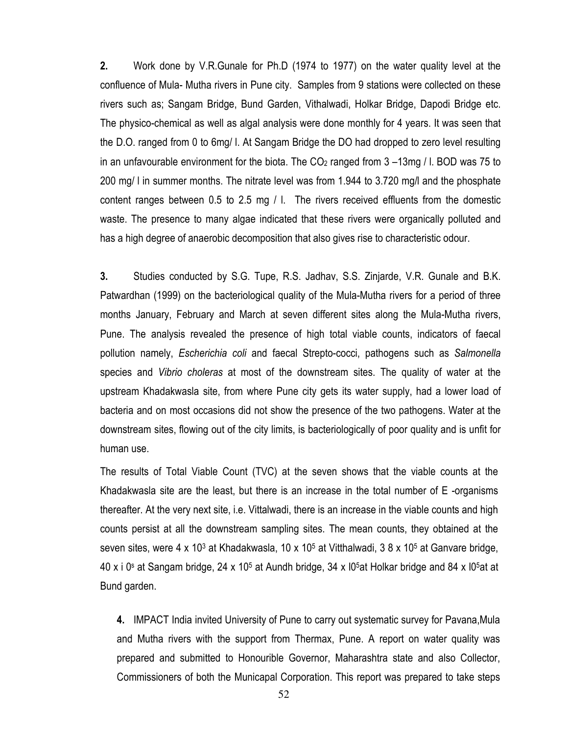$2.$ Work done by V.R.Gunale for Ph.D (1974 to 1977) on the water quality level at the confluence of Mula- Mutha rivers in Pune city. Samples from 9 stations were collected on these rivers such as; Sangam Bridge, Bund Garden, Vithalwadi, Holkar Bridge, Dapodi Bridge etc. The physico-chemical as well as algal analysis were done monthly for 4 years. It was seen that the D.O. ranged from 0 to 6mg/ I. At Sangam Bridge the DO had dropped to zero level resulting in an unfavourable environment for the biota. The  $CO<sub>2</sub>$  ranged from 3 -13mg / I. BOD was 75 to 200 mg/ I in summer months. The nitrate level was from 1.944 to 3.720 mg/l and the phosphate content ranges between 0.5 to 2.5 mg / I. The rivers received effluents from the domestic waste. The presence to many algae indicated that these rivers were organically polluted and has a high degree of anaerobic decomposition that also gives rise to characteristic odour.

 $3.$ Studies conducted by S.G. Tupe, R.S. Jadhav, S.S. Zinjarde, V.R. Gunale and B.K. Patwardhan (1999) on the bacteriological quality of the Mula-Mutha rivers for a period of three months January, February and March at seven different sites along the Mula-Mutha rivers, Pune. The analysis revealed the presence of high total viable counts, indicators of faecal pollution namely, Escherichia coli and faecal Strepto-cocci, pathogens such as Salmonella species and *Vibrio choleras* at most of the downstream sites. The quality of water at the upstream Khadakwasla site, from where Pune city gets its water supply, had a lower load of bacteria and on most occasions did not show the presence of the two pathogens. Water at the downstream sites, flowing out of the city limits, is bacteriologically of poor quality and is unfit for human use.

The results of Total Viable Count (TVC) at the seven shows that the viable counts at the Khadakwasla site are the least, but there is an increase in the total number of E-organisms thereafter. At the very next site, i.e. Vittalwadi, there is an increase in the viable counts and high counts persist at all the downstream sampling sites. The mean counts, they obtained at the seven sites, were 4 x 10<sup>3</sup> at Khadakwasla, 10 x 10<sup>5</sup> at Vitthalwadi, 3 8 x 10<sup>5</sup> at Ganvare bridge, 40 x i 0<sup>s</sup> at Sangam bridge, 24 x 10<sup>5</sup> at Aundh bridge, 34 x 10<sup>5</sup> at Holkar bridge and 84 x 10<sup>5</sup> at at Bund garden.

4. IMPACT India invited University of Pune to carry out systematic survey for Pavana, Mula and Mutha rivers with the support from Thermax, Pune. A report on water quality was prepared and submitted to Honourible Governor, Maharashtra state and also Collector, Commissioners of both the Municapal Corporation. This report was prepared to take steps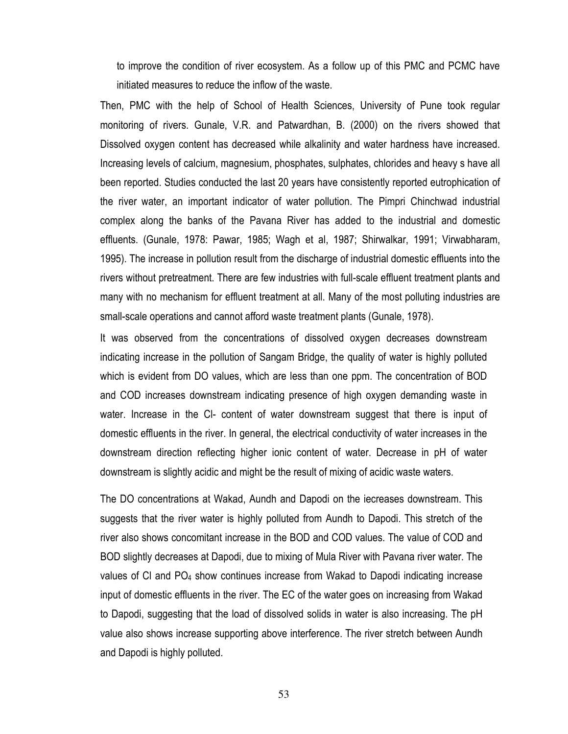to improve the condition of river ecosystem. As a follow up of this PMC and PCMC have initiated measures to reduce the inflow of the waste.

Then, PMC with the help of School of Health Sciences, University of Pune took regular monitoring of rivers. Gunale, V.R. and Patwardhan, B. (2000) on the rivers showed that Dissolved oxygen content has decreased while alkalinity and water hardness have increased. Increasing levels of calcium, magnesium, phosphates, sulphates, chlorides and heavy s have all been reported. Studies conducted the last 20 years have consistently reported eutrophication of the river water, an important indicator of water pollution. The Pimpri Chinchwad industrial complex along the banks of the Pavana River has added to the industrial and domestic effluents. (Gunale, 1978: Pawar, 1985; Wagh et al, 1987; Shirwalkar, 1991; Virwabharam, 1995). The increase in pollution result from the discharge of industrial domestic effluents into the rivers without pretreatment. There are few industries with full-scale effluent treatment plants and many with no mechanism for effluent treatment at all. Many of the most polluting industries are small-scale operations and cannot afford waste treatment plants (Gunale, 1978).

It was observed from the concentrations of dissolved oxygen decreases downstream indicating increase in the pollution of Sangam Bridge, the quality of water is highly polluted which is evident from DO values, which are less than one ppm. The concentration of BOD and COD increases downstream indicating presence of high oxygen demanding waste in water. Increase in the CI- content of water downstream suggest that there is input of domestic effluents in the river. In general, the electrical conductivity of water increases in the downstream direction reflecting higher ionic content of water. Decrease in pH of water downstream is slightly acidic and might be the result of mixing of acidic waste waters.

The DO concentrations at Wakad, Aundh and Dapodi on the iecreases downstream. This suggests that the river water is highly polluted from Aundh to Dapodi. This stretch of the river also shows concomitant increase in the BOD and COD values. The value of COD and BOD slightly decreases at Dapodi, due to mixing of Mula River with Pavana river water. The values of CI and PO<sub>4</sub> show continues increase from Wakad to Dapodi indicating increase input of domestic effluents in the river. The EC of the water goes on increasing from Wakad to Dapodi, suggesting that the load of dissolved solids in water is also increasing. The pH value also shows increase supporting above interference. The river stretch between Aundh and Dapodi is highly polluted.

53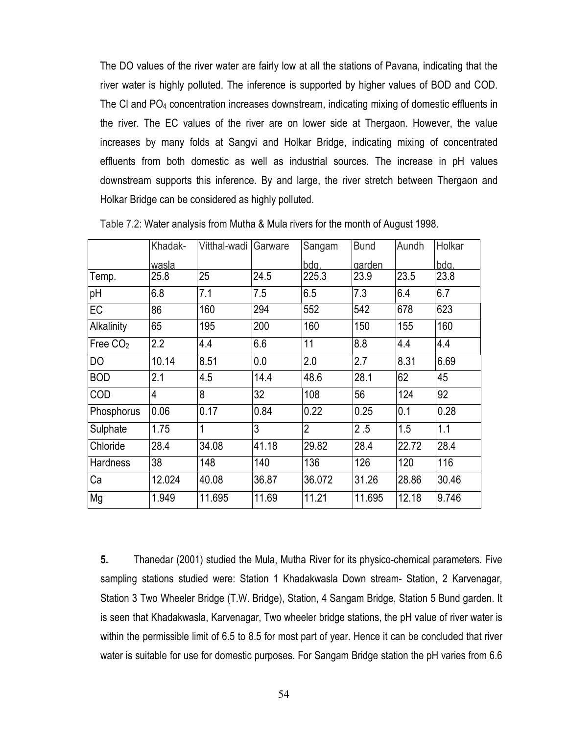The DO values of the river water are fairly low at all the stations of Pavana, indicating that the river water is highly polluted. The inference is supported by higher values of BOD and COD. The CI and PO<sub>4</sub> concentration increases downstream, indicating mixing of domestic effluents in the river. The EC values of the river are on lower side at Thergaon. However, the value increases by many folds at Sangvi and Holkar Bridge, indicating mixing of concentrated effluents from both domestic as well as industrial sources. The increase in pH values downstream supports this inference. By and large, the river stretch between Thergaon and Holkar Bridge can be considered as highly polluted.

|                 | Khadak-        | Vitthal-wadi | Garware | Sangam         | <b>Bund</b> | Aundh | Holkar |
|-----------------|----------------|--------------|---------|----------------|-------------|-------|--------|
|                 | wasla          |              |         | bdg.           | garden      |       | bdg.   |
| Temp.           | 25.8           | 25           | 24.5    | 225.3          | 23.9        | 23.5  | 23.8   |
| pH              | 6.8            | 7.1          | 7.5     | 6.5            | 7.3         | 6.4   | 6.7    |
| EC              | 86             | 160          | 294     | 552            | 542         | 678   | 623    |
| Alkalinity      | 65             | 195          | 200     | 160            | 150         | 155   | 160    |
| Free $CO2$      | 2.2            | 4.4          | 6.6     | 11             | 8.8         | 4.4   | 4.4    |
| DO              | 10.14          | 8.51         | 0.0     | 2.0            | 2.7         | 8.31  | 6.69   |
| <b>BOD</b>      | 2.1            | 4.5          | 14.4    | 48.6           | 28.1        | 62    | 45     |
| COD             | $\overline{4}$ | 8            | 32      | 108            | 56          | 124   | 92     |
| Phosphorus      | 0.06           | 0.17         | 0.84    | 0.22           | 0.25        | 0.1   | 0.28   |
| Sulphate        | 1.75           | 1            | 3       | $\overline{2}$ | 2.5         | 1.5   | 1.1    |
| Chloride        | 28.4           | 34.08        | 41.18   | 29.82          | 28.4        | 22.72 | 28.4   |
| <b>Hardness</b> | 38             | 148          | 140     | 136            | 126         | 120   | 116    |
| Ca              | 12.024         | 40.08        | 36.87   | 36.072         | 31.26       | 28.86 | 30.46  |
| Mg              | 1.949          | 11.695       | 11.69   | 11.21          | 11.695      | 12.18 | 9.746  |

Table 7.2: Water analysis from Mutha & Mula rivers for the month of August 1998.

5. Thanedar (2001) studied the Mula, Mutha River for its physico-chemical parameters. Five sampling stations studied were: Station 1 Khadakwasla Down stream- Station, 2 Karvenagar, Station 3 Two Wheeler Bridge (T.W. Bridge), Station, 4 Sangam Bridge, Station 5 Bund garden. It is seen that Khadakwasla, Karvenagar, Two wheeler bridge stations, the pH value of river water is within the permissible limit of 6.5 to 8.5 for most part of year. Hence it can be concluded that river water is suitable for use for domestic purposes. For Sangam Bridge station the pH varies from 6.6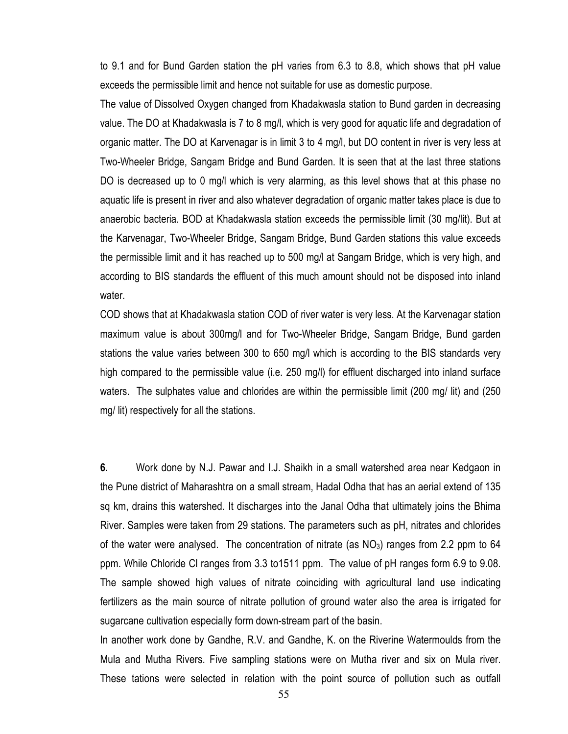to 9.1 and for Bund Garden station the pH varies from 6.3 to 8.8, which shows that pH value exceeds the permissible limit and hence not suitable for use as domestic purpose.

The value of Dissolved Oxygen changed from Khadakwasla station to Bund garden in decreasing value. The DO at Khadakwasla is 7 to 8 mg/l, which is very good for aguatic life and degradation of organic matter. The DO at Karvenagar is in limit 3 to 4 mg/l, but DO content in river is very less at Two-Wheeler Bridge, Sangam Bridge and Bund Garden. It is seen that at the last three stations DO is decreased up to 0 mg/l which is very alarming, as this level shows that at this phase no aquatic life is present in river and also whatever degradation of organic matter takes place is due to anaerobic bacteria. BOD at Khadakwasla station exceeds the permissible limit (30 mg/lit). But at the Karvenagar, Two-Wheeler Bridge, Sangam Bridge, Bund Garden stations this value exceeds the permissible limit and it has reached up to 500 mg/l at Sangam Bridge, which is very high, and according to BIS standards the effluent of this much amount should not be disposed into inland water.

COD shows that at Khadakwasla station COD of river water is very less. At the Karvenagar station maximum value is about 300mg/l and for Two-Wheeler Bridge, Sangam Bridge, Bund garden stations the value varies between 300 to 650 mg/l which is according to the BIS standards very high compared to the permissible value (i.e. 250 mg/l) for effluent discharged into inland surface waters. The sulphates value and chlorides are within the permissible limit (200 mg/ lit) and (250 mg/lit) respectively for all the stations.

6. Work done by N.J. Pawar and I.J. Shaikh in a small watershed area near Kedgaon in the Pune district of Maharashtra on a small stream, Hadal Odha that has an aerial extend of 135 sq km, drains this watershed. It discharges into the Janal Odha that ultimately joins the Bhima River. Samples were taken from 29 stations. The parameters such as pH, nitrates and chlorides of the water were analysed. The concentration of nitrate (as NO<sub>3</sub>) ranges from 2.2 ppm to 64 ppm. While Chloride CI ranges from 3.3 to 1511 ppm. The value of pH ranges form 6.9 to 9.08. The sample showed high values of nitrate coinciding with agricultural land use indicating fertilizers as the main source of nitrate pollution of ground water also the area is irrigated for sugarcane cultivation especially form down-stream part of the basin.

In another work done by Gandhe, R.V. and Gandhe, K. on the Riverine Watermoulds from the Mula and Mutha Rivers. Five sampling stations were on Mutha river and six on Mula river. These tations were selected in relation with the point source of pollution such as outfall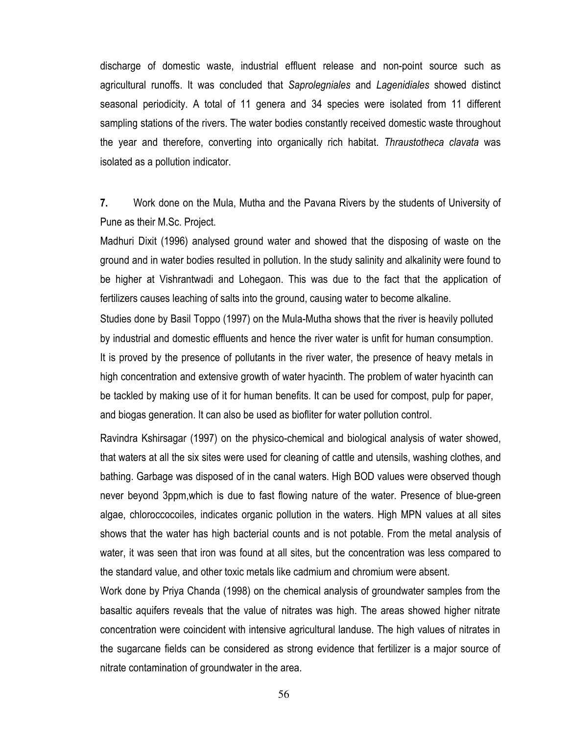discharge of domestic waste, industrial effluent release and non-point source such as agricultural runoffs. It was concluded that Saprolegniales and Lagenidiales showed distinct seasonal periodicity. A total of 11 genera and 34 species were isolated from 11 different sampling stations of the rivers. The water bodies constantly received domestic waste throughout the year and therefore, converting into organically rich habitat. Thraustotheca clavata was isolated as a pollution indicator.

 $7.$ Work done on the Mula, Mutha and the Pavana Rivers by the students of University of Pune as their M.Sc. Project.

Madhuri Dixit (1996) analysed ground water and showed that the disposing of waste on the ground and in water bodies resulted in pollution. In the study salinity and alkalinity were found to be higher at Vishrantwadi and Lohegaon. This was due to the fact that the application of fertilizers causes leaching of salts into the ground, causing water to become alkaline.

Studies done by Basil Toppo (1997) on the Mula-Mutha shows that the river is heavily polluted by industrial and domestic effluents and hence the river water is unfit for human consumption. It is proved by the presence of pollutants in the river water, the presence of heavy metals in high concentration and extensive growth of water hyacinth. The problem of water hyacinth can be tackled by making use of it for human benefits. It can be used for compost, pulp for paper, and biogas generation. It can also be used as biofliter for water pollution control.

Ravindra Kshirsagar (1997) on the physico-chemical and biological analysis of water showed, that waters at all the six sites were used for cleaning of cattle and utensils, washing clothes, and bathing. Garbage was disposed of in the canal waters. High BOD values were observed though never beyond 3ppm, which is due to fast flowing nature of the water. Presence of blue-green algae, chloroccocoiles, indicates organic pollution in the waters. High MPN values at all sites shows that the water has high bacterial counts and is not potable. From the metal analysis of water, it was seen that iron was found at all sites, but the concentration was less compared to the standard value, and other toxic metals like cadmium and chromium were absent.

Work done by Priya Chanda (1998) on the chemical analysis of groundwater samples from the basaltic aquifers reveals that the value of nitrates was high. The areas showed higher nitrate concentration were coincident with intensive agricultural landuse. The high values of nitrates in the sugarcane fields can be considered as strong evidence that fertilizer is a major source of nitrate contamination of groundwater in the area.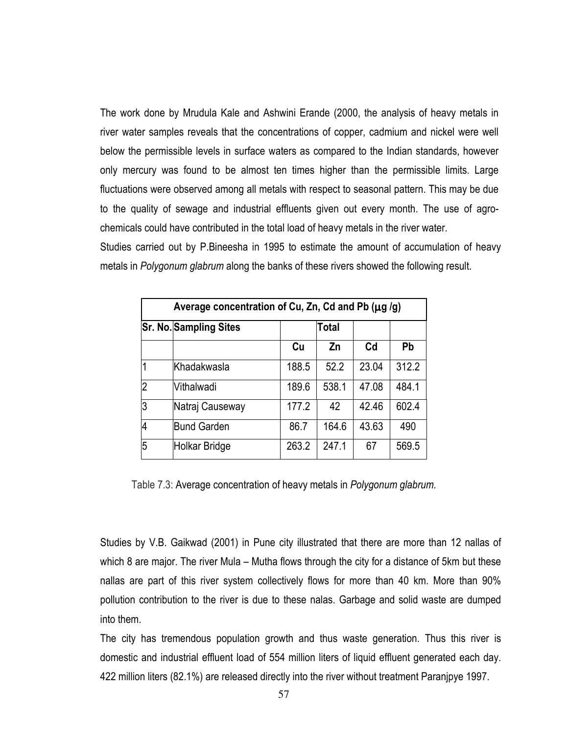The work done by Mrudula Kale and Ashwini Erande (2000, the analysis of heavy metals in river water samples reveals that the concentrations of copper, cadmium and nickel were well below the permissible levels in surface waters as compared to the Indian standards, however only mercury was found to be almost ten times higher than the permissible limits. Large fluctuations were observed among all metals with respect to seasonal pattern. This may be due to the quality of sewage and industrial effluents given out every month. The use of agrochemicals could have contributed in the total load of heavy metals in the river water.

Studies carried out by P. Bineesha in 1995 to estimate the amount of accumulation of heavy metals in Polygonum glabrum along the banks of these rivers showed the following result.

|                | Average concentration of Cu, Zn, Cd and Pb ( $\mu$ g) |       |       |                |       |  |  |  |  |  |
|----------------|-------------------------------------------------------|-------|-------|----------------|-------|--|--|--|--|--|
|                | <b>Sr. No. Sampling Sites</b>                         | Total |       |                |       |  |  |  |  |  |
|                |                                                       | Cu    | Zn    | C <sub>d</sub> | Pb    |  |  |  |  |  |
|                | Khadakwasla                                           | 188.5 | 52.2  | 23.04          | 312.2 |  |  |  |  |  |
| $\overline{2}$ | Vithalwadi                                            | 189.6 | 538.1 | 47.08          | 484.1 |  |  |  |  |  |
| l3             | Natraj Causeway                                       | 177.2 | 42    | 42.46          | 602.4 |  |  |  |  |  |
| 4              | <b>Bund Garden</b>                                    | 86.7  | 164.6 | 43.63          | 490   |  |  |  |  |  |
| 5              | Holkar Bridge                                         | 263.2 | 247.1 | 67             | 569.5 |  |  |  |  |  |

Table 7.3: Average concentration of heavy metals in Polygonum glabrum.

Studies by V.B. Gaikwad (2001) in Pune city illustrated that there are more than 12 nallas of which 8 are major. The river Mula – Mutha flows through the city for a distance of 5km but these nallas are part of this river system collectively flows for more than 40 km. More than 90% pollution contribution to the river is due to these nalas. Garbage and solid waste are dumped into them

The city has tremendous population growth and thus waste generation. Thus this river is domestic and industrial effluent load of 554 million liters of liquid effluent generated each day. 422 million liters (82.1%) are released directly into the river without treatment Paranipye 1997.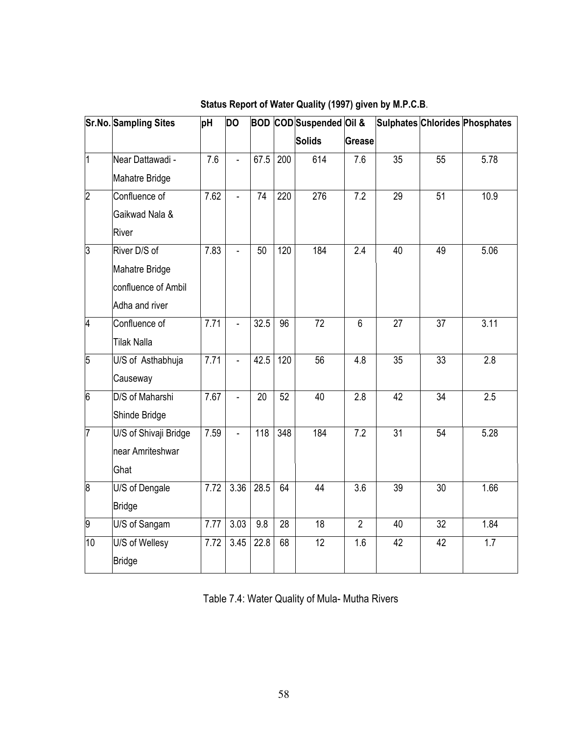|                | Sr.No. Sampling Sites | pH                | <b>DO</b>      | <b>BOD</b> |                 | COD Suspended Oil & |                  |                 |                 | Sulphates Chlorides Phosphates |
|----------------|-----------------------|-------------------|----------------|------------|-----------------|---------------------|------------------|-----------------|-----------------|--------------------------------|
|                |                       |                   |                |            |                 | <b>Solids</b>       | <b>Grease</b>    |                 |                 |                                |
| $\overline{1}$ | Near Dattawadi -      | 7.6               | $\overline{a}$ | 67.5       | 200             | 614                 | 7.6              | 35              | 55              | 5.78                           |
|                | <b>Mahatre Bridge</b> |                   |                |            |                 |                     |                  |                 |                 |                                |
| $\overline{2}$ | Confluence of         | 7.62              | ä,             | 74         | 220             | 276                 | 7.2              | 29              | $\overline{51}$ | 10.9                           |
|                | Gaikwad Nala &        |                   |                |            |                 |                     |                  |                 |                 |                                |
|                | River                 |                   |                |            |                 |                     |                  |                 |                 |                                |
| $\overline{3}$ | River D/S of          | 7.83              | ä,             | 50         | 120             | 184                 | 2.4              | 40              | 49              | 5.06                           |
|                | Mahatre Bridge        |                   |                |            |                 |                     |                  |                 |                 |                                |
|                | confluence of Ambil   |                   |                |            |                 |                     |                  |                 |                 |                                |
|                | Adha and river        |                   |                |            |                 |                     |                  |                 |                 |                                |
| $\overline{4}$ | Confluence of         | $\overline{7.71}$ |                | 32.5       | $\overline{96}$ | 72                  | $\overline{6}$   | 27              | $\overline{37}$ | 3.11                           |
|                | <b>Tilak Nalla</b>    |                   |                |            |                 |                     |                  |                 |                 |                                |
| $\overline{5}$ | U/S of Asthabhuja     | 7.71              | ä,             | 42.5       | 120             | $\overline{56}$     | $\overline{4.8}$ | $\overline{35}$ | 33              | $\overline{2.8}$               |
|                | Causeway              |                   |                |            |                 |                     |                  |                 |                 |                                |
| 6              | D/S of Maharshi       | 7.67              | ä,             | 20         | 52              | 40                  | 2.8              | 42              | 34              | 2.5                            |
|                | Shinde Bridge         |                   |                |            |                 |                     |                  |                 |                 |                                |
| 7              | U/S of Shivaji Bridge | 7.59              | ÷,             | 118        | 348             | 184                 | $\overline{7.2}$ | $\overline{31}$ | 54              | 5.28                           |
|                | near Amriteshwar      |                   |                |            |                 |                     |                  |                 |                 |                                |
|                | Ghat                  |                   |                |            |                 |                     |                  |                 |                 |                                |
| $\overline{8}$ | U/S of Dengale        | 7.72              | 3.36           | 28.5       | 64              | 44                  | $\overline{3.6}$ | $\overline{39}$ | $\overline{30}$ | 1.66                           |
|                | <b>Bridge</b>         |                   |                |            |                 |                     |                  |                 |                 |                                |
| 9              | U/S of Sangam         | 7.77              | 3.03           | 9.8        | $\overline{28}$ | $\overline{18}$     | $\overline{2}$   | 40              | $\overline{32}$ | 1.84                           |
| 10             | U/S of Wellesy        | 7.72              | 3.45           | 22.8       | 68              | 12                  | 1.6              | 42              | 42              | 1.7                            |
|                | <b>Bridge</b>         |                   |                |            |                 |                     |                  |                 |                 |                                |

## Status Report of Water Quality (1997) given by M.P.C.B.

Table 7.4: Water Quality of Mula- Mutha Rivers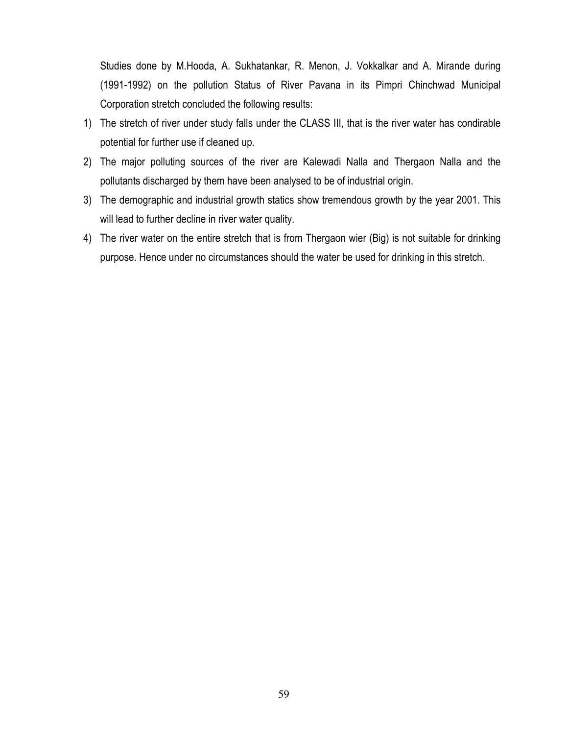Studies done by M.Hooda, A. Sukhatankar, R. Menon, J. Vokkalkar and A. Mirande during (1991-1992) on the pollution Status of River Pavana in its Pimpri Chinchwad Municipal Corporation stretch concluded the following results:

- 1) The stretch of river under study falls under the CLASS III, that is the river water has condirable potential for further use if cleaned up.
- 2) The major polluting sources of the river are Kalewadi Nalla and Thergaon Nalla and the pollutants discharged by them have been analysed to be of industrial origin.
- 3) The demographic and industrial growth statics show tremendous growth by the year 2001. This will lead to further decline in river water quality.
- 4) The river water on the entire stretch that is from Thergaon wier (Big) is not suitable for drinking purpose. Hence under no circumstances should the water be used for drinking in this stretch.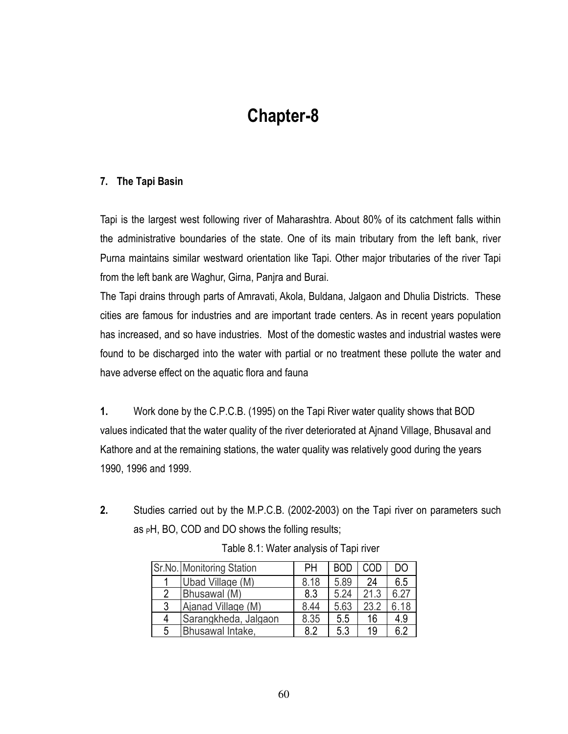# **Chapter-8**

### 7. The Tapi Basin

Tapi is the largest west following river of Maharashtra. About 80% of its catchment falls within the administrative boundaries of the state. One of its main tributary from the left bank, river Purna maintains similar westward orientation like Tapi. Other major tributaries of the river Tapi from the left bank are Waghur, Girna, Panjra and Burai.

The Tapi drains through parts of Amravati, Akola, Buldana, Jalgaon and Dhulia Districts. These cities are famous for industries and are important trade centers. As in recent years population has increased, and so have industries. Most of the domestic wastes and industrial wastes were found to be discharged into the water with partial or no treatment these pollute the water and have adverse effect on the aquatic flora and fauna

 $1.$ Work done by the C.P.C.B. (1995) on the Tapi River water quality shows that BOD values indicated that the water quality of the river deteriorated at Ajnand Village, Bhusaval and Kathore and at the remaining stations, the water quality was relatively good during the years 1990, 1996 and 1999.

 $2<sub>1</sub>$ Studies carried out by the M.P.C.B. (2002-2003) on the Tapi river on parameters such as  $pH$ , BO, COD and DO shows the folling results;

|   | Sr.No. Monitoring Station | PН   | <b>BOD</b> | COD  | DO   |
|---|---------------------------|------|------------|------|------|
|   | Ubad Village (M)          | 8.18 | 5.89       | 24   | 6.5  |
| 2 | Bhusawal (M)              | 8.3  | 5.24       | 21.3 | 6.27 |
| 3 | Ajanad Village (M)        | 8.44 | 5.63       | 23.2 | 6.18 |
| 4 | Sarangkheda, Jalgaon      | 8.35 | 5.5        | 16   | 4.9  |
| 5 | Bhusawal Intake,          | 82   | 5.3        | 19   | 6.2  |

Table 8.1: Water analysis of Tapi river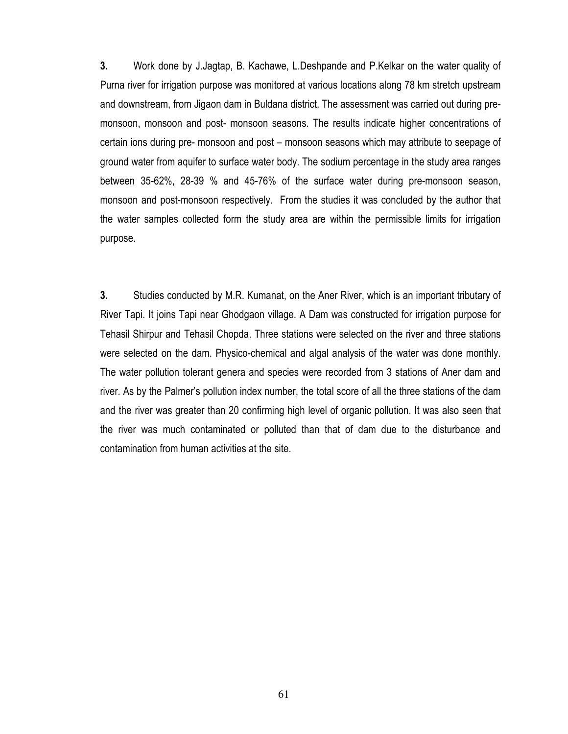$3.$ Work done by J.Jagtap, B. Kachawe, L.Deshpande and P.Kelkar on the water quality of Purna river for irrigation purpose was monitored at various locations along 78 km stretch upstream and downstream, from Jigaon dam in Buldana district. The assessment was carried out during premonsoon, monsoon and post- monsoon seasons. The results indicate higher concentrations of certain ions during pre- monsoon and post – monsoon seasons which may attribute to seepage of ground water from aguifer to surface water body. The sodium percentage in the study area ranges between 35-62%, 28-39 % and 45-76% of the surface water during pre-monsoon season, monsoon and post-monsoon respectively. From the studies it was concluded by the author that the water samples collected form the study area are within the permissible limits for irrigation purpose.

 $3.$ Studies conducted by M.R. Kumanat, on the Aner River, which is an important tributary of River Tapi. It joins Tapi near Ghodgaon village. A Dam was constructed for irrigation purpose for Tehasil Shirpur and Tehasil Chopda. Three stations were selected on the river and three stations were selected on the dam. Physico-chemical and algal analysis of the water was done monthly. The water pollution tolerant genera and species were recorded from 3 stations of Aner dam and river. As by the Palmer's pollution index number, the total score of all the three stations of the dam and the river was greater than 20 confirming high level of organic pollution. It was also seen that the river was much contaminated or polluted than that of dam due to the disturbance and contamination from human activities at the site.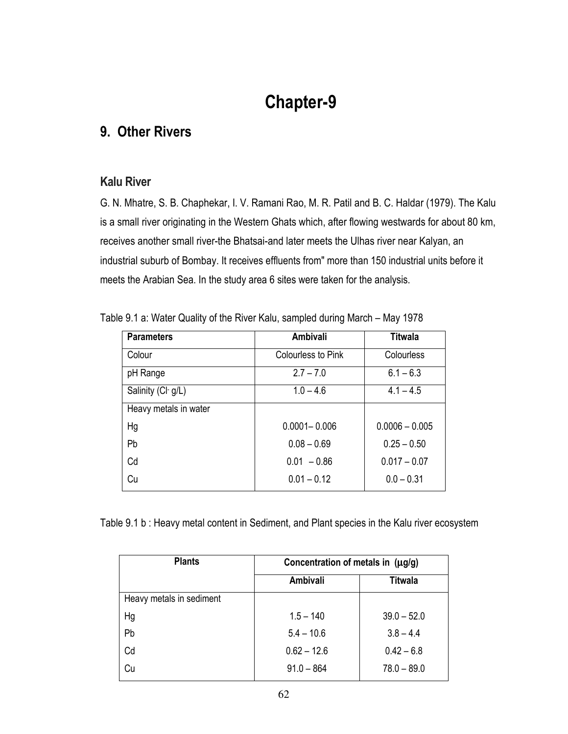# **Chapter-9**

## 9. Other Rivers

### **Kalu River**

G. N. Mhatre, S. B. Chaphekar, I. V. Ramani Rao, M. R. Patil and B. C. Haldar (1979). The Kalu is a small river originating in the Western Ghats which, after flowing westwards for about 80 km,  $\overline{\phantom{a}}$ receives another small river-the Bhatsai-and later meets the Ulhas river near Kalyan, an  $\overline{\phantom{a}}$ industrial suburb of Bombay. It receives effluents from" more than 150 industrial units before it meets the Arabian Sea. In the study area 6 sites were taken for the analysis.

| <b>Parameters</b>     | <b>Ambivali</b>    | <b>Titwala</b>   |
|-----------------------|--------------------|------------------|
| Colour                | Colourless to Pink | Colourless       |
| pH Range              | $2.7 - 7.0$        | $6.1 - 6.3$      |
| Salinity (Cl-g/L)     | $1.0 - 4.6$        | $4.1 - 4.5$      |
| Heavy metals in water |                    |                  |
| Hg                    | $0.0001 - 0.006$   | $0.0006 - 0.005$ |
| Pb                    | $0.08 - 0.69$      | $0.25 - 0.50$    |
| Cd                    | $0.01 - 0.86$      | $0.017 - 0.07$   |
| Cu                    | $0.01 - 0.12$      | $0.0 - 0.31$     |

Table 9.1 a: Water Quality of the River Kalu, sampled during March – May 1978

Table 9.1 b : Heavy metal content in Sediment, and Plant species in the Kalu river ecosyster

| <b>Plants</b>            | Concentration of metals in (µg/g) |               |  |  |  |  |  |
|--------------------------|-----------------------------------|---------------|--|--|--|--|--|
|                          | Ambivali                          | Titwala       |  |  |  |  |  |
| Heavy metals in sediment |                                   |               |  |  |  |  |  |
| Hg                       | $1.5 - 140$                       | $39.0 - 52.0$ |  |  |  |  |  |
| Pb                       | $5.4 - 10.6$                      | $3.8 - 4.4$   |  |  |  |  |  |
| Cd                       | $0.62 - 12.6$                     | $0.42 - 6.8$  |  |  |  |  |  |
| Cu                       | $91.0 - 864$                      | $78.0 - 89.0$ |  |  |  |  |  |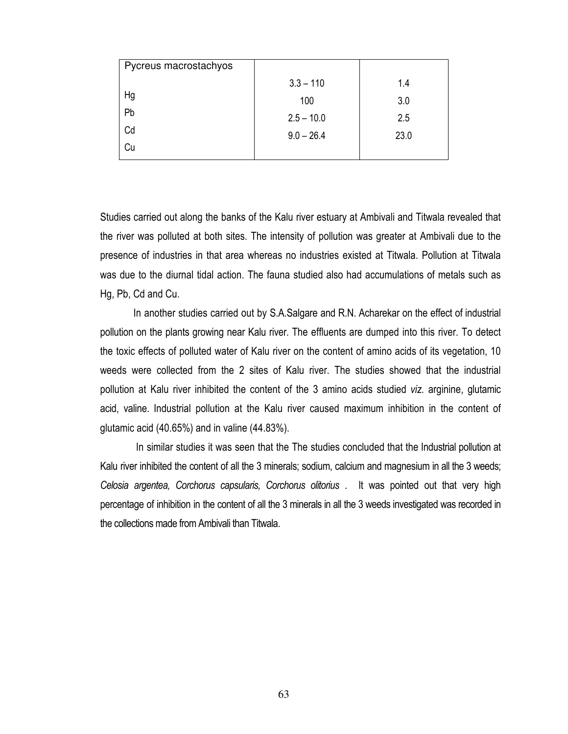| Pycreus macrostachyos |              |      |
|-----------------------|--------------|------|
|                       | $3.3 - 110$  | 1.4  |
| Hg                    | 100          | 3.0  |
| Pb                    | $2.5 - 10.0$ | 2.5  |
| Cd                    | $9.0 - 26.4$ | 23.0 |
| Cu                    |              |      |

Studies carried out along the banks of the Kalu river estuary at Ambivali and Titwala revealed that the river was polluted at both sites. The intensity of pollution was greater at Ambivali due to the presence of industries in that area whereas no industries existed at Titwala. Pollution at Titwala was due to the diurnal tidal action. The fauna studied also had accumulations of metals such as Hg, Pb, Cd and Cu.

In another studies carried out by S.A.Salgare and R.N. Acharekar on the effect of industrial pollution on the plants growing near Kalu river. The effluents are dumped into this river. To detect the toxic effects of polluted water of Kalu river on the content of amino acids of its vegetation, 10 weeds were collected from the 2 sites of Kalu river. The studies showed that the industrial pollution at Kalu river inhibited the content of the 3 amino acids studied viz. arginine, glutamic acid, valine. Industrial pollution at the Kalu river caused maximum inhibition in the content of glutamic acid  $(40.65%)$  and in valine  $(44.83%)$ .

In similar studies it was seen that the The studies concluded that the Industrial pollution at Kalu river inhibited the content of all the 3 minerals; sodium, calcium and magnesium in all the 3 weeds; Celosia argentea, Corchorus capsularis, Corchorus olitorius . It was pointed out that very high percentage of inhibition in the content of all the 3 minerals in all the 3 weeds investigated was recorded in the collections made from Ambivali than Titwala.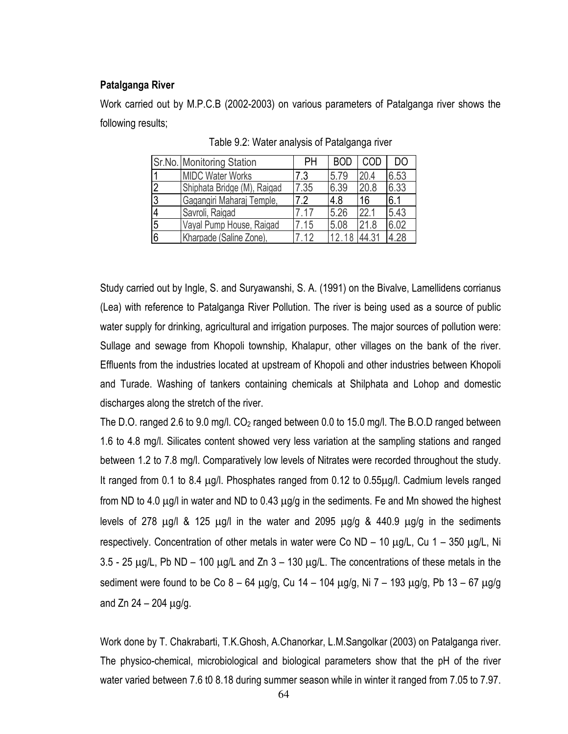#### Patalganga River

Work carried out by M.P.C.B (2002-2003) on various parameters of Patalganga river shows the following results;

|                | Sr.No. Monitoring Station   | PH    | <b>BOD</b> | COD   | DO   |
|----------------|-----------------------------|-------|------------|-------|------|
|                | <b>MIDC Water Works</b>     | 7.3   | 5.79       | 20.4  | 6.53 |
| $\overline{2}$ | Shiphata Bridge (M), Raigad | 7.35  | 6.39       | 20.8  | 6.33 |
| $\overline{3}$ | Gagangiri Maharaj Temple,   | 7.2   | 4.8        | 16    | 6.1  |
|                | Savroli, Raigad             | 7.17  | 5.26       | 22.1  | 5.43 |
| 5              | Vayal Pump House, Raigad    | 7.15  | 5.08       | 21.8  | 6.02 |
| 6              | Kharpade (Saline Zone),     | 7 1 2 | 12 18      | 44.31 | 4.28 |

Table 9.2: Water analysis of Patalganga river

Study carried out by Ingle, S. and Suryawanshi, S. A. (1991) on the Bivalve, Lamellidens corrianus (Lea) with reference to Patalganga River Pollution. The river is being used as a source of public water supply for drinking, agricultural and irrigation purposes. The major sources of pollution were: Sullage and sewage from Khopoli township, Khalapur, other villages on the bank of the river. Effluents from the industries located at upstream of Khopoli and other industries between Khopoli and Turade. Washing of tankers containing chemicals at Shilphata and Lohop and domestic discharges along the stretch of the river.

The D.O. ranged 2.6 to 9.0 mg/l. CO<sub>2</sub> ranged between 0.0 to 15.0 mg/l. The B.O.D ranged between 1.6 to 4.8 mg/l. Silicates content showed very less variation at the sampling stations and ranged between 1.2 to 7.8 mg/l. Comparatively low levels of Nitrates were recorded throughout the study. It ranged from 0.1 to 8.4 µg/l. Phosphates ranged from 0.12 to 0.55µg/l. Cadmium levels ranged from ND to 4.0  $\mu$ g/l in water and ND to 0.43  $\mu$ g/g in the sediments. Fe and Mn showed the highest levels of 278  $\mu$ g/l & 125  $\mu$ g/l in the water and 2095  $\mu$ g/g & 440.9  $\mu$ g/g in the sediments respectively. Concentration of other metals in water were Co ND – 10  $\mu$ g/L, Cu 1 – 350  $\mu$ g/L, Ni  $3.5$  - 25  $\mu$ g/L, Pb ND – 100  $\mu$ g/L and Zn 3 – 130  $\mu$ g/L. The concentrations of these metals in the sediment were found to be Co  $8 - 64 \mu g/g$ , Cu  $14 - 104 \mu g/g$ , Ni  $7 - 193 \mu g/g$ , Pb  $13 - 67 \mu g/g$ and  $Zn 24 - 204 \mu q/q$ .

Work done by T. Chakrabarti, T.K. Ghosh, A.Chanorkar, L.M. Sangolkar (2003) on Patalganga river. The physico-chemical, microbiological and biological parameters show that the pH of the river water varied between 7.6 t0 8.18 during summer season while in winter it ranged from 7.05 to 7.97.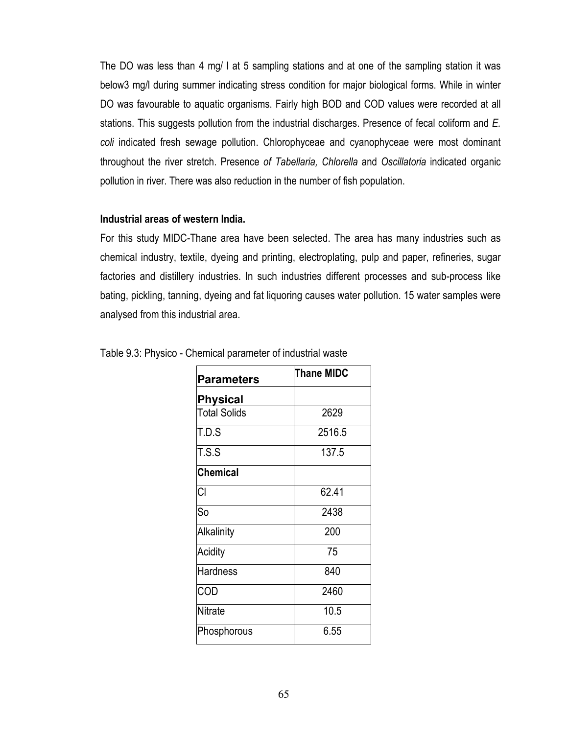The DO was less than 4 mg/ I at 5 sampling stations and at one of the sampling station it was below3 mg/l during summer indicating stress condition for major biological forms. While in winter DO was favourable to aquatic organisms. Fairly high BOD and COD values were recorded at all stations. This suggests pollution from the industrial discharges. Presence of fecal coliform and E. coli indicated fresh sewage pollution. Chlorophyceae and cyanophyceae were most dominant throughout the river stretch. Presence of Tabellaria, Chlorella and Oscillatoria indicated organic pollution in river. There was also reduction in the number of fish population.

#### Industrial areas of western India.

For this study MIDC-Thane area have been selected. The area has many industries such as chemical industry, textile, dyeing and printing, electroplating, pulp and paper, refineries, sugar factories and distillery industries. In such industries different processes and sub-process like bating, pickling, tanning, dyeing and fat liquoring causes water pollution. 15 water samples were analysed from this industrial area.

| <b>Parameters</b>   | <b>Thane MIDC</b> |
|---------------------|-------------------|
| <b>Physical</b>     |                   |
| <b>Total Solids</b> | 2629              |
| T.D.S               | 2516.5            |
| T.S.S               | 137.5             |
| <b>Chemical</b>     |                   |
| CI                  | 62.41             |
| So                  | 2438              |
| <b>Alkalinity</b>   | 200               |
| Acidity             | 75                |
| <b>Hardness</b>     | 840               |
| COD                 | 2460              |
| <b>Nitrate</b>      | 10.5              |
| Phosphorous         | 6.55              |

|  |  | Table 9.3: Physico - Chemical parameter of industrial waste |  |  |
|--|--|-------------------------------------------------------------|--|--|
|  |  |                                                             |  |  |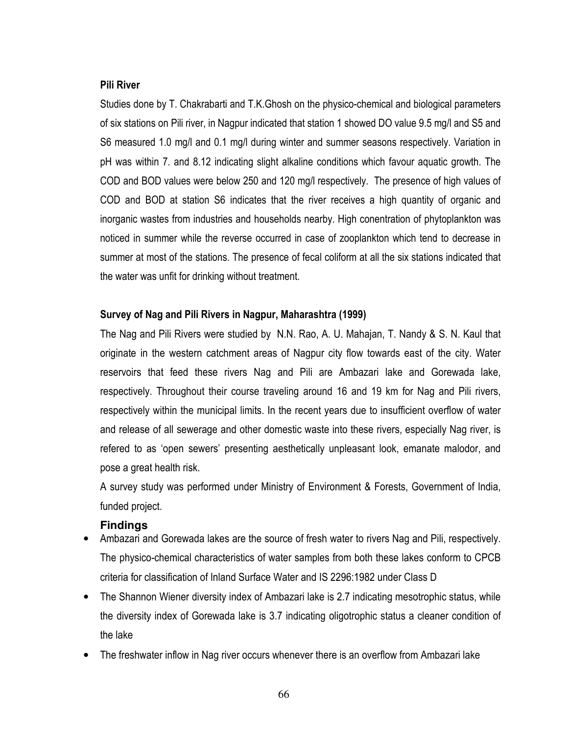#### **Pili River**

Studies done by T. Chakrabarti and T.K. Ghosh on the physico-chemical and biological parameters of six stations on Pili river, in Nagpur indicated that station 1 showed DO value 9.5 mg/l and S5 and S6 measured 1.0 mg/l and 0.1 mg/l during winter and summer seasons respectively. Variation in pH was within 7, and 8.12 indicating slight alkaline conditions which favour aquatic growth. The COD and BOD values were below 250 and 120 mg/l respectively. The presence of high values of COD and BOD at station S6 indicates that the river receives a high quantity of organic and inorganic wastes from industries and households nearby. High conentration of phytoplankton was noticed in summer while the reverse occurred in case of zooplankton which tend to decrease in summer at most of the stations. The presence of fecal coliform at all the six stations indicated that the water was unfit for drinking without treatment.

#### Survey of Nag and Pili Rivers in Nagpur, Maharashtra (1999)

The Nag and Pili Rivers were studied by N.N. Rao, A. U. Mahajan, T. Nandy & S. N. Kaul that originate in the western catchment areas of Nagpur city flow towards east of the city. Water reservoirs that feed these rivers Nag and Pili are Ambazari lake and Gorewada lake, respectively. Throughout their course traveling around 16 and 19 km for Nag and Pili rivers, respectively within the municipal limits. In the recent years due to insufficient overflow of water and release of all sewerage and other domestic waste into these rivers, especially Nag river, is refered to as 'open sewers' presenting aesthetically unpleasant look, emanate malodor, and pose a great health risk.

A survey study was performed under Ministry of Environment & Forests, Government of India, funded project.

#### **Findings**

- Ambazari and Gorewada lakes are the source of fresh water to rivers Nag and Pili, respectively. The physico-chemical characteristics of water samples from both these lakes conform to CPCB criteria for classification of Inland Surface Water and IS 2296:1982 under Class D
- The Shannon Wiener diversity index of Ambazari lake is 2.7 indicating mesotrophic status, while the diversity index of Gorewada lake is 3.7 indicating oligotrophic status a cleaner condition of the lake
- The freshwater inflow in Nag river occurs whenever there is an overflow from Ambazari lake  $\bullet$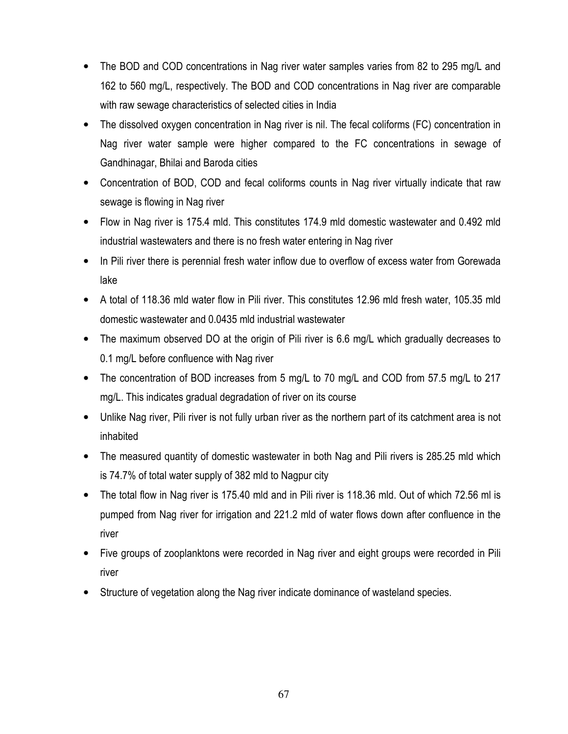- The BOD and COD concentrations in Nag river water samples varies from 82 to 295 mg/L and  $\bullet$ 162 to 560 mg/L, respectively. The BOD and COD concentrations in Nag river are comparable with raw sewage characteristics of selected cities in India
- The dissolved oxygen concentration in Nag river is nil. The fecal coliforms (FC) concentration in Nag river water sample were higher compared to the FC concentrations in sewage of Gandhinagar, Bhilai and Baroda cities
- Concentration of BOD, COD and fecal coliforms counts in Nag river virtually indicate that raw sewage is flowing in Nag river
- Flow in Nag river is 175.4 mld. This constitutes 174.9 mld domestic wastewater and 0.492 mld industrial wastewaters and there is no fresh water entering in Nag river
- In Pili river there is perennial fresh water inflow due to overflow of excess water from Gorewada  $\bullet$ lake
- A total of 118.36 mld water flow in Pili river. This constitutes 12.96 mld fresh water, 105.35 mld domestic wastewater and 0.0435 mld industrial wastewater
- The maximum observed DO at the origin of Pili river is 6.6 mg/L which gradually decreases to 0.1 mg/L before confluence with Nag river
- The concentration of BOD increases from 5 mg/L to 70 mg/L and COD from 57.5 mg/L to 217 mg/L. This indicates gradual degradation of river on its course
- Unlike Nag river, Pili river is not fully urban river as the northern part of its catchment area is not inhabited
- The measured quantity of domestic wastewater in both Nag and Pili rivers is 285.25 mld which is 74.7% of total water supply of 382 mld to Nagpur city
- The total flow in Nag river is 175.40 mld and in Pili river is 118.36 mld. Out of which 72.56 ml is  $\bullet$ pumped from Nag river for irrigation and 221.2 mld of water flows down after confluence in the river
- Five groups of zooplanktons were recorded in Nag river and eight groups were recorded in Pili  $\bullet$ river
- Structure of vegetation along the Nag river indicate dominance of wasteland species.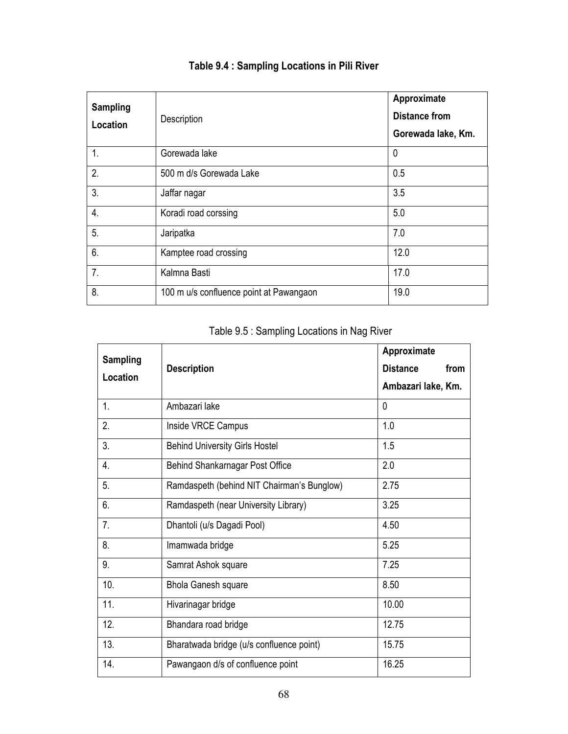| <b>Sampling</b><br>Location | Description                             | Approximate<br><b>Distance from</b><br>Gorewada lake, Km. |
|-----------------------------|-----------------------------------------|-----------------------------------------------------------|
| 1.                          | Gorewada lake                           | 0                                                         |
| 2.                          | 500 m d/s Gorewada Lake                 | 0.5                                                       |
| 3.                          | Jaffar nagar                            | 3.5                                                       |
| $\overline{4}$ .            | Koradi road corssing                    | 5.0                                                       |
| 5.                          | Jaripatka                               | 7.0                                                       |
| 6.                          | Kamptee road crossing                   | 12.0                                                      |
| 7.                          | Kalmna Basti                            | 17.0                                                      |
| 8.                          | 100 m u/s confluence point at Pawangaon | 19.0                                                      |

## Table 9.4 : Sampling Locations in Pili River

| <b>Sampling</b> |                                            | Approximate             |
|-----------------|--------------------------------------------|-------------------------|
| Location        | <b>Description</b>                         | <b>Distance</b><br>from |
|                 |                                            | Ambazari lake, Km.      |
| 1.              | Ambazari lake                              | 0                       |
| 2.              | Inside VRCE Campus                         | 1.0                     |
| 3.              | <b>Behind University Girls Hostel</b>      | 1.5                     |
| 4.              | Behind Shankarnagar Post Office            | 2.0                     |
| 5.              | Ramdaspeth (behind NIT Chairman's Bunglow) | 2.75                    |
| 6.              | Ramdaspeth (near University Library)       | 3.25                    |
| 7.              | Dhantoli (u/s Dagadi Pool)                 | 4.50                    |
| 8.              | Imamwada bridge                            | 5.25                    |
| 9.              | Samrat Ashok square                        | 7.25                    |
| 10.             | <b>Bhola Ganesh square</b>                 | 8.50                    |
| 11.             | Hivarinagar bridge                         | 10.00                   |
| 12.             | Bhandara road bridge                       | 12.75                   |
| 13.             | Bharatwada bridge (u/s confluence point)   | 15.75                   |
| 14.             | Pawangaon d/s of confluence point          | 16.25                   |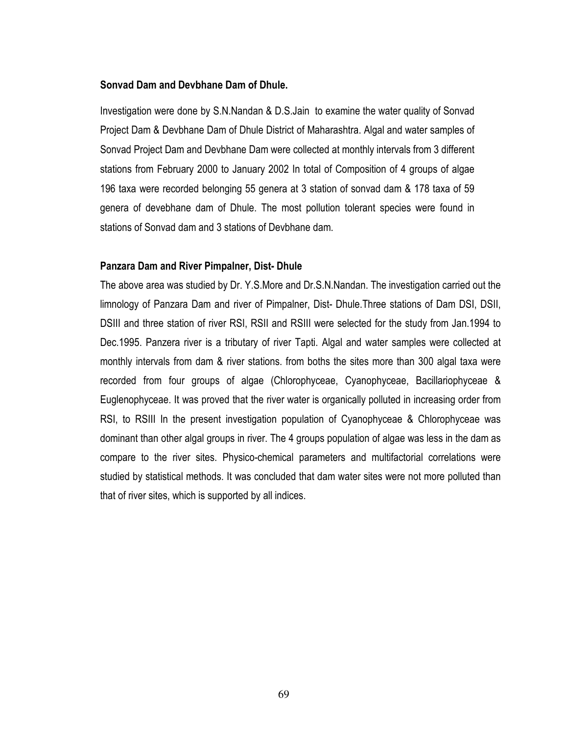#### Sonvad Dam and Devbhane Dam of Dhule.

Investigation were done by S.N.Nandan & D.S.Jain to examine the water quality of Sonvad Project Dam & Devbhane Dam of Dhule District of Maharashtra. Algal and water samples of Sonvad Project Dam and Devbhane Dam were collected at monthly intervals from 3 different stations from February 2000 to January 2002 In total of Composition of 4 groups of algae 196 taxa were recorded belonging 55 genera at 3 station of sonvad dam & 178 taxa of 59 genera of devebhane dam of Dhule. The most pollution tolerant species were found in stations of Sonvad dam and 3 stations of Devbhane dam.

#### Panzara Dam and River Pimpalner, Dist-Dhule

The above area was studied by Dr. Y.S. More and Dr.S.N. Nandan. The investigation carried out the limnology of Panzara Dam and river of Pimpalner, Dist- Dhule. Three stations of Dam DSI, DSII, DSIII and three station of river RSI, RSII and RSIII were selected for the study from Jan.1994 to Dec.1995. Panzera river is a tributary of river Tapti. Algal and water samples were collected at monthly intervals from dam & river stations. from boths the sites more than 300 algal taxa were recorded from four groups of algae (Chlorophyceae, Cyanophyceae, Bacillariophyceae & Euglenophyceae. It was proved that the river water is organically polluted in increasing order from RSI, to RSIII In the present investigation population of Cyanophyceae & Chlorophyceae was dominant than other algal groups in river. The 4 groups population of algae was less in the dam as compare to the river sites. Physico-chemical parameters and multifactorial correlations were studied by statistical methods. It was concluded that dam water sites were not more polluted than that of river sites, which is supported by all indices.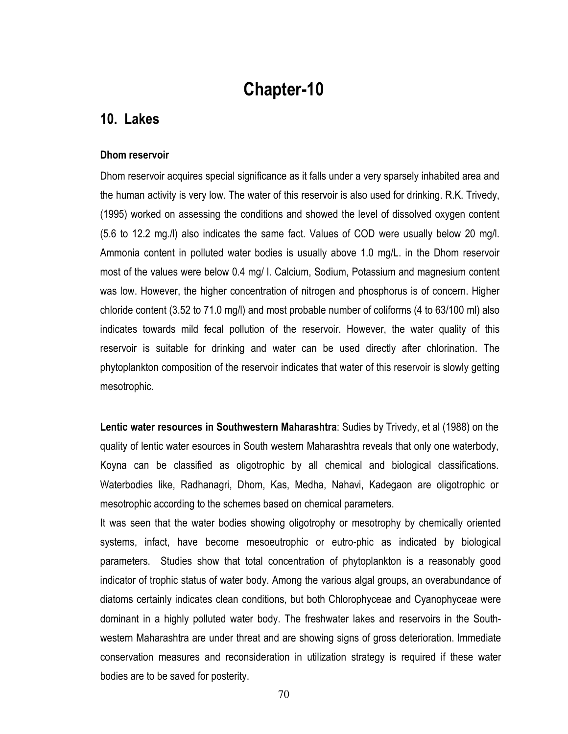# **Chapter-10**

# 10. Lakes

#### Dhom reservoir

Dhom reservoir acquires special significance as it falls under a very sparsely inhabited area and the human activity is very low. The water of this reservoir is also used for drinking. R.K. Trivedy, (1995) worked on assessing the conditions and showed the level of dissolved oxygen content (5.6 to 12.2 mg./l) also indicates the same fact. Values of COD were usually below 20 mg/l. Ammonia content in polluted water bodies is usually above 1.0 mg/L. in the Dhom reservoir most of the values were below 0.4 mg/ I. Calcium, Sodium, Potassium and magnesium content was low. However, the higher concentration of nitrogen and phosphorus is of concern. Higher chloride content (3.52 to 71.0 mg/l) and most probable number of coliforms (4 to 63/100 ml) also indicates towards mild fecal pollution of the reservoir. However, the water quality of this reservoir is suitable for drinking and water can be used directly after chlorination. The phytoplankton composition of the reservoir indicates that water of this reservoir is slowly getting mesotrophic.

Lentic water resources in Southwestern Maharashtra: Sudies by Trivedy, et al (1988) on the quality of lentic water esources in South western Maharashtra reveals that only one waterbody, Koyna can be classified as oligotrophic by all chemical and biological classifications. Waterbodies like, Radhanagri, Dhom, Kas, Medha, Nahavi, Kadegaon are oligotrophic or mesotrophic according to the schemes based on chemical parameters.

It was seen that the water bodies showing oligotrophy or mesotrophy by chemically oriented systems, infact, have become mesoeutrophic or eutro-phic as indicated by biological parameters. Studies show that total concentration of phytoplankton is a reasonably good indicator of trophic status of water body. Among the various algal groups, an overabundance of diatoms certainly indicates clean conditions, but both Chlorophyceae and Cyanophyceae were dominant in a highly polluted water body. The freshwater lakes and reservoirs in the Southwestern Maharashtra are under threat and are showing signs of gross deterioration. Immediate conservation measures and reconsideration in utilization strategy is required if these water bodies are to be saved for posterity.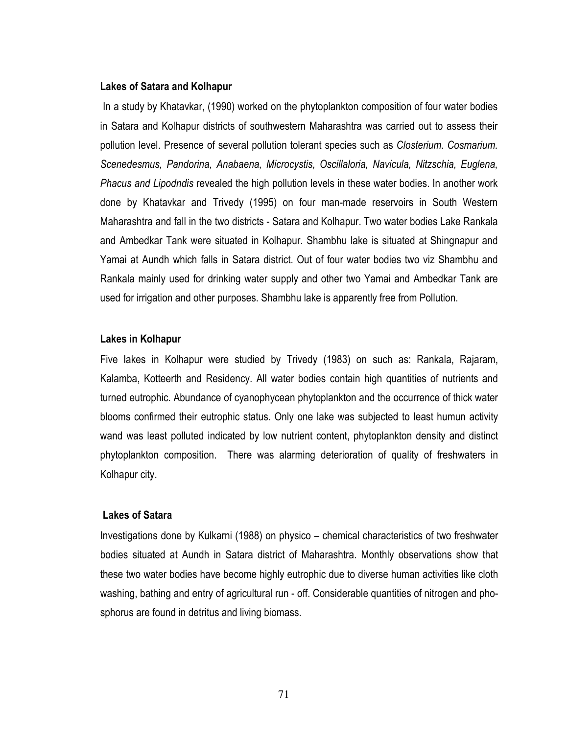#### **Lakes of Satara and Kolhapur**

In a study by Khatavkar, (1990) worked on the phytoplankton composition of four water bodies in Satara and Kolhapur districts of southwestern Maharashtra was carried out to assess their pollution level. Presence of several pollution tolerant species such as Closterium. Cosmarium. Scenedesmus, Pandorina, Anabaena, Microcystis, Oscillaloria, Navicula, Nitzschia, Euglena, Phacus and Lipodndis revealed the high pollution levels in these water bodies. In another work done by Khatavkar and Trivedy (1995) on four man-made reservoirs in South Western Maharashtra and fall in the two districts - Satara and Kolhapur. Two water bodies Lake Rankala and Ambedkar Tank were situated in Kolhapur. Shambhu lake is situated at Shingnapur and Yamai at Aundh which falls in Satara district. Out of four water bodies two viz Shambhu and Rankala mainly used for drinking water supply and other two Yamai and Ambedkar Tank are used for irrigation and other purposes. Shambhu lake is apparently free from Pollution.

#### Lakes in Kolhapur

Five lakes in Kolhapur were studied by Trivedy (1983) on such as: Rankala, Rajaram, Kalamba, Kotteerth and Residency. All water bodies contain high quantities of nutrients and turned eutrophic. Abundance of cyanophycean phytoplankton and the occurrence of thick water blooms confirmed their eutrophic status. Only one lake was subjected to least humun activity wand was least polluted indicated by low nutrient content, phytoplankton density and distinct phytoplankton composition. There was alarming deterioration of quality of freshwaters in Kolhapur city.

#### **Lakes of Satara**

Investigations done by Kulkarni (1988) on physico – chemical characteristics of two freshwater bodies situated at Aundh in Satara district of Maharashtra. Monthly observations show that these two water bodies have become highly eutrophic due to diverse human activities like cloth washing, bathing and entry of agricultural run - off. Considerable quantities of nitrogen and phosphorus are found in detritus and living biomass.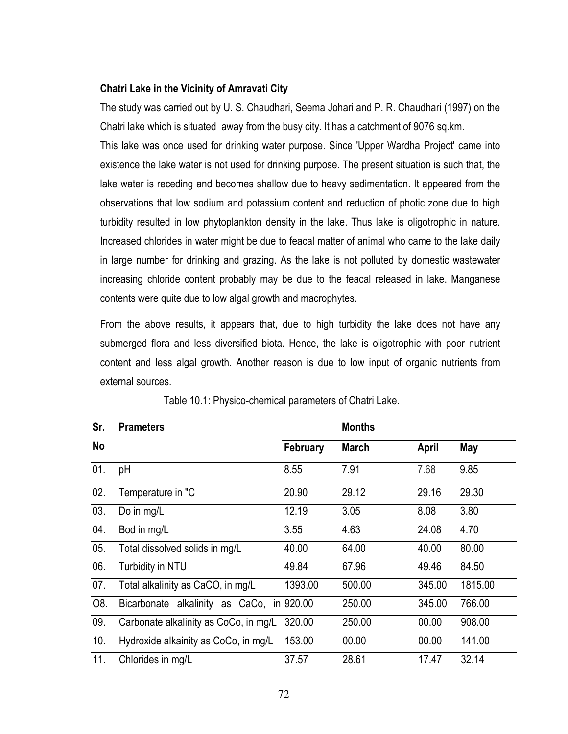#### Chatri Lake in the Vicinity of Amravati City

The study was carried out by U. S. Chaudhari, Seema Johari and P. R. Chaudhari (1997) on the Chatri lake which is situated away from the busy city. It has a catchment of 9076 sq.km.

This lake was once used for drinking water purpose. Since 'Upper Wardha Project' came into existence the lake water is not used for drinking purpose. The present situation is such that, the  $\overline{\phantom{a}}$ ake water is receding and becomes shallow due to heavy sedimentation. It appeared from the  $\overline{\phantom{a}}$ observations that low sodium and potassium content and reduction of photic zone due to high turbidity resulted in low phytoplankton density in the lake. Thus lake is oligotrophic in nature. Increased chlorides in water might be due to feacal matter of animal who came to the lake daily in large number for drinking and grazing. As the lake is not polluted by domestic wastewater  $\overline{\phantom{a}}$ increasing chloride content probably may be due to the feacal released in lake. Manganese  $\overline{\phantom{a}}$ contents were quite due to low algal growth and macrophytes.

From the above results, it appears that, due to high turbidity the lake does not have any submerged flora and less diversified biota. Hence, the lake is oligotrophic with poor nutrient content and less algal growth. Another reason is due to low input of organic nutrients fror external sources.

| Sr. | <b>Prameters</b>                          |          | <b>Months</b> |              |         |
|-----|-------------------------------------------|----------|---------------|--------------|---------|
| No  |                                           | February | <b>March</b>  | <b>April</b> | May     |
| 01. | рH                                        | 8.55     | 7.91          | 7.68         | 9.85    |
| 02. | Temperature in "C                         | 20.90    | 29.12         | 29.16        | 29.30   |
| 03. | Do in mg/L                                | 12.19    | 3.05          | 8.08         | 3.80    |
| 04. | Bod in mg/L                               | 3.55     | 4.63          | 24.08        | 4.70    |
| 05. | Total dissolved solids in mg/L            | 40.00    | 64.00         | 40.00        | 80.00   |
| 06. | Turbidity in NTU                          | 49.84    | 67.96         | 49.46        | 84.50   |
| 07. | Total alkalinity as CaCO, in mg/L         | 1393.00  | 500.00        | 345.00       | 1815.00 |
| O8. | Bicarbonate alkalinity as CaCo, in 920.00 |          | 250.00        | 345.00       | 766.00  |
| 09. | Carbonate alkalinity as CoCo, in mg/L     | 320.00   | 250.00        | 00.00        | 908.00  |
| 10. | Hydroxide alkainity as CoCo, in mg/L      | 153.00   | 00.00         | 00.00        | 141.00  |
| 11. | Chlorides in mg/L                         | 37.57    | 28.61         | 17.47        | 32.14   |

Table 10.1: Physico-chemical parameters of Chatri Lake.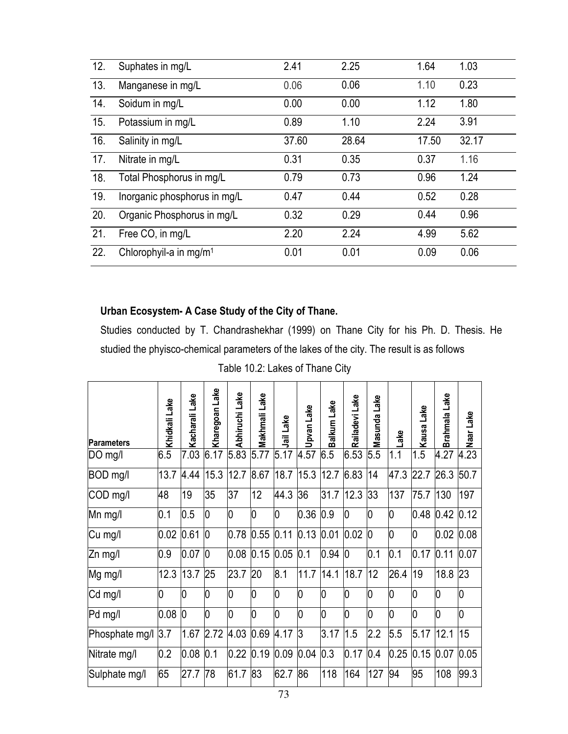| 12. | Suphates in mg/L                   | 2.41  | 2.25  | 1.64  | 1.03  |
|-----|------------------------------------|-------|-------|-------|-------|
| 13. | Manganese in mg/L                  | 0.06  | 0.06  | 1.10  | 0.23  |
| 14. | Soidum in mg/L                     | 0.00  | 0.00  | 1.12  | 1.80  |
| 15. | Potassium in mg/L                  | 0.89  | 1.10  | 2.24  | 3.91  |
| 16. | Salinity in mg/L                   | 37.60 | 28.64 | 17.50 | 32.17 |
| 17. | Nitrate in mg/L                    | 0.31  | 0.35  | 0.37  | 1.16  |
| 18. | Total Phosphorus in mg/L           | 0.79  | 0.73  | 0.96  | 1.24  |
| 19. | Inorganic phosphorus in mg/L       | 0.47  | 0.44  | 0.52  | 0.28  |
| 20. | Organic Phosphorus in mg/L         | 0.32  | 0.29  | 0.44  | 0.96  |
| 21. | Free CO, in mg/L                   | 2.20  | 2.24  | 4.99  | 5.62  |
| 22. | Chlorophyil-a in mg/m <sup>1</sup> | 0.01  | 0.01  | 0.09  | 0.06  |

#### Urban Ecosystem- A Case Study of the City of Thane.

Studies conducted by T. Chandrashekhar (1999) on Thane City for his Ph. D. Thesis. He studied the phyisco-chemical parameters of the lakes of the city. The result is as follows  $\overline{\phantom{a}}$ 

Table 10.2: Lakes of Thane City

| <b>Parameters</b> | Khidkali Lake | Kacharali Lake | Kharegoan Lake | Abhiruchi Lake | Makhmali Lake | Jail Lake | Upvan Lake | Balkum Lake    | Railadevi Lake | Lake<br>Masunda | ake  | Lake<br>Kausa | Brahmala Lake | Naar Lake |
|-------------------|---------------|----------------|----------------|----------------|---------------|-----------|------------|----------------|----------------|-----------------|------|---------------|---------------|-----------|
| DO mg/l           | 6.5           | 7.03           | 6.17           | 5.83           | 5.77          | 5.17      | 4.57       | 6.5            | 6.53           | 5.5             | 1.1  | 1.5           | 4.27          | 4.23      |
| BOD mg/l          | 13.7          | 4.44           | 15.3           | 12.7           | 8.67          | 18.7      | 15.3       | 12.7           | 6.83           | 14              | 47.3 | 22.7          | 26.3          | 50.7      |
| COD mg/l          | 48            | 19             | 35             | 37             | 12            | 44.3      | 36         | 31.7           | 12.3           | 33              | 137  | 75.7          | 130           | 197       |
| Mn mg/l           | 0.1           | 0.5            | 10             | O              | 10            | 0         | 0.36       | 0.9            | 0              | 0               | 0    | 0.48          | 0.42          | 0.12      |
| Cu mg/l           | 0.02          | 0.61           | $\overline{0}$ | 0.78           | 0.55          | 0.11      | 0.13       | 0.01           | 0.02           | $\overline{0}$  | 0    | 0             | 0.02          | 0.08      |
| Zn mg/l           | 0.9           | 0.07           | $\overline{0}$ | 0.08           | 0.15          | 0.05      | 0.1        | 0.94           | 10             | 0.1             | 0.1  | 0.17          | 0.11          | 0.07      |
| Mg mg/l           | 12.3          | 13.7           | 25             | 23.7           | 20            | 8.1       | 11.7       | 14.1           | 18.7           | 12              | 26.4 | 19            | 18.8          | 23        |
| Cd mg/l           | 10            | 0              | 10             | 10             | 10            | 0         | 0          | $\overline{0}$ | l0             | 0               | 0    | 0             | 10            | 10        |
| Pd mg/l           | 0.08          | 10             | 10             | l0             | 0             | 10        | l0         | $\overline{0}$ | $\overline{0}$ | 0               | 0    | 0             | l0            | 10        |
| Phosphate mg/l    | 3.7           | 1.67           | 2.72           | 4.03           | 0.69          | 4.17      | 13         | 3.17           | 1.5            | 2.2             | 5.5  | 5.17          | 12.1          | 15        |
| Nitrate mg/l      | 0.2           | 0.08           | 0.1            | 0.22           | 0.19          | 0.09      | 0.04       | 0.3            | 0.17           | 0.4             | 0.25 | 0.15          | 0.07          | 0.05      |
| Sulphate mg/l     | 65            | 27.7           | 78             | 61.7           | 83            | 62.7      | 86         | 118            | 164            | 127             | 94   | 95            | 108           | 99.3      |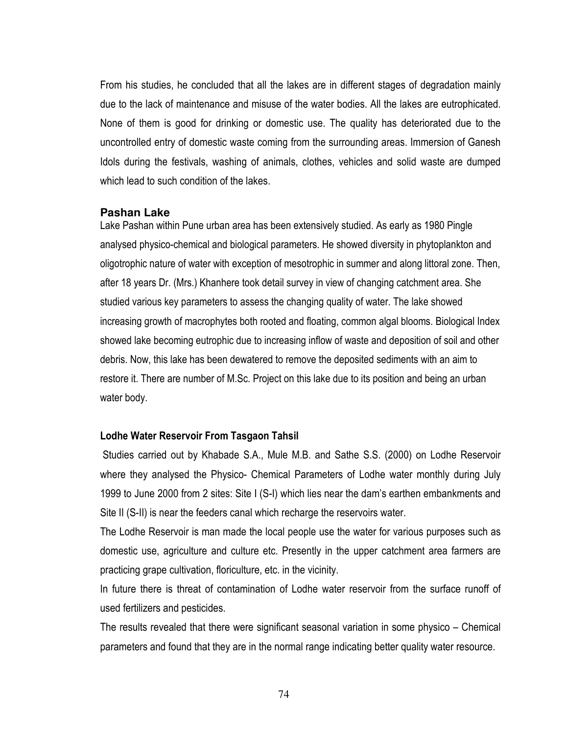From his studies, he concluded that all the lakes are in different stages of degradation mainly due to the lack of maintenance and misuse of the water bodies. All the lakes are eutrophicated. None of them is good for drinking or domestic use. The quality has deteriorated due to the uncontrolled entry of domestic waste coming from the surrounding areas. Immersion of Ganesh Idols during the festivals, washing of animals, clothes, vehicles and solid waste are dumped which lead to such condition of the lakes.

#### Pashan Lake

Lake Pashan within Pune urban area has been extensively studied. As early as 1980 Pingle analysed physico-chemical and biological parameters. He showed diversity in phytoplankton and oligotrophic nature of water with exception of mesotrophic in summer and along littoral zone. Then, after 18 years Dr. (Mrs.) Khanhere took detail survey in view of changing catchment area. She studied various key parameters to assess the changing quality of water. The lake showed increasing growth of macrophytes both rooted and floating, common algal blooms. Biological Index showed lake becoming eutrophic due to increasing inflow of waste and deposition of soil and other debris. Now, this lake has been dewatered to remove the deposited sediments with an aim to restore it. There are number of M.Sc. Project on this lake due to its position and being an urban water body.

#### Lodhe Water Reservoir From Tasgaon Tahsil

Studies carried out by Khabade S.A., Mule M.B. and Sathe S.S. (2000) on Lodhe Reservoir where they analysed the Physico- Chemical Parameters of Lodhe water monthly during July 1999 to June 2000 from 2 sites: Site I (S-I) which lies near the dam's earthen embankments and Site II (S-II) is near the feeders canal which recharge the reservoirs water.

The Lodhe Reservoir is man made the local people use the water for various purposes such as domestic use, agriculture and culture etc. Presently in the upper catchment area farmers are practicing grape cultivation, floriculture, etc. in the vicinity.

In future there is threat of contamination of Lodhe water reservoir from the surface runoff of used fertilizers and pesticides.

The results revealed that there were significant seasonal variation in some physico – Chemical parameters and found that they are in the normal range indicating better quality water resource.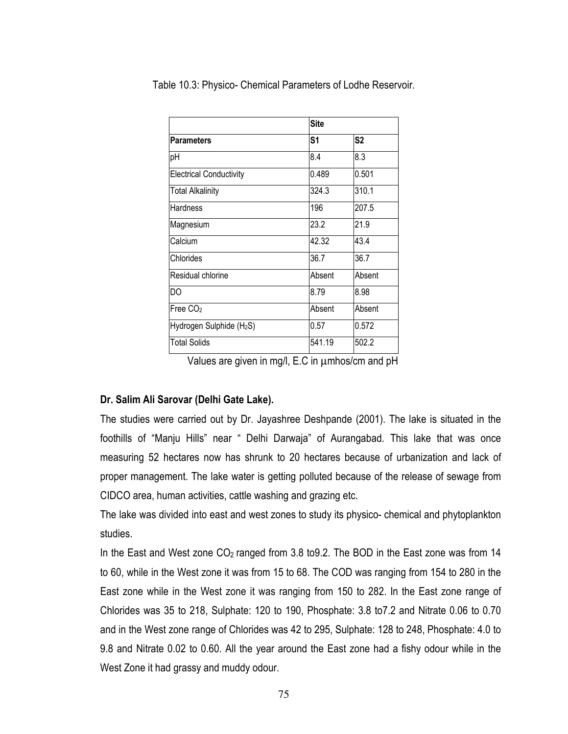| <b>Parameters</b>                    | <b>Site</b> |        |
|--------------------------------------|-------------|--------|
|                                      | S1          | S2     |
| pН                                   | 8.4         | 8.3    |
| <b>Electrical Conductivity</b>       | 0.489       | 0.501  |
| <b>Total Alkalinity</b>              | 324.3       | 310.1  |
| Hardness                             | 196         | 207.5  |
| Magnesium                            | 23.2        | 21.9   |
| Calcium                              | 42.32       | 43.4   |
| Chlorides                            | 36.7        | 36.7   |
| Residual chlorine                    | Absent      | Absent |
| DΟ                                   | 8.79        | 8.98   |
| Free CO <sub>2</sub>                 | Absent      | Absent |
| Hydrogen Sulphide (H <sub>2</sub> S) | 0.57        | 0.572  |
| <b>Total Solids</b>                  | 541.19      | 502.2  |

Table 10.3: Physico- Chemical Parameters of Lodhe Reservoir.

Values are given in mg/l, E.C in umhos/cm and pH

# Dr. Salim Ali Sarovar (Delhi Gate Lake).

The studies were carried out by Dr. Jayashree Deshpande (2001). The lake is situated in the foothills of "Manju Hills" near " Delhi Darwaja" of Aurangabad. This lake that was once measuring 52 hectares now has shrunk to 20 hectares because of urbanization and lack of proper management. The lake water is getting polluted because of the release of sewage from CIDCO area, human activities, cattle washing and grazing etc.

The lake was divided into east and west zones to study its physico- chemical and phytoplankton studies.

In the East and West zone  $CO<sub>2</sub>$  ranged from 3.8 to 9.2. The BOD in the East zone was from 14 to 60, while in the West zone it was from 15 to 68. The COD was ranging from 154 to 280 in the East zone while in the West zone it was ranging from 150 to 282. In the East zone range of Chlorides was 35 to 218, Sulphate: 120 to 190, Phosphate: 3.8 to 7.2 and Nitrate 0.06 to 0.70 and in the West zone range of Chlorides was 42 to 295, Sulphate: 128 to 248, Phosphate: 4.0 to 9.8 and Nitrate 0.02 to 0.60. All the year around the East zone had a fishy odour while in the West Zone it had grassy and muddy odour.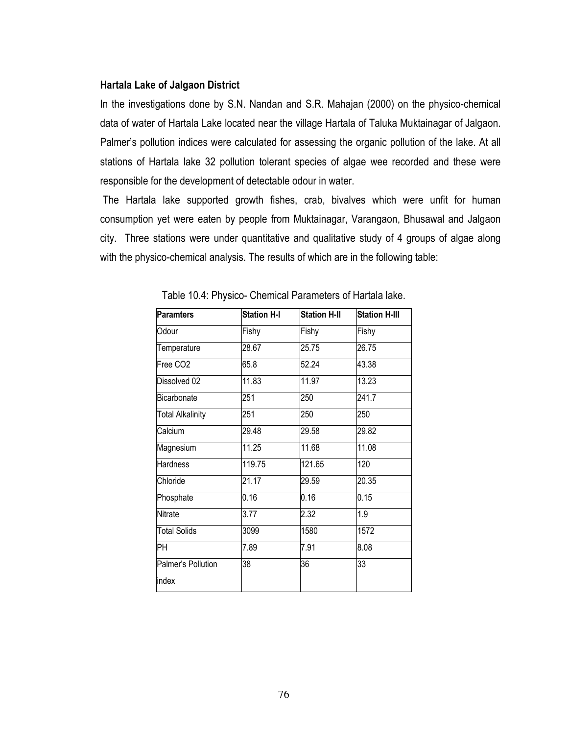## **Hartala Lake of Jalgaon District**

In the investigations done by S.N. Nandan and S.R. Mahajan (2000) on the physico-chemical data of water of Hartala Lake located near the village Hartala of Taluka Muktainagar of Jalgaon. Palmer's pollution indices were calculated for assessing the organic pollution of the lake. At all stations of Hartala lake 32 pollution tolerant species of algae wee recorded and these were responsible for the development of detectable odour in water.

The Hartala lake supported growth fishes, crab, bivalves which were unfit for human consumption yet were eaten by people from Muktainagar, Varangaon, Bhusawal and Jalgaon city. Three stations were under quantitative and qualitative study of 4 groups of algae along with the physico-chemical analysis. The results of which are in the following table:

| <b>Paramters</b>        | <b>Station H-I</b> | <b>Station H-II</b> | <b>Station H-III</b> |
|-------------------------|--------------------|---------------------|----------------------|
| Odour                   | Fishy              | Fishy               | Fishy                |
| Temperature             | 28.67              | 25.75               | 26.75                |
| Free CO2                | 65.8               | 52.24               | 43.38                |
| Dissolved 02            | 11.83              | 11.97               | 13.23                |
| Bicarbonate             | 251                | 250                 | 241.7                |
| <b>Total Alkalinity</b> | 251                | 250                 | 250                  |
| Calcium                 | 29.48              | 29.58               | 29.82                |
| Magnesium               | $\overline{11.25}$ | 11.68               | 11.08                |
| <b>Hardness</b>         | 119.75             | 121.65              | 120                  |
| Chloride                | 21.17              | 29.59               | 20.35                |
| Phosphate               | 0.16               | 0.16                | 0.15                 |
| <b>Nitrate</b>          | 3.77               | 2.32                | 1.9                  |
| <b>Total Solids</b>     | 3099               | 1580                | 1572                 |
| PН                      | 7.89               | 7.91                | 8.08                 |
| Palmer's Pollution      | 38                 | 36                  | 33                   |
| index                   |                    |                     |                      |

Table 10.4: Physico- Chemical Parameters of Hartala lake.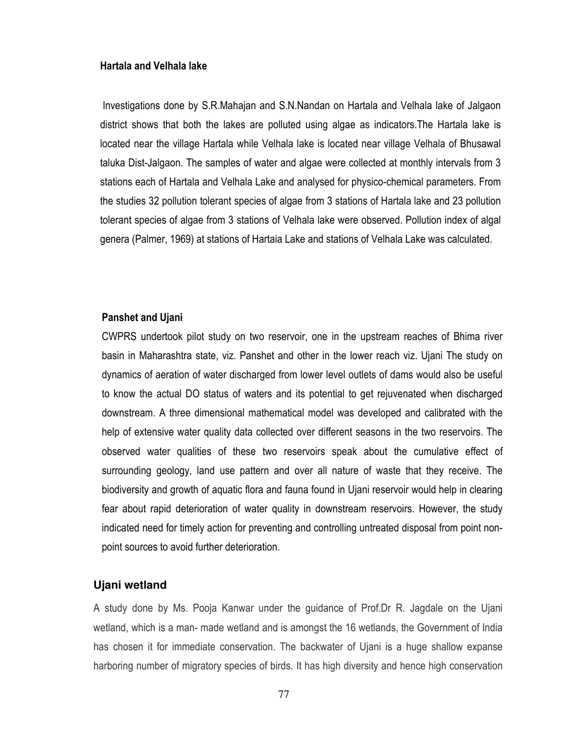### Hartala and Velhala lake

Investigations done by S.R.Mahajan and S.N.Nandan on Hartala and Velhala lake of Jalgaon district shows that both the lakes are polluted using algae as indicators. The Hartala lake is located near the village Hartala while Velhala lake is located near village Velhala of Bhusawal taluka Dist-Jalgaon. The samples of water and algae were collected at monthly intervals from 3 stations each of Hartala and Velhala Lake and analysed for physico-chemical parameters. From the studies 32 pollution tolerant species of algae from 3 stations of Hartala lake and 23 pollution tolerant species of algae from 3 stations of Velhala lake were observed. Pollution index of algal genera (Palmer, 1969) at stations of Hartaia Lake and stations of Velhala Lake was calculated.

#### **Panshet and Ujani**

CWPRS undertook pilot study on two reservoir, one in the upstream reaches of Bhima river basin in Maharashtra state, viz. Panshet and other in the lower reach viz. Ujani The study on dynamics of aeration of water discharged from lower level outlets of dams would also be useful to know the actual DO status of waters and its potential to get rejuvenated when discharged downstream. A three dimensional mathematical model was developed and calibrated with the help of extensive water quality data collected over different seasons in the two reservoirs. The observed water qualities of these two reservoirs speak about the cumulative effect of surrounding geology, land use pattern and over all nature of waste that they receive. The biodiversity and growth of aguatic flora and fauna found in Ujani reservoir would help in clearing fear about rapid deterioration of water quality in downstream reservoirs. However, the study indicated need for timely action for preventing and controlling untreated disposal from point nonpoint sources to avoid further deterioration.

## Ujani wetland

A study done by Ms. Pooja Kanwar under the guidance of Prof.Dr R. Jagdale on the Ujani wetland, which is a man- made wetland and is amongst the 16 wetlands, the Government of India has chosen it for immediate conservation. The backwater of Ujani is a huge shallow expanse harboring number of migratory species of birds. It has high diversity and hence high conservation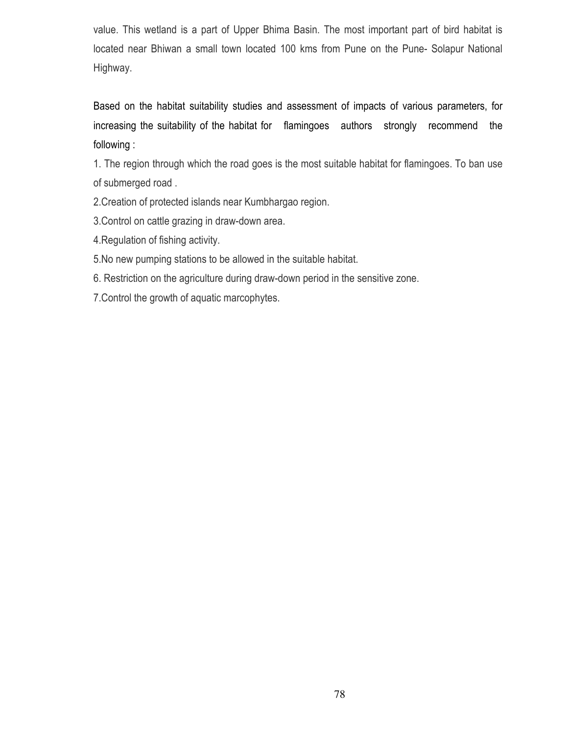value. This wetland is a part of Upper Bhima Basin. The most important part of bird habitat is located near Bhiwan a small town located 100 kms from Pune on the Pune-Solapur National Highway.

Based on the habitat suitability studies and assessment of impacts of various parameters, for increasing the suitability of the habitat for flamingoes authors strongly recommend the following:

1. The region through which the road goes is the most suitable habitat for flamingoes. To ban use of submerged road.

2. Creation of protected islands near Kumbhargao region.

3. Control on cattle grazing in draw-down area.

4. Regulation of fishing activity.

5. No new pumping stations to be allowed in the suitable habitat.

6. Restriction on the agriculture during draw-down period in the sensitive zone.

7. Control the growth of aquatic marcophytes.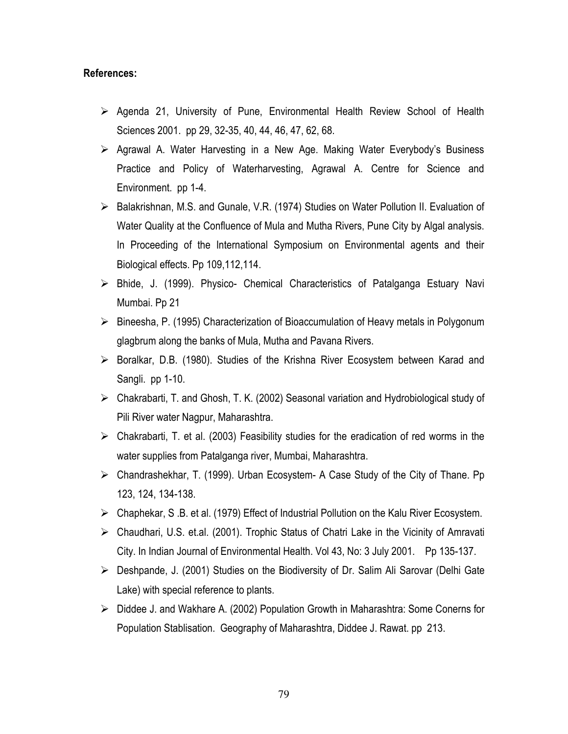# References:

- $\triangleright$  Agenda 21, University of Pune, Environmental Health Review School of Health Sciences 2001. pp 29, 32-35, 40, 44, 46, 47, 62, 68.
- $\triangleright$  Agrawal A. Water Harvesting in a New Age. Making Water Everybody's Business Practice and Policy of Waterharvesting, Agrawal A. Centre for Science and Environment. pp 1-4.
- > Balakrishnan, M.S. and Gunale, V.R. (1974) Studies on Water Pollution II. Evaluation of Water Quality at the Confluence of Mula and Mutha Rivers, Pune City by Algal analysis. In Proceeding of the International Symposium on Environmental agents and their Biological effects. Pp 109,112,114.
- > Bhide, J. (1999). Physico- Chemical Characteristics of Patalganga Estuary Navi Mumbai. Pp 21
- ► Bineesha, P. (1995) Characterization of Bioaccumulation of Heavy metals in Polygonum glagbrum along the banks of Mula, Mutha and Pavana Rivers.
- $\triangleright$  Boralkar, D.B. (1980). Studies of the Krishna River Ecosystem between Karad and Sangli. pp 1-10.
- > Chakrabarti, T. and Ghosh, T. K. (2002) Seasonal variation and Hydrobiological study of Pili River water Nagpur, Maharashtra.
- $\triangleright$  Chakrabarti, T. et al. (2003) Feasibility studies for the eradication of red worms in the water supplies from Patalganga river, Mumbai, Maharashtra.
- > Chandrashekhar, T. (1999). Urban Ecosystem- A Case Study of the City of Thane. Pp 123, 124, 134-138.
- $\triangleright$  Chaphekar, S.B. et al. (1979) Effect of Industrial Pollution on the Kalu River Ecosystem.
- > Chaudhari, U.S. et.al. (2001). Trophic Status of Chatri Lake in the Vicinity of Amravati City. In Indian Journal of Environmental Health. Vol 43, No: 3 July 2001. Pp 135-137.
- > Deshpande, J. (2001) Studies on the Biodiversity of Dr. Salim Ali Sarovar (Delhi Gate Lake) with special reference to plants.
- $\triangleright$  Diddee J. and Wakhare A. (2002) Population Growth in Maharashtra: Some Conerns for Population Stablisation. Geography of Maharashtra, Diddee J. Rawat. pp 213.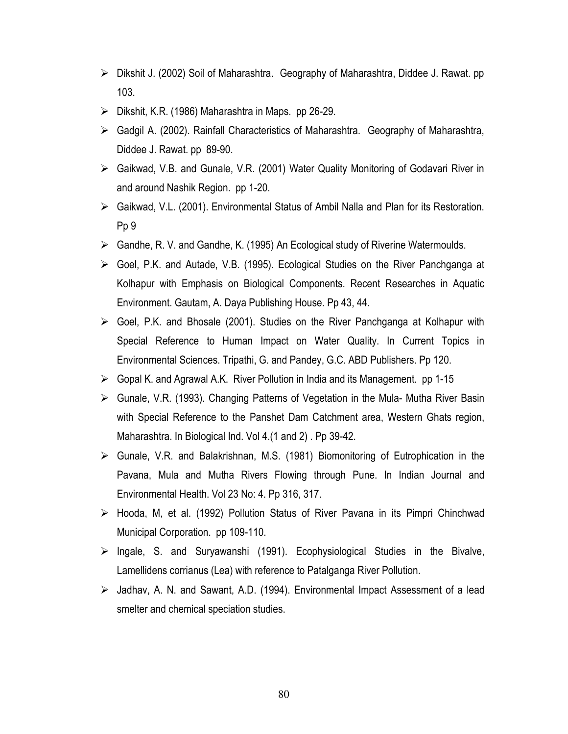- ► Dikshit J. (2002) Soil of Maharashtra. Geography of Maharashtra, Diddee J. Rawat. pp 103.
- $\triangleright$  Dikshit, K.R. (1986) Maharashtra in Maps. pp 26-29.
- > Gadgil A. (2002). Rainfall Characteristics of Maharashtra. Geography of Maharashtra, Diddee J. Rawat. pp 89-90.
- > Gaikwad, V.B. and Gunale, V.R. (2001) Water Quality Monitoring of Godavari River in and around Nashik Region. pp 1-20.
- ► Gaikwad, V.L. (2001). Environmental Status of Ambil Nalla and Plan for its Restoration. Pp<sub>9</sub>
- Sandhe, R. V. and Gandhe, K. (1995) An Ecological study of Riverine Watermoulds.
- $\triangleright$  Goel, P.K. and Autade, V.B. (1995). Ecological Studies on the River Panchganga at Kolhapur with Emphasis on Biological Components. Recent Researches in Aquatic Environment. Gautam, A. Daya Publishing House. Pp 43, 44.
- Soel, P.K. and Bhosale (2001). Studies on the River Panchganga at Kolhapur with Special Reference to Human Impact on Water Quality. In Current Topics in Environmental Sciences. Tripathi, G. and Pandey, G.C. ABD Publishers. Pp 120.
- $\triangleright$  Gopal K. and Agrawal A.K. River Pollution in India and its Management. pp 1-15
- ► Gunale, V.R. (1993). Changing Patterns of Vegetation in the Mula- Mutha River Basin with Special Reference to the Panshet Dam Catchment area, Western Ghats region, Maharashtra. In Biological Ind. Vol 4.(1 and 2). Pp 39-42.
- $\triangleright$  Gunale, V.R. and Balakrishnan, M.S. (1981) Biomonitoring of Eutrophication in the Pavana, Mula and Mutha Rivers Flowing through Pune. In Indian Journal and Environmental Health. Vol 23 No: 4. Pp 316, 317.
- > Hooda, M. et al. (1992) Pollution Status of River Pavana in its Pimpri Chinchwad Municipal Corporation. pp 109-110.
- $\triangleright$  Ingale, S. and Suryawanshi (1991). Ecophysiological Studies in the Bivalve, Lamellidens corrianus (Lea) with reference to Patalganga River Pollution.
- > Jadhav, A. N. and Sawant, A.D. (1994). Environmental Impact Assessment of a lead smelter and chemical speciation studies.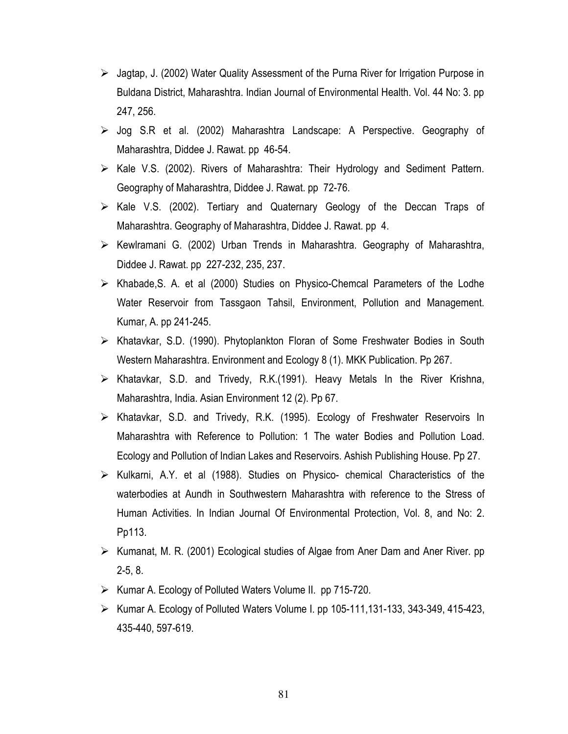- $\triangleright$  Jagtap, J. (2002) Water Quality Assessment of the Purna River for Irrigation Purpose in Buldana District, Maharashtra. Indian Journal of Environmental Health. Vol. 44 No: 3. pp 247, 256.
- $\triangleright$  Jog S.R et al. (2002) Maharashtra Landscape: A Perspective. Geography of Maharashtra, Diddee J. Rawat. pp 46-54.
- $\triangleright$  Kale V.S. (2002). Rivers of Maharashtra: Their Hydrology and Sediment Pattern. Geography of Maharashtra, Diddee J. Rawat. pp 72-76.
- > Kale V.S. (2002). Tertiary and Quaternary Geology of the Deccan Traps of Maharashtra. Geography of Maharashtra, Diddee J. Rawat. pp 4.
- $\triangleright$  Kewlramani G. (2002) Urban Trends in Maharashtra. Geography of Maharashtra. Diddee J. Rawat. pp 227-232, 235, 237.
- > Khabade, S. A. et al (2000) Studies on Physico-Chemcal Parameters of the Lodhe Water Reservoir from Tassgaon Tahsil, Environment, Pollution and Management. Kumar, A. pp 241-245.
- > Khatavkar, S.D. (1990). Phytoplankton Floran of Some Freshwater Bodies in South Western Maharashtra. Environment and Ecology 8 (1). MKK Publication. Pp 267.
- $\triangleright$  Khatavkar, S.D. and Trivedy, R.K.(1991). Heavy Metals In the River Krishna, Maharashtra, India. Asian Environment 12 (2). Pp 67.
- > Khatavkar, S.D. and Trivedy, R.K. (1995). Ecology of Freshwater Reservoirs In Maharashtra with Reference to Pollution: 1 The water Bodies and Pollution Load. Ecology and Pollution of Indian Lakes and Reservoirs. Ashish Publishing House. Pp 27.
- > Kulkarni, A.Y. et al (1988). Studies on Physico- chemical Characteristics of the waterbodies at Aundh in Southwestern Maharashtra with reference to the Stress of Human Activities. In Indian Journal Of Environmental Protection, Vol. 8, and No: 2. Pp113.
- ► Kumanat, M. R. (2001) Ecological studies of Algae from Aner Dam and Aner River. pp  $2-5, 8.$
- ► Kumar A. Ecology of Polluted Waters Volume II. pp 715-720.
- $\triangleright$  Kumar A. Ecology of Polluted Waters Volume I. pp 105-111, 131-133, 343-349, 415-423, 435-440, 597-619.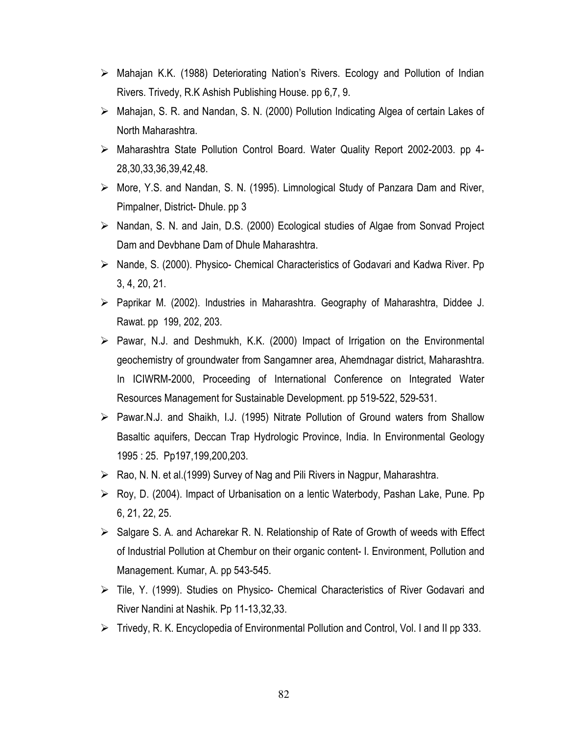- $\triangleright$  Mahajan K.K. (1988) Deteriorating Nation's Rivers. Ecology and Pollution of Indian Rivers. Trivedy, R.K Ashish Publishing House, pp 6,7, 9.
- > Mahajan, S. R. and Nandan, S. N. (2000) Pollution Indicating Algea of certain Lakes of North Maharashtra.
- > Maharashtra State Pollution Control Board. Water Quality Report 2002-2003. pp 4-28, 30, 33, 36, 39, 42, 48.
- > More, Y.S. and Nandan, S. N. (1995). Limnological Study of Panzara Dam and River, Pimpalner, District-Dhule, pp 3
- > Nandan, S. N. and Jain, D.S. (2000) Ecological studies of Algae from Sonvad Project Dam and Devbhane Dam of Dhule Maharashtra.
- $\triangleright$  Nande, S. (2000). Physico- Chemical Characteristics of Godavari and Kadwa River. Pp  $3, 4, 20, 21.$
- > Paprikar M. (2002). Industries in Maharashtra. Geography of Maharashtra, Diddee J. Rawat. pp 199, 202, 203.
- $\triangleright$  Pawar, N.J. and Deshmukh, K.K. (2000) Impact of Irrigation on the Environmental geochemistry of groundwater from Sangamner area, Ahemdnagar district, Maharashtra. In ICIWRM-2000, Proceeding of International Conference on Integrated Water Resources Management for Sustainable Development. pp 519-522, 529-531.
- > Pawar.N.J. and Shaikh, I.J. (1995) Nitrate Pollution of Ground waters from Shallow Basaltic aquifers, Deccan Trap Hydrologic Province, India. In Environmental Geology 1995: 25. Pp197,199,200,203.
- $\triangleright$  Rao, N. N. et al. (1999) Survey of Nag and Pili Rivers in Nagpur, Maharashtra.
- ► Roy, D. (2004). Impact of Urbanisation on a lentic Waterbody, Pashan Lake, Pune. Pp 6, 21, 22, 25
- $\triangleright$  Salgare S. A. and Acharekar R. N. Relationship of Rate of Growth of weeds with Effect of Industrial Pollution at Chembur on their organic content- I. Environment, Pollution and Management. Kumar, A. pp 543-545.
- $\triangleright$  Tile, Y. (1999). Studies on Physico- Chemical Characteristics of River Godavari and River Nandini at Nashik. Pp 11-13,32,33.
- $\triangleright$  Trivedy, R. K. Encyclopedia of Environmental Pollution and Control, Vol. I and II pp 333.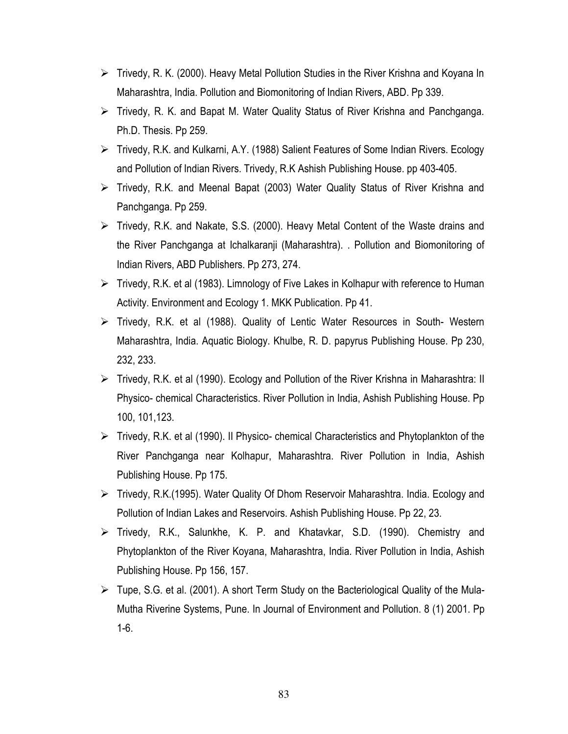- $\triangleright$  Trivedy, R. K. (2000). Heavy Metal Pollution Studies in the River Krishna and Koyana In Maharashtra, India. Pollution and Biomonitoring of Indian Rivers, ABD. Pp 339.
- $\triangleright$  Trivedy, R. K. and Bapat M. Water Quality Status of River Krishna and Panchganga. Ph.D. Thesis. Pp 259.
- Fivedy, R.K. and Kulkarni, A.Y. (1988) Salient Features of Some Indian Rivers. Ecology and Pollution of Indian Rivers. Trivedy, R.K Ashish Publishing House, pp 403-405.
- Fivedy, R.K. and Meenal Bapat (2003) Water Quality Status of River Krishna and Panchganga. Pp 259.
- $\triangleright$  Trivedy, R.K. and Nakate, S.S. (2000). Heavy Metal Content of the Waste drains and the River Panchganga at Ichalkaranji (Maharashtra). . Pollution and Biomonitoring of Indian Rivers, ABD Publishers. Pp 273, 274.
- ► Trivedy, R.K. et al (1983). Limnology of Five Lakes in Kolhapur with reference to Human Activity. Environment and Ecology 1. MKK Publication. Pp 41.
- ► Trivedy, R.K. et al (1988). Quality of Lentic Water Resources in South- Western Maharashtra, India. Aquatic Biology. Khulbe, R. D. papyrus Publishing House. Pp 230, 232, 233.
- ► Trivedy, R.K. et al (1990). Ecology and Pollution of the River Krishna in Maharashtra: II Physico- chemical Characteristics. River Pollution in India, Ashish Publishing House. Pp 100, 101, 123.
- $\triangleright$  Trivedy, R.K. et al (1990). Il Physico- chemical Characteristics and Phytoplankton of the River Panchganga near Kolhapur, Maharashtra. River Pollution in India, Ashish Publishing House. Pp 175.
- Fivedy, R.K. (1995). Water Quality Of Dhom Reservoir Maharashtra. India. Ecology and Pollution of Indian Lakes and Reservoirs. Ashish Publishing House. Pp 22, 23.
- Fivedy, R.K., Salunkhe, K. P. and Khatavkar, S.D. (1990). Chemistry and Phytoplankton of the River Koyana, Maharashtra, India. River Pollution in India, Ashish Publishing House. Pp 156, 157.
- $\triangleright$  Tupe, S.G. et al. (2001). A short Term Study on the Bacteriological Quality of the Mula-Mutha Riverine Systems, Pune. In Journal of Environment and Pollution. 8 (1) 2001. Pp  $1-6.$